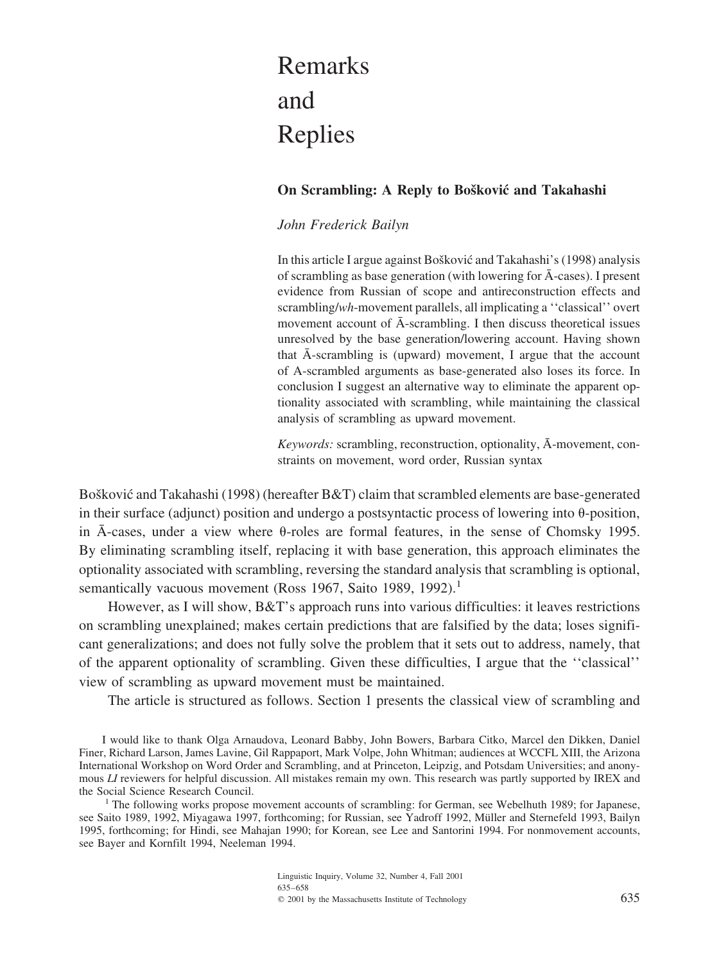# Remarks and Replies

## **On Scrambling: A Reply to Bošković and Takahashi**

## *John Frederick Bailyn*

In this article I argue against Bošković and Takahashi's (1998) analysis of scrambling as base generation (with lowering for  $\bar{A}$ -cases). I present evidence from Russian of scope and antireconstruction effects and scrambling/*wh*-movement parallels, all implicating a ''classical'' overt movement account of  $\bar{A}$ -scrambling. I then discuss theoretical issues unresolved by the base generation/lowering account. Having shown that  $\bar{A}$ -scrambling is (upward) movement, I argue that the account ofA-scrambled arguments as base-generated also loses its force. In conclusion I suggest an alternative way to eliminate the apparent optionality associated with scrambling, while maintaining the classical analysis of scrambling as upward movement.

*Keywords:* scrambling, reconstruction, optionality,  $\bar{A}$ -movement, constraints on movement, word order, Russian syntax

Bošković and Takahashi (1998) (hereafter B&T) claim that scrambled elements are base-generated in their surface (adjunct) position and undergo a postsyntactic process of lowering into  $\theta$ -position, in  $\overline{A}$ -cases, under a view where  $\theta$ -roles are formal features, in the sense of Chomsky 1995. By eliminating scrambling itself, replacing it with base generation, this approach eliminates the optionality associated with scrambling, reversing the standard analysis that scrambling is optional, semantically vacuous movement (Ross 1967, Saito 1989, 1992).<sup>1</sup>

However, as I will show, B&T's approach runs into various difficulties: it leaves restrictions on scrambling unexplained; makes certain predictions that are falsified by the data; loses significant generalizations; and does not fully solve the problem that it sets out to address, namely, that of the apparent optionality of scrambling. Given these difficulties, I argue that the "classical" view of scrambling as upward movement must be maintained.

The article is structured as follows. Section 1 presents the classical view of scrambling and

I would like to thank Olga Arnaudova, Leonard Babby, John Bowers, Barbara Citko, Marcel den Dikken, Daniel Finer, Richard Larson, James Lavine, Gil Rappaport, Mark Volpe, John Whitman; audiences at WCCFL XIII, the Arizona International Workshop on Word Order and Scrambling, and at Princeton, Leipzig, and Potsdam Universities; and anonymous *LI* reviewers for helpful discussion. All mistakes remain my own. This research was partly supported by IREX and the Social Science Research Council.

<sup>1</sup> The following works propose movement accounts of scrambling: for German, see Webelhuth 1989; for Japanese, see Saito 1989, 1992, Miyagawa 1997, forthcoming; for Russian, see Yadroff 1992, Müller and Sternefeld 1993, Bailyn 1995, forthcoming; for Hindi, see Mahajan 1990; for Korean, see Lee and Santorini 1994. For nonmovement accounts, see Bayer and Kornfilt 1994, Neeleman 1994.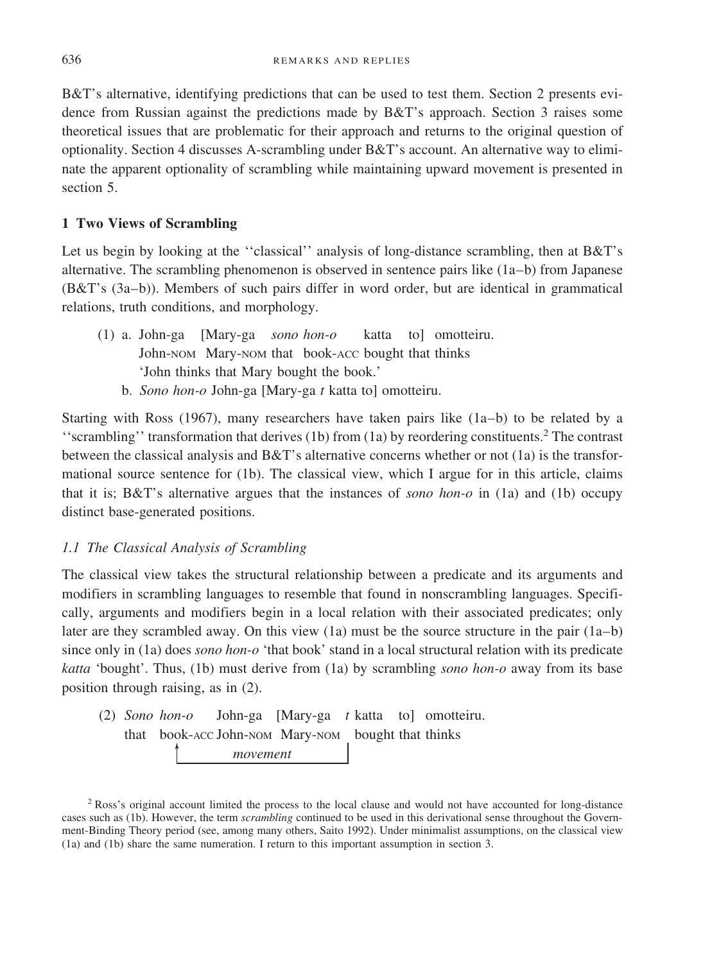B&T's alternative, identifying predictions that can be used to test them. Section 2 presents evidence from Russian against the predictions made by B&T's approach. Section 3 raises some theoretical issues that are problematic for their approach and returns to the original question of optionality. Section 4 discusses A-scrambling under B&T's account. An alternative way to eliminate the apparent optionality of scrambling while maintaining upward movement is presented in section 5.

# **1 Two Views of Scrambling**

Let us begin by looking at the "classical" analysis of long-distance scrambling, then at  $B&T$ 's alternative. The scrambling phenomenon is observed in sentence pairs like (1a–b) from Japanese (B&T's (3a–b)). Members of such pairs differ in word order, but are identical in grammatical relations, truth conditions, and morphology.

- (1) a. John-ga [Mary-ga *sono hon-o* katta to] omotteiru. John-NOM Mary-NOM that book-ACC bought that thinks 'John thinks that Mary bought the book.'
	- b. *Sono hon-o* John-ga [Mary-ga *t* katta to] omotteiru.

Starting with Ross (1967), many researchers have taken pairs like  $(1a-b)$  to be related by a ''scrambling'' transformation that derives (1b) from (1a) by reordering constituents.<sup>2</sup> The contrast between the classical analysis and B&T's alternative concerns whether or not (1a) is the transformational source sentence for (1b). The classical view, which I argue for in this article, claims that it is; B&T's alternative argues that the instances of *sono hon-o* in (1a) and (1b) occupy distinct base-generated positions.

# *1.1 The Classical Analysis of Scrambling*

The classical view takes the structural relationship between a predicate and its arguments and modifiers in scrambling languages to resemble that found in nonscrambling languages. Specifically, arguments and modifiers begin in a local relation with their associated predicates; only later are they scrambled away. On this view (1a) must be the source structure in the pair (1a–b) since only in (1a) does *sono hon-o* 'that book' stand in a local structural relation with its predicate *katta* 'bought'. Thus, (1b) must derive from (1a) by scrambling *sono hon-o* away from its base position through raising, as in (2).

(2) *Sono movement* that book-ACC John-NOM Mary-NOM bought that thinks John-ga [Mary-ga t katta to] omotteiru.

<sup>2</sup> Ross's original account limited the process to the local clause and would not have accounted for long-distance cases such as (1b). However, the term *scrambling* continued to be used in this derivational sense throughout the Government-Binding Theory period (see, among many others, Saito 1992). Under minimalist assumptions, on the classical view (1a) and (1b) share the same numeration. I return to this important assumption in section 3.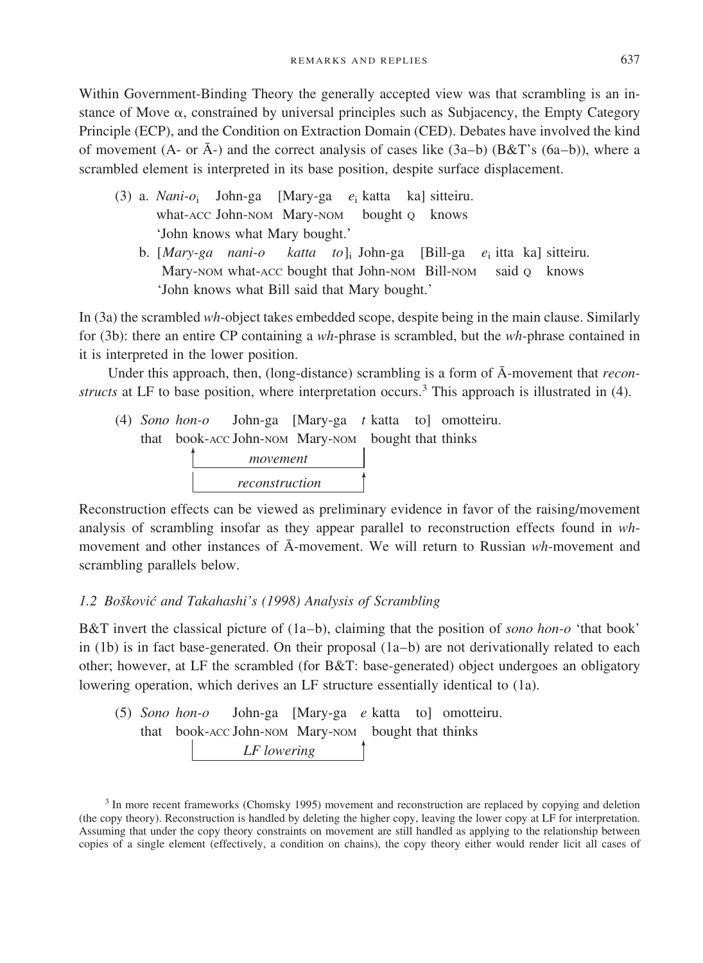Within Government-Binding Theory the generally accepted view was that scrambling is an instance of Move  $\alpha$ , constrained by universal principles such as Subjacency, the Empty Category Principle (ECP), and the Condition on Extraction Domain (CED). Debates have involved the kind of movement (A- or  $\bar{A}$ -) and the correct analysis of cases like (3a–b) (B&T's (6a–b)), where a scrambled element is interpreted in its base position, despite surface displacement.

- (3) a. *Nani-o*<sup>i</sup> John-ga [Mary-ga *e*<sup>i</sup> katta ka] sitteiru. what-ACC John-NOM Mary-NOM bought o knows 'John knows what Mary bought.'
	- b. [*Mary-ga nani-o katta to*]i John-ga [Bill-ga *e*<sup>i</sup> itta ka] sitteiru. Mary-NOM what-ACC bought that John-NOM Bill-NOM said Q knows 'John knows what Bill said that Mary bought.'

In (3a) the scrambled *wh*-object takes embedded scope, despite being in the main clause. Similarly for (3b): there an entire CP containing a *wh*-phrase is scrambled, but the *wh*-phrase contained in it is interpreted in the lower position.

Under this approach, then, (long-distance) scrambling is a form of  $\bar{A}$ -movement that *reconstructs* at LF to base position, where interpretation occurs.<sup>3</sup> This approach is illustrated in (4).

(4) *Sono hon-o* John-ga [Mary-ga t katta to] omotteiru. *movement reconstruction* that book-ACC John-NOM Mary-NOM bought that thinks

Reconstruction effects can be viewed as preliminary evidence in favor of the raising/movement analysis of scrambling insofar as they appear parallel to reconstruction effects found in *wh*movement and other instances of  $\overline{A}$ -movement. We will return to Russian  $wh$ -movement and scrambling parallels below.

## *1.2 Bosˇkovic´ and Takahashi's (1998) Analysis of Scrambling*

B&T invert the classical picture of (1a–b), claiming that the position of *sono hon-o* 'that book' in (1b) is in fact base-generated. On their proposal  $(1a-b)$  are not derivationally related to each other; however, at LF the scrambled (for B&T: base-generated) object undergoes an obligatory lowering operation, which derives an LF structure essentially identical to (1a).

(5) *Sono LF lowering* that book-ACC John-NOM Mary-NOM bought that thinks John-ga [Mary-ga e katta to] omotteiru.

<sup>3</sup> In more recent frameworks (Chomsky 1995) movement and reconstruction are replaced by copying and deletion (the copy theory). Reconstruction is handled by deleting the higher copy, leaving the lower copy at LF for interpretation. Assuming that under the copy theory constraints on movement are still handled as applying to the relationship between copies of a single element (effectively, a condition on chains), the copy theory either would render licit all cases of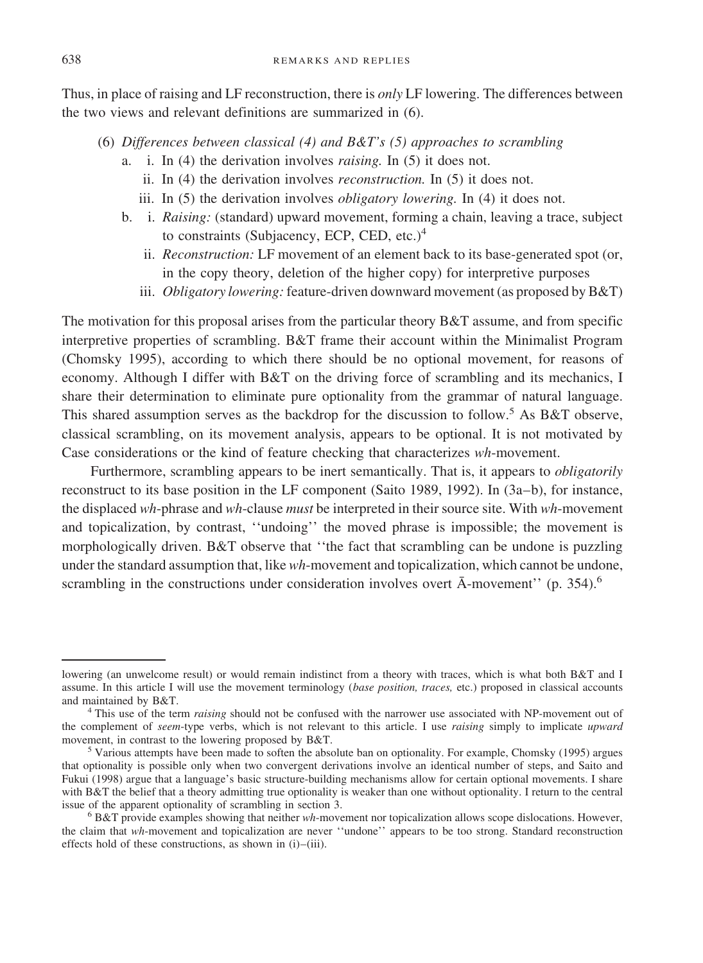Thus, in place ofraising and LF reconstruction, there is *only* LF lowering. The differences between the two views and relevant definitions are summarized in (6).

- (6) *Differences between classical (4) and B&T's (5) approaches to scrambling*
	- a. i. In (4) the derivation involves *raising.* In (5) it does not.
		- ii. In (4) the derivation involves *reconstruction.* In (5) it does not.
		- iii. In (5) the derivation involves *obligatory lowering.* In (4) it does not.
	- b. i. *Raising:* (standard) upward movement, forming a chain, leaving a trace, subject to constraints (Subjacency, ECP, CED, etc.)<sup>4</sup>
		- ii. *Reconstruction:* LF movement of an element back to its base-generated spot (or, in the copy theory, deletion of the higher copy) for interpretive purposes
		- iii. *Obligatory lowering:* feature-driven downward movement (as proposed by B&T)

The motivation for this proposal arises from the particular theory B&T assume, and from specific interpretive properties of scrambling. B&T frame their account within the Minimalist Program (Chomsky 1995), according to which there should be no optional movement, for reasons of economy. Although I differ with B&T on the driving force of scrambling and its mechanics, I share their determination to eliminate pure optionality from the grammar of natural language. This shared assumption serves as the backdrop for the discussion to follow.<sup>5</sup> As B&T observe, classical scrambling, on its movement analysis, appears to be optional. It is not motivated by Case considerations or the kind of feature checking that characterizes *wh*-movement.

Furthermore, scrambling appears to be inert semantically. That is, it appears to *obligatorily* reconstruct to its base position in the LF component (Saito 1989, 1992). In (3a–b), for instance, the displaced *wh*-phrase and *wh*-clause *must* be interpreted in their source site. With *wh*-movement and topicalization, by contrast, ''undoing'' the moved phrase is impossible; the movement is morphologically driven. B&T observe that ''the fact that scrambling can be undone is puzzling under the standard assumption that, like *wh*-movement and topicalization, which cannot be undone, scrambling in the constructions under consideration involves overt  $\bar{A}$ -movement'' (p. 354).<sup>6</sup>

lowering (an unwelcome result) or would remain indistinct from a theory with traces, which is what both B&T and I assume. In this article I will use the movement terminology (*base position, traces,* etc.) proposed in classical accounts

<sup>&</sup>lt;sup>4</sup> This use of the term *raising* should not be confused with the narrower use associated with NP-movement out of the complement of *seem*-type verbs, which is not relevant to this article. I use *raising* simply to implicate *upward*

<sup>&</sup>lt;sup>5</sup> Various attempts have been made to soften the absolute ban on optionality. For example, Chomsky (1995) argues that optionality is possible only when two convergent derivations involve an identical number ofsteps, and Saito and Fukui (1998) argue that a language's basic structure-building mechanisms allow for certain optional movements. I share with B&T the belief that a theory admitting true optionality is weaker than one without optionality. I return to the central issue of the apparent optionality of scrambling in section 3.<br><sup>6</sup> B&T provide examples showing that neither *wh*-movement nor topicalization allows scope dislocations. However,

the claim that *wh*-movement and topicalization are never ''undone'' appears to be too strong. Standard reconstruction effects hold of these constructions, as shown in (i)–(iii).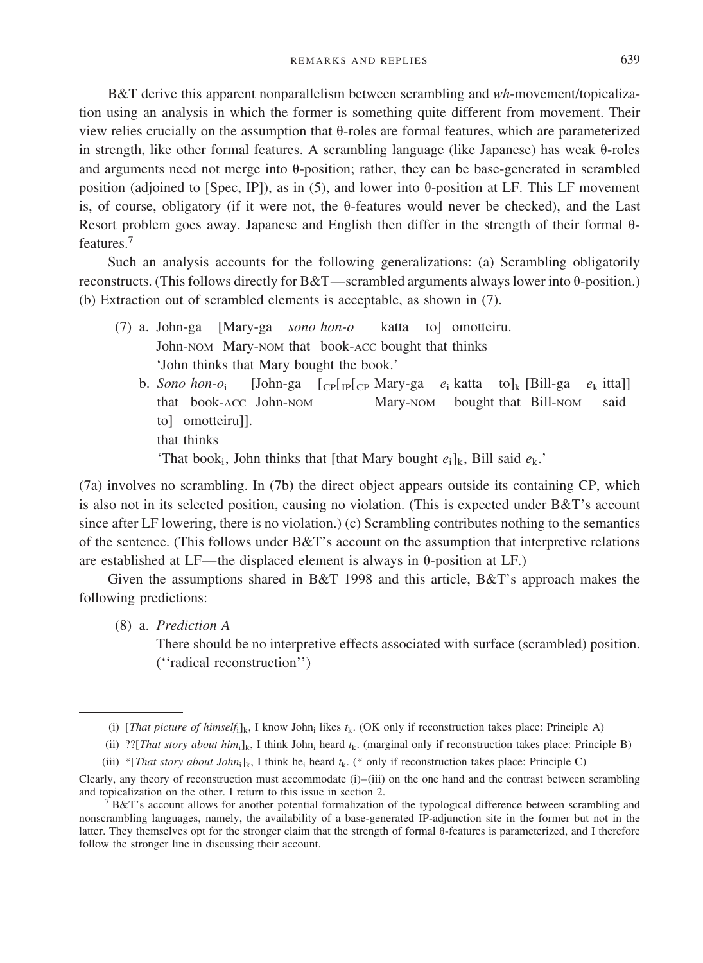REMARKS AND REPLIES 639

B&T derive this apparent nonparallelism between scrambling and *wh*-movement/topicalization using an analysis in which the former is something quite different from movement. Their view relies crucially on the assumption that  $\theta$ -roles are formal features, which are parameterized in strength, like other formal features. A scrambling language (like Japanese) has weak  $\theta$ -roles and arguments need not merge into  $\theta$ -position; rather, they can be base-generated in scrambled position (adjoined to [Spec, IP]), as in (5), and lower into  $\theta$ -position at LF. This LF movement is, of course, obligatory (if it were not, the  $\theta$ -features would never be checked), and the Last Resort problem goes away. Japanese and English then differ in the strength of their formal  $\theta$ features.<sup>7</sup>

Such an analysis accounts for the following generalizations: (a) Scrambling obligatorily reconstructs. (This follows directly for  $B&T$ —scrambled arguments always lower into  $\theta$ -position.) (b) Extraction out of scrambled elements is acceptable, as shown in  $(7)$ .

- (7) a. John-ga [Mary-ga *sono hon-o* katta to] omotteiru. John-NOM Mary-NOM that book-ACC bought that thinks 'John thinks that Mary bought the book.'
	- b. *Sono hon-o*<sup>i</sup> [John-ga [CP[IP[CP Mary-ga *e*<sup>i</sup> katta to]k [Bill-ga *e*<sup>k</sup> itta]] that book-ACC John-NOM Mary-NOM bought that Bill-NOM said tol omotteirull. that thinks 'That book<sub>i</sub>, John thinks that [that Mary bought  $e_i$ ]<sub>k</sub>, Bill said  $e_k$ .'

(7a) involves no scrambling. In (7b) the direct object appears outside its containing CP, which is also not in its selected position, causing no violation. (This is expected under B&T's account since after LF lowering, there is no violation.) (c) Scrambling contributes nothing to the semantics of the sentence. (This follows under  $B&T$ 's account on the assumption that interpretive relations are established at LF—the displaced element is always in  $\theta$ -position at LF.)

Given the assumptions shared in B&T 1998 and this article, B&T's approach makes the following predictions:

(8) a. *Prediction A*

There should be no interpretive effects associated with surface (scrambled) position. (''radical reconstruction'')

<sup>(</sup>i) [*That picture of himself*<sub>i</sub>]<sub>k</sub>, I know John<sub>i</sub> likes  $t_k$ . (OK only if reconstruction takes place: Principle A)

<sup>(</sup>ii) ??[*That story about him*;  $\vert_k$ , I think John; heard  $t_k$ . (marginal only if reconstruction takes place: Principle B)

<sup>(</sup>iii) \*[*That story about John*i]k, I think hei heard *t*k. (\* only ifreconstruction takes place: Principle C)

Clearly, any theory of reconstruction must accommodate  $(i)$ – $(iii)$  on the one hand and the contrast between scrambling and topicalization on the other. I return to this issue in section 2.

 ${}^{7}B&T$ 's account allows for another potential formalization of the typological difference between scrambling and nonscrambling languages, namely, the availability of a base-generated IP-adjunction site in the former but not in the latter. They themselves opt for the stronger claim that the strength of formal  $\theta$ -features is parameterized, and I therefore follow the stronger line in discussing their account.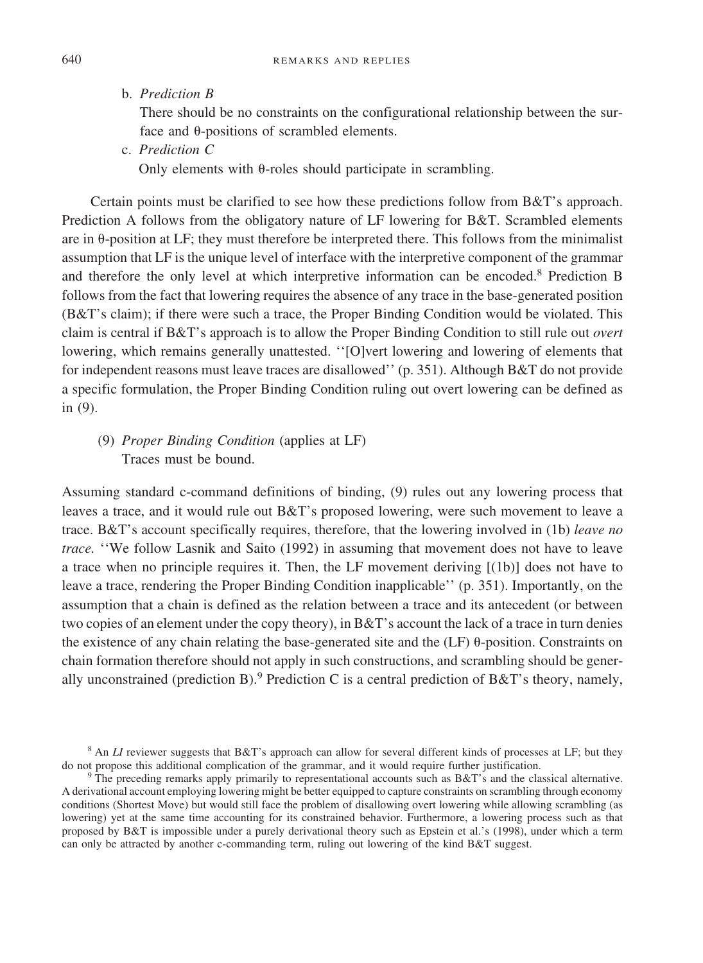b. *Prediction B*

There should be no constraints on the configurational relationship between the surface and  $\theta$ -positions of scrambled elements.

c. *Prediction C*

Only elements with  $\theta$ -roles should participate in scrambling.

Certain points must be clarified to see how these predictions follow from B&T's approach. Prediction A follows from the obligatory nature of LF lowering for B&T. Scrambled elements are in  $\theta$ -position at LF; they must therefore be interpreted there. This follows from the minimalist assumption that LF is the unique level of interface with the interpretive component of the grammar and therefore the only level at which interpretive information can be encoded.<sup>8</sup> Prediction B follows from the fact that lowering requires the absence of any trace in the base-generated position (B&T's claim); ifthere were such a trace, the Proper Binding Condition would be violated. This claim is central ifB&T's approach is to allow the Proper Binding Condition to still rule out *overt* lowering, which remains generally unattested. "[O]vert lowering and lowering of elements that for independent reasons must leave traces are disallowed'' (p. 351). Although B&T do not provide a specific formulation, the Proper Binding Condition ruling out overt lowering can be defined as in (9).

# (9) *Proper Binding Condition* (applies at LF) Traces must be bound.

Assuming standard c-command definitions of binding, (9) rules out any lowering process that leaves a trace, and it would rule out B&T's proposed lowering, were such movement to leave a trace. B&T's account specifically requires, therefore, that the lowering involved in (1b) *leave no trace.* ''We follow Lasnik and Saito (1992) in assuming that movement does not have to leave a trace when no principle requires it. Then, the LF movement deriving [(1b)] does not have to leave a trace, rendering the Proper Binding Condition inapplicable'' (p. 351). Importantly, on the assumption that a chain is defined as the relation between a trace and its antecedent (or between two copies of an element under the copy theory), in  $B&T$ 's account the lack of a trace in turn denies the existence of any chain relating the base-generated site and the  $(LF)$   $\theta$ -position. Constraints on chain formation therefore should not apply in such constructions, and scrambling should be generally unconstrained (prediction B).<sup>9</sup> Prediction C is a central prediction of B&T's theory, namely,

<sup>&</sup>lt;sup>8</sup> An *LI* reviewer suggests that B&T's approach can allow for several different kinds of processes at LF; but they do not propose this additional complication of the grammar, and it would require further justification.

 $\overline{P}$ <sup>o</sup> The preceding remarks apply primarily to representational accounts such as B&T's and the classical alternative. A derivational account employing lowering might be better equipped to capture constraints on scrambling through economy conditions (Shortest Move) but would still face the problem of disallowing overt lowering while allowing scrambling (as lowering) yet at the same time accounting for its constrained behavior. Furthermore, a lowering process such as that proposed by B&T is impossible under a purely derivational theory such as Epstein et al.'s (1998), under which a term can only be attracted by another c-commanding term, ruling out lowering of the kind B&T suggest.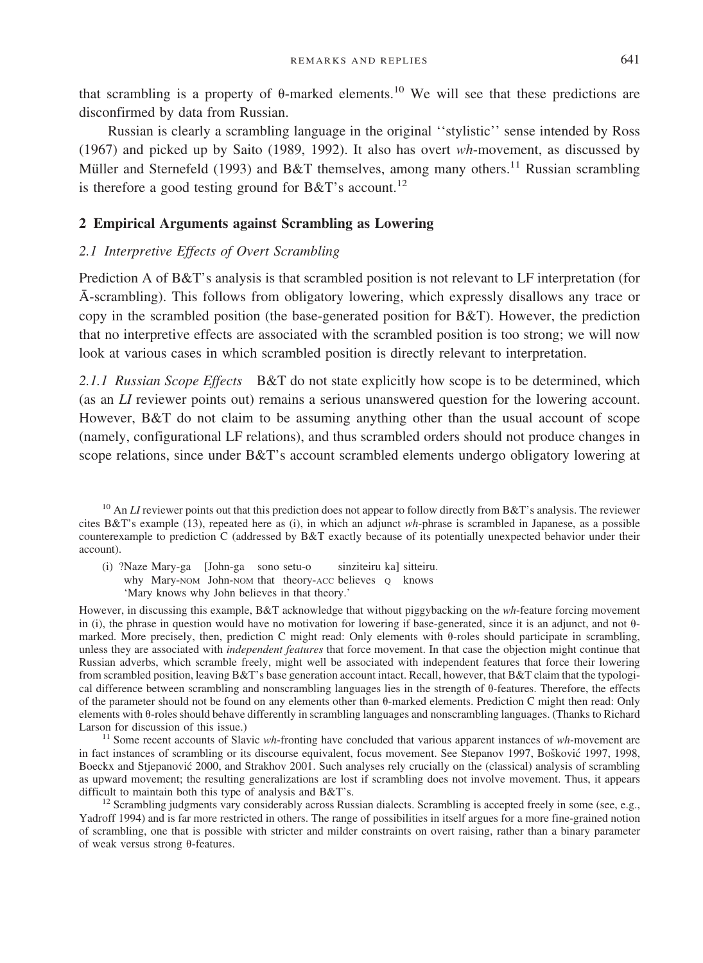that scrambling is a property of  $\theta$ -marked elements.<sup>10</sup> We will see that these predictions are disconfirmed by data from Russian.

Russian is clearly a scrambling language in the original ''stylistic'' sense intended by Ross (1967) and picked up by Saito (1989, 1992). It also has overt *wh*-movement, as discussed by Müller and Sternefeld (1993) and B&T themselves, among many others.<sup>11</sup> Russian scrambling is therefore a good testing ground for B&T's account.<sup>12</sup>

#### **2 Empirical Arguments against Scrambling as Lowering**

## *2.1 Interpretive Effects of Overt Scrambling*

Prediction A of B&T's analysis is that scrambled position is not relevant to LF interpretation (for A¯ -scrambling). This follows from obligatory lowering, which expressly disallows any trace or copy in the scrambled position (the base-generated position for B&T). However, the prediction that no interpretive effects are associated with the scrambled position is too strong; we will now look at various cases in which scrambled position is directly relevant to interpretation.

*2.1.1 Russian Scope Effects* B&T do not state explicitly how scope is to be determined, which (as an *LI* reviewer points out) remains a serious unanswered question for the lowering account. However,  $B&T$  do not claim to be assuming anything other than the usual account of scope (namely, configurational LF relations), and thus scrambled orders should not produce changes in scope relations, since under B&T's account scrambled elements undergo obligatory lowering at

<sup>10</sup> An *LI* reviewer points out that this prediction does not appear to follow directly from B&T's analysis. The reviewer cites B&T's example (13), repeated here as (i), in which an adjunct *wh*-phrase is scrambled in Japanese, as a possible counterexample to prediction C (addressed by B&T exactly because of its potentially unexpected behavior under their account).

(i) ?Naze Mary-ga [John-ga sono setu-o sinziteiru ka] sitteiru. why Mary-NOM John-NOM that theory-ACC believes  $Q$  knows 'Mary knows why John believes in that theory.'

However, in discussing this example, B&T acknowledge that without piggybacking on the *wh*-feature forcing movement in (i), the phrase in question would have no motivation for lowering if base-generated, since it is an adjunct, and not  $\theta$ marked. More precisely, then, prediction C might read: Only elements with  $\theta$ -roles should participate in scrambling, unless they are associated with *independent features* that force movement. In that case the objection might continue that Russian adverbs, which scramble freely, might well be associated with independent features that force their lowering from scrambled position, leaving B&T's base generation account intact. Recall, however, that B&T claim that the typological difference between scrambling and nonscrambling languages lies in the strength of 0-features. Therefore, the effects of the parameter should not be found on any elements other than  $\theta$ -marked elements. Prediction C might then read: Only elements with  $\theta$ -roles should behave differently in scrambling languages and nonscrambling languages. (Thanks to Richard Larson for discussion of this issue.)<br><sup>11</sup> Some recent accounts of Slavic *wh*-fronting have concluded that various apparent instances of *wh*-movement are

in fact instances of scrambling or its discourse equivalent, focus movement. See Stepanov 1997, Bošković 1997, 1998, Boeckx and Stjepanović 2000, and Strakhov 2001. Such analyses rely crucially on the (classical) analysis of scrambling as upward movement; the resulting generalizations are lost if scrambling does not involve movement. Thus, it appears difficult to maintain both this type of analysis and B&T's.

<sup>12</sup> Scrambling judgments vary considerably across Russian dialects. Scrambling is accepted freely in some (see, e.g., Yadroff 1994) and is far more restricted in others. The range of possibilities in itself argues for a more fine-grained notion of scrambling, one that is possible with stricter and milder constraints on overt raising, rather than a binary parameter of weak versus strong  $\theta$ -features.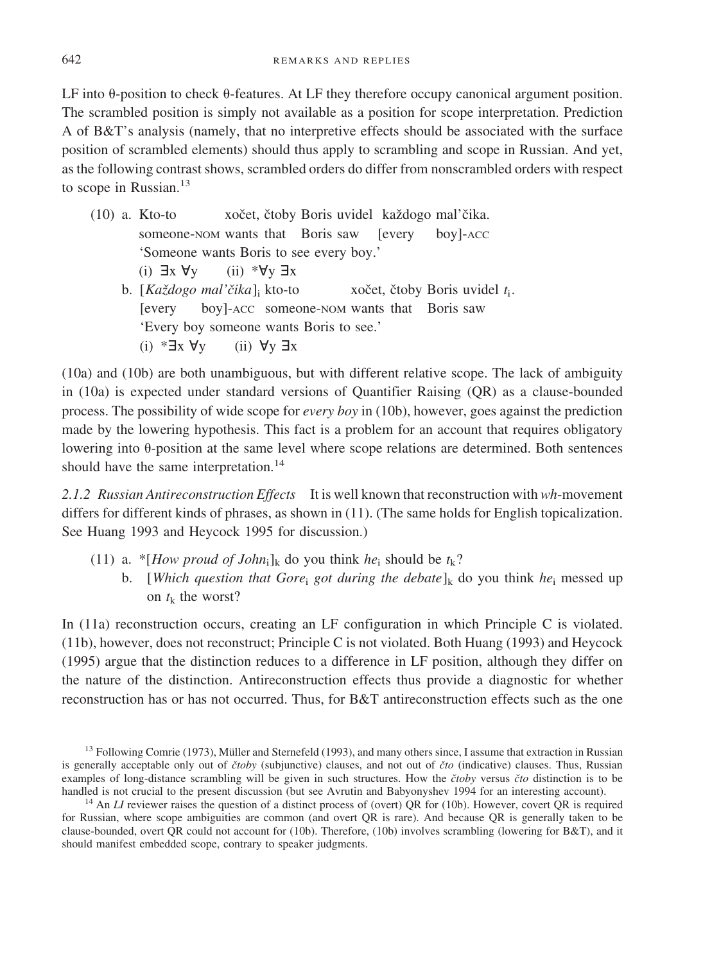LF into  $\theta$ -position to check  $\theta$ -features. At LF they therefore occupy canonical argument position. The scrambled position is simply not available as a position for scope interpretation. Prediction A of B&T's analysis (namely, that no interpretive effects should be associated with the surface position of scrambled elements) should thus apply to scrambling and scope in Russian. And yet, as the following contrast shows, scrambled orders do differ from nonscrambled orders with respect to scope in Russian.<sup>13</sup>

(10) a. Kto-to xočet, čtoby Boris uvidel každogo mal'čika. someone-NOM wants that Boris saw [every boy]-ACC 'Someone wants Boris to see every boy.' (i)  $\exists x \forall y$ y (ii) \* $\forall y \exists x$ b. [*Každogo mal'čika*]<sub>i</sub> kto-to xočet, čtoby Boris uvidel t<sub>i</sub>. [every boy]-ACC someone-NOM wants that Boris saw 'Every boy someone wants Boris to see.' (i)  $* \exists x \forall y$ y (ii)  $\forall y \exists x$ 

(10a) and (10b) are both unambiguous, but with different relative scope. The lack of ambiguity in  $(10a)$  is expected under standard versions of Quantifier Raising  $(QR)$  as a clause-bounded process. The possibility of wide scope for *every boy* in (10b), however, goes against the prediction made by the lowering hypothesis. This fact is a problem for an account that requires obligatory lowering into  $\theta$ -position at the same level where scope relations are determined. Both sentences should have the same interpretation.<sup>14</sup>

*2.1.2 Russian Antireconstruction Effects* It is well known that reconstruction with *wh*-movement differs for different kinds of phrases, as shown in (11). (The same holds for English topicalization. See Huang 1993 and Heycock 1995 for discussion.)

- (11) a. \*[*How proud of John*<sub>i</sub>]<sub>k</sub> do you think *he*<sub>i</sub> should be  $t_k$ ?
	- b. [*Which question that Gore*; *got during the debate*]<sub>k</sub> do you think *he*<sub>i</sub> messed up on  $t_k$  the worst?

In (11a) reconstruction occurs, creating an LF configuration in which Principle C is violated. (11b), however, does not reconstruct; Principle C is not violated. Both Huang (1993) and Heycock (1995) argue that the distinction reduces to a difference in LF position, although they differ on the nature of the distinction. Antireconstruction effects thus provide a diagnostic for whether reconstruction has or has not occurred. Thus, for B&T antireconstruction effects such as the one

<sup>&</sup>lt;sup>13</sup> Following Comrie (1973), Müller and Sternefeld (1993), and many others since, I assume that extraction in Russian is generally acceptable only out of *čtoby* (subjunctive) clauses, and not out of *čto* (indicative) clauses. Thus, Russian examples of long-distance scrambling will be given in such structures. How the *ctoby* versus *cto* distinction is to be handled is not crucial to the present discussion (but see Avrutin and Babyonyshev 1994 for an interes

<sup>&</sup>lt;sup>14</sup> An *LI* reviewer raises the question of a distinct process of (overt) QR for (10b). However, covert QR is required for Russian, where scope ambiguities are common (and overt QR is rare). And because QR is generally taken to be clause-bounded, overt QR could not account for (10b). Therefore, (10b) involves scrambling (lowering for B&T), and it should manifest embedded scope, contrary to speaker judgments.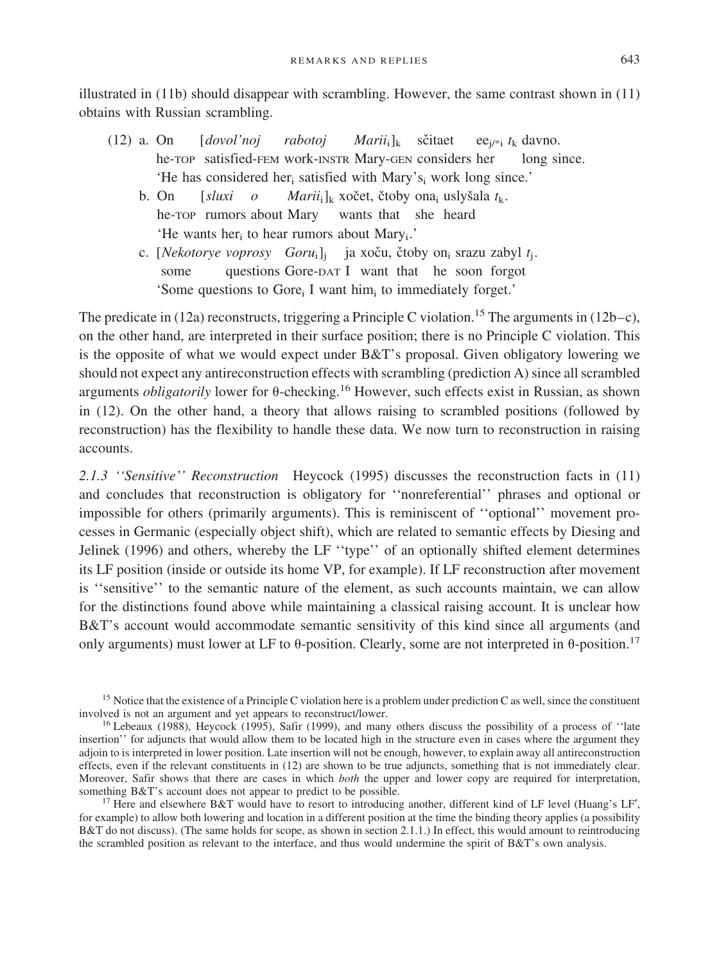illustrated in (11b) should disappear with scrambling. However, the same contrast shown in (11) obtains with Russian scrambling.

- (12) a. On  $\left[$  *dovol'noj rabotoj Marii*<sub>i</sub>]<sub>k</sub> sčitaet ee<sub>i/\*i</sub> *t*<sub>k</sub> davno. he-TOP satisfied-FEM work-INSTR Mary-GEN considers her long since. 'He has considered her<sub>i</sub> satisfied with Mary's<sub>i</sub> work long since.'
	- b. On [*sluxi o Marii*<sub>i</sub>]<sub>k</sub> xočet, čtoby ona<sub>i</sub> uslyšala t<sub>k</sub>. he-TOP rumors about Mary wants that she heard 'He wants her<sub>i</sub> to hear rumors about Mary<sub>i</sub>.'
	- c. [*Nekotorye voprosy Goru*<sub>i</sub>]<sub>i</sub> ja xoču, čtoby on<sub>i</sub> srazu zabyl t<sub>i</sub>. some questions Gore-DAT I want that he soon forgot 'Some questions to Gore<sub>i</sub> I want him<sub>i</sub> to immediately forget.'

The predicate in (12a) reconstructs, triggering a Principle C violation.<sup>15</sup> The arguments in (12b–c), on the other hand, are interpreted in their surface position; there is no Principle C violation. This is the opposite of what we would expect under  $B&T$ 's proposal. Given obligatory lowering we should not expect any antireconstruction effects with scrambling (prediction A) since all scrambled arguments *obligatorily* lower for  $\theta$ -checking.<sup>16</sup> However, such effects exist in Russian, as shown in (12). On the other hand, a theory that allows raising to scrambled positions (followed by reconstruction) has the flexibility to handle these data. We now turn to reconstruction in raising accounts.

*2.1.3 ''Sensitive'' Reconstruction* Heycock (1995) discusses the reconstruction facts in (11) and concludes that reconstruction is obligatory for ''nonreferential'' phrases and optional or impossible for others (primarily arguments). This is reminiscent of ''optional'' movement processes in Germanic (especially object shift), which are related to semantic effects by Diesing and Jelinek (1996) and others, whereby the LF "type" of an optionally shifted element determines its LF position (inside or outside its home VP, for example). If LF reconstruction after movement is "sensitive" to the semantic nature of the element, as such accounts maintain, we can allow for the distinctions found above while maintaining a classical raising account. It is unclear how B&T's account would accommodate semantic sensitivity of this kind since all arguments (and only arguments) must lower at LF to  $\theta$ -position. Clearly, some are not interpreted in  $\theta$ -position.<sup>17</sup>

<sup>15</sup> Notice that the existence of a Principle C violation here is a problem under prediction C as well, since the constituent involved is not an argument and yet appears to reconstruct/lower.

<sup>&</sup>lt;sup>16</sup> Lebeaux (1988), Heycock (1995), Safir (1999), and many others discuss the possibility of a process of "late insertion'' for adjuncts that would allow them to be located high in the structure even in cases where the argument they adjoin to is interpreted in lower position. Late insertion will not be enough, however, to explain away all antireconstruction effects, even if the relevant constituents in (12) are shown to be true adjuncts, something that is not immediately clear. Moreover, Safir shows that there are cases in which *both* the upper and lower copy are required for interpretation, something B&T's account does not appear to predict to be possible.

<sup>&</sup>lt;sup>17</sup> Here and elsewhere B&T would have to resort to introducing another, different kind of LF level (Huang's LF', for example) to allow both lowering and location in a different position at the time the binding theory applies (a possibility B&T do not discuss). (The same holds for scope, as shown in section 2.1.1.) In effect, this would amount to reintroducing the scrambled position as relevant to the interface, and thus would undermine the spirit of B&T's own analysis.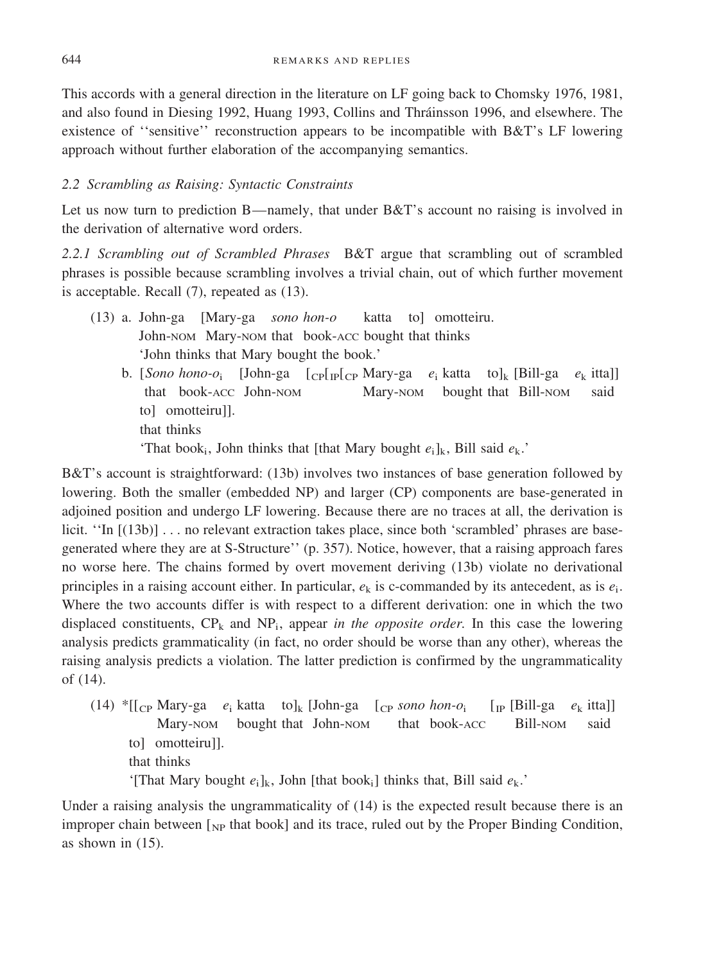This accords with a general direction in the literature on LF going back to Chomsky 1976, 1981, and also found in Diesing 1992, Huang 1993, Collins and Thra´insson 1996, and elsewhere. The existence of''sensitive'' reconstruction appears to be incompatible with B&T's LF lowering approach without further elaboration of the accompanying semantics.

# *2.2 Scrambling as Raising: Syntactic Constraints*

Let us now turn to prediction B—namely, that under  $B\&T$ 's account no raising is involved in the derivation of alternative word orders.

2.2.1 Scrambling out of Scrambled Phrases B&T argue that scrambling out of scrambled phrases is possible because scrambling involves a trivial chain, out of which further movement is acceptable. Recall (7), repeated as (13).

- (13) a. John-ga [Mary-ga *sono hon-o* katta to] omotteiru. John-NOM Mary-NOM that book-ACC bought that thinks 'John thinks that Mary bought the book.'
	- b. [*Sono hono-o*<sub>i</sub> [John-ga  $\lceil c \cdot p \rceil$ <sub>LP</sub>[ $\lceil c \cdot p \cdot \text{Mary-ga} \mid e_i$  katta to]<sub>k</sub> [Bill-ga  $e_k$  itta]] that book-ACC John-NOM Mary-NOM bought that Bill-NOM said to] omotteiru]]. that thinks

'That book<sub>i</sub>, John thinks that [that Mary bought  $e_i$ ]<sub>k</sub>, Bill said  $e_k$ .'

B&T's account is straightforward: (13b) involves two instances of base generation followed by lowering. Both the smaller (embedded NP) and larger (CP) components are base-generated in adjoined position and undergo LF lowering. Because there are no traces at all, the derivation is licit. "In [(13b)] ... no relevant extraction takes place, since both 'scrambled' phrases are basegenerated where they are at S-Structure'' (p. 357). Notice, however, that a raising approach fares no worse here. The chains formed by overt movement deriving (13b) violate no derivational principles in a raising account either. In particular,  $e_k$  is c-commanded by its antecedent, as is  $e_i$ . Where the two accounts differ is with respect to a different derivation: one in which the two displaced constituents,  $CP_k$  and  $NP_i$ , appear *in the opposite order*. In this case the lowering analysis predicts grammaticality (in fact, no order should be worse than any other), whereas the raising analysis predicts a violation. The latter prediction is confirmed by the ungrammaticality of  $(14)$ .

 $(14)$  \*[[<sub>CP</sub> Mary-ga  $e_i$  katta to]<sub>k</sub> [John-ga [<sub>CP</sub> *sono hon-o*<sub>i</sub> [<sub>IP</sub> [Bill-ga  $e_k$  itta]] Mary-NOM bought that John-NOM that book-ACC Bill-NOM said to] omotteiru]]. that thinks

'[That Mary bought  $e_i$ ]<sub>k</sub>, John [that book<sub>i</sub>] thinks that, Bill said  $e_k$ .'

Under a raising analysis the ungrammaticality of  $(14)$  is the expected result because there is an improper chain between  $\lceil_{NP}$  that book] and its trace, ruled out by the Proper Binding Condition, as shown in (15).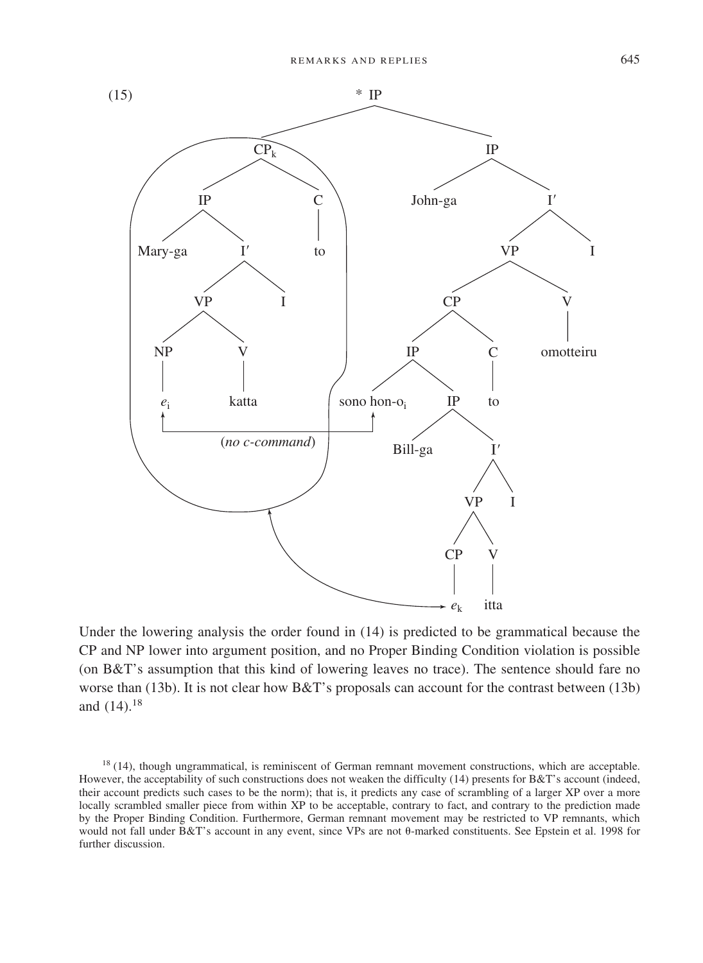

Under the lowering analysis the order found in (14) is predicted to be grammatical because the CP and NP lower into argument position, and no Proper Binding Condition violation is possible (on B&T's assumption that this kind of lowering leaves no trace). The sentence should fare no worse than (13b). It is not clear how B&T's proposals can account for the contrast between (13b) and  $(14).^{18}$ 

<sup>&</sup>lt;sup>18</sup> (14), though ungrammatical, is reminiscent of German remnant movement constructions, which are acceptable. However, the acceptability of such constructions does not weaken the difficulty (14) presents for B&T's account (indeed, their account predicts such cases to be the norm); that is, it predicts any case of scrambling of a larger XP over a more locally scrambled smaller piece from within XP to be acceptable, contrary to fact, and contrary to the prediction made by the Proper Binding Condition. Furthermore, German remnant movement may be restricted to VP remnants, which would not fall under  $B&T$ 's account in any event, since VPs are not  $\theta$ -marked constituents. See Epstein et al. 1998 for further discussion.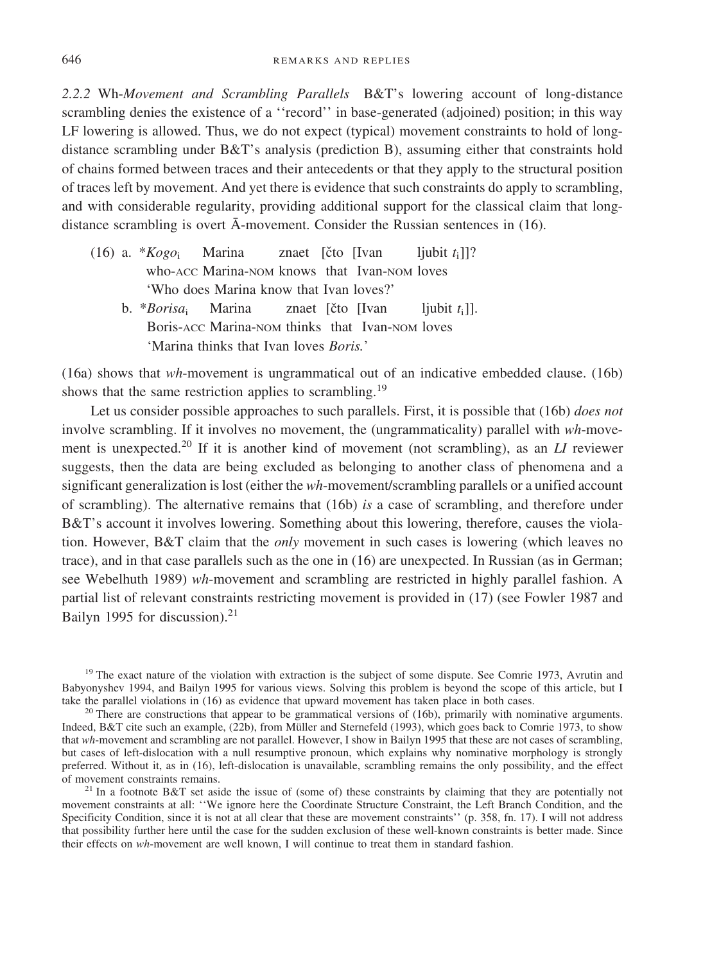*2.2.2* Wh-*Movement and Scrambling Parallels* B&T's lowering account oflong-distance scrambling denies the existence of a "record" in base-generated (adjoined) position; in this way LF lowering is allowed. Thus, we do not expect (typical) movement constraints to hold of longdistance scrambling under B&T's analysis (prediction B), assuming either that constraints hold ofchains formed between traces and their antecedents or that they apply to the structural position oftraces left by movement. And yet there is evidence that such constraints do apply to scrambling, and with considerable regularity, providing additional support for the classical claim that longdistance scrambling is overt  $\bar{A}$ -movement. Consider the Russian sentences in (16).

- (16) a.  $*Kogo_i$  Marina znaet [čto [Ivan ljubit  $t_i$ ]]? who-ACC Marina-NOM knows that Ivan-NOM loves 'Who does Marina know that Ivan loves?'
	- b. \**Borisa*<sup>i</sup> Marina znaet [cˇto [Ivan ljubit *t*i]]. Boris-ACC Marina-NOM thinks that Ivan-NOM loves 'Marina thinks that Ivan loves *Boris.*'

(16a) shows that *wh*-movement is ungrammatical out of an indicative embedded clause. (16b) shows that the same restriction applies to scrambling.<sup>19</sup>

Let us consider possible approaches to such parallels. First, it is possible that (16b) *does not* involve scrambling. If it involves no movement, the (ungrammaticality) parallel with  $wh$ -movement is unexpected.<sup>20</sup> If it is another kind of movement (not scrambling), as an *LI* reviewer suggests, then the data are being excluded as belonging to another class of phenomena and a significant generalization is lost (either the *wh*-movement/scrambling parallels or a unified account of scrambling). The alternative remains that (16b) *is* a case of scrambling, and therefore under B&T's account it involves lowering. Something about this lowering, therefore, causes the violation. However, B&T claim that the *only* movement in such cases is lowering (which leaves no trace), and in that case parallels such as the one in (16) are unexpected. In Russian (as in German; see Webelhuth 1989) *wh*-movement and scrambling are restricted in highly parallel fashion. A partial list of relevant constraints restricting movement is provided in  $(17)$  (see Fowler 1987 and Bailyn 1995 for discussion). $21$ 

<sup>19</sup> The exact nature of the violation with extraction is the subject of some dispute. See Comrie 1973, Avrutin and Babyonyshev 1994, and Bailyn 1995 for various views. Solving this problem is beyond the scope of this article, but I take the parallel violations in (16) as evidence that upward movement has taken place in both cases.

<sup>20</sup> There are constructions that appear to be grammatical versions of (16b), primarily with nominative arguments. Indeed, B&T cite such an example, (22b), from Müller and Sternefeld (1993), which goes back to Comrie 1973, to show that *wh*-movement and scrambling are not parallel. However, I show in Bailyn 1995 that these are not cases of scrambling, but cases of left-dislocation with a null resumptive pronoun, which explains why nominative morphology is strongly preferred. Without it, as in (16), left-dislocation is unavailable, scrambling remains the only possibility, and the effect of movement constraints remains.<br><sup>21</sup> In a footnote B&T set aside the issue of (some of) these constraints by claiming that they are potentially not

movement constraints at all: ''We ignore here the Coordinate Structure Constraint, the Left Branch Condition, and the Specificity Condition, since it is not at all clear that these are movement constraints'' (p. 358, fn. 17). I will not address that possibility further here until the case for the sudden exclusion of these well-known constraints is better made. Since their effects on *wh*-movement are well known, I will continue to treat them in standard fashion.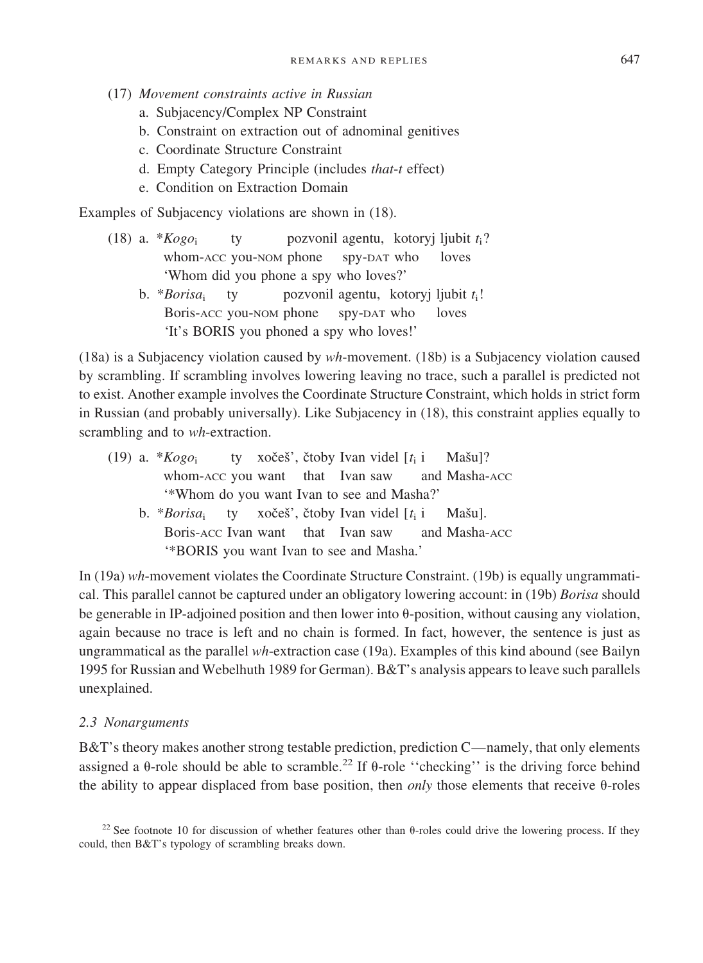- (17) *Movement constraints active in Russian*
	- a. Subjacency/Complex NP Constraint
	- b. Constraint on extraction out of adnominal genitives
	- c. Coordinate Structure Constraint
	- d. Empty Category Principle (includes *that*-*t* effect)
	- e. Condition on Extraction Domain

Examples of Subjacency violations are shown in  $(18)$ .

- (18) a.  $*Kogo_i$  ty pozvonil agentu, kotoryj ljubit  $t_i$ ? whom-ACC you-NOM phone spy-DAT who loves 'Whom did you phone a spy who loves?'
	- b. \**Borisa*<sup>i</sup> ty pozvonil agentu, kotoryj ljubit *t*i! Boris-ACC you-NOM phone spy-DAT who loves 'It's BORIS you phoned a spy who loves!'

(18a) is a Subjacency violation caused by *wh*-movement. (18b) is a Subjacency violation caused by scrambling. If scrambling involves lowering leaving no trace, such a parallel is predicted not to exist. Another example involves the Coordinate Structure Constraint, which holds in strict form in Russian (and probably universally). Like Subjacency in (18), this constraint applies equally to scrambling and to *wh*-extraction.

- (19) a.  $*Kogo_i$  ty xočeš<sup>'</sup>, čtoby Ivan videl [ $t_i$  i Mašu]? whom-ACC you want that Ivan saw and Masha-ACC '\*Whom do you want Ivan to see and Masha?'
	- b. \**Borisa*<sub>i</sub> ty xočeš', čtoby Ivan videl [t<sub>i</sub> i Mašu]. Boris-ACC Ivan want that Ivan saw and Masha-ACC '\*BORIS you want Ivan to see and Masha.'

In (19a) *wh*-movement violates the Coordinate Structure Constraint. (19b) is equally ungrammatical. This parallel cannot be captured under an obligatory lowering account: in (19b) *Borisa* should be generable in IP-adjoined position and then lower into  $\theta$ -position, without causing any violation, again because no trace is left and no chain is formed. In fact, however, the sentence is just as ungrammatical as the parallel *wh*-extraction case (19a). Examples ofthis kind abound (see Bailyn 1995 for Russian and Webelhuth 1989 for German). B&T's analysis appears to leave such parallels unexplained.

#### *2.3 Nonarguments*

B&T's theory makes another strong testable prediction, prediction C—namely, that only elements assigned a  $\theta$ -role should be able to scramble.<sup>22</sup> If  $\theta$ -role "checking" is the driving force behind the ability to appear displaced from base position, then *only* those elements that receive  $\theta$ -roles

<sup>&</sup>lt;sup>22</sup> See footnote 10 for discussion of whether features other than  $\theta$ -roles could drive the lowering process. If they could, then  $B&T$ 's typology of scrambling breaks down.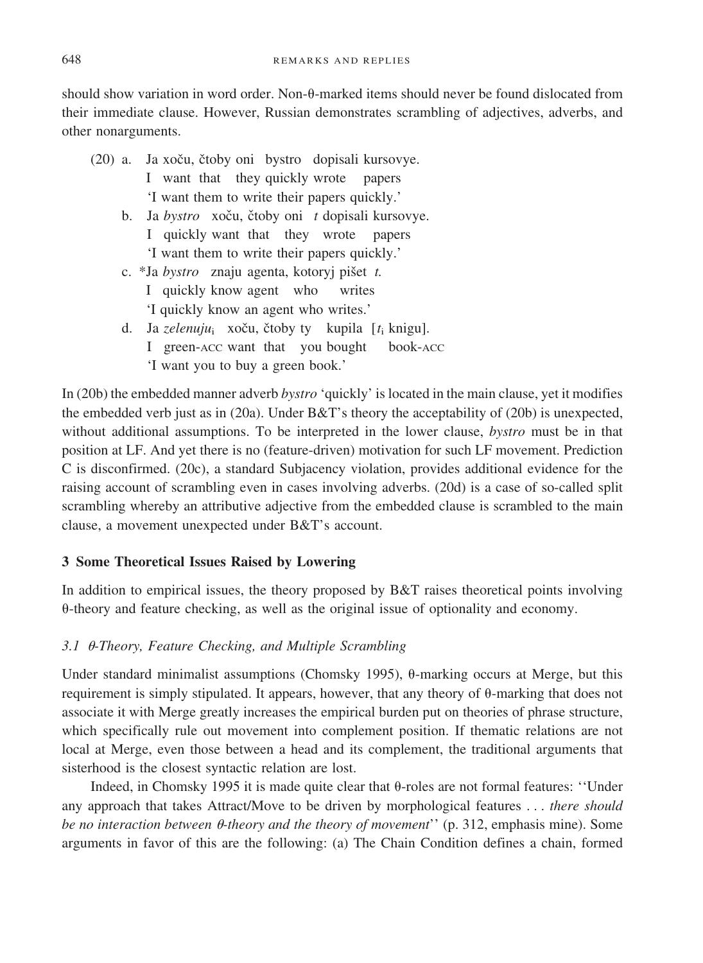should show variation in word order. Non- $\theta$ -marked items should never be found dislocated from their immediate clause. However, Russian demonstrates scrambling of adjectives, adverbs, and other nonarguments.

- (20) a. Ja xoču, čtoby oni bystro dopisali kursovye. I want that they quickly wrote papers 'I want them to write their papers quickly.' b. Ja *bystro* xoču, čtoby oni *t* dopisali kursovye. I quickly want that they wrote papers 'I want them to write their papers quickly.'
	- c. \*Ja *bystro* znaju agenta, kotoryj pišet *t*.
		- I quickly know agent who writes
		- 'I quickly know an agent who writes.'
	- d. Ja *zelenuju*<sub>i</sub> xoču, čtoby ty kupila [t<sub>i</sub> knigu]. I green-ACC want that you bought book-ACC 'I want you to buy a green book.'

In (20b) the embedded manner adverb *bystro* 'quickly' is located in the main clause, yet it modifies the embedded verb just as in (20a). Under  $B&T$ 's theory the acceptability of (20b) is unexpected, without additional assumptions. To be interpreted in the lower clause, *bystro* must be in that position at LF. And yet there is no (feature-driven) motivation for such LF movement. Prediction C is disconfirmed. (20c), a standard Subjacency violation, provides additional evidence for the raising account of scrambling even in cases involving adverbs. (20d) is a case of so-called split scrambling whereby an attributive adjective from the embedded clause is scrambled to the main clause, a movement unexpected under B&T's account.

# **3 Some Theoretical Issues Raised by Lowering**

In addition to empirical issues, the theory proposed by B&T raises theoretical points involving -theory and feature checking, as well as the original issue of optionality and economy.

# 3.1  $\theta$ -Theory, Feature Checking, and Multiple Scrambling

Under standard minimalist assumptions (Chomsky 1995),  $\theta$ -marking occurs at Merge, but this requirement is simply stipulated. It appears, however, that any theory of  $\theta$ -marking that does not associate it with Merge greatly increases the empirical burden put on theories of phrase structure, which specifically rule out movement into complement position. If thematic relations are not local at Merge, even those between a head and its complement, the traditional arguments that sisterhood is the closest syntactic relation are lost.

Indeed, in Chomsky 1995 it is made quite clear that  $\theta$ -roles are not formal features: 'Under any approach that takes Attract/Move to be driven by morphological features . . . *there should be no interaction between*  $\theta$ -theory and the theory of movement'' (p. 312, emphasis mine). Some arguments in favor of this are the following: (a) The Chain Condition defines a chain, formed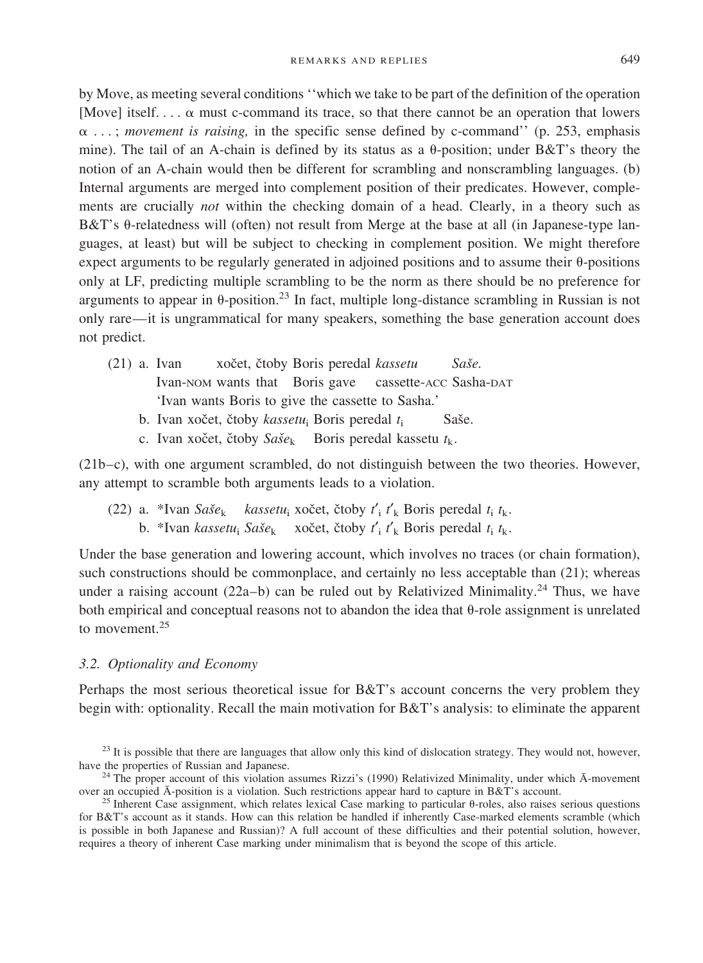by Move, as meeting several conditions "which we take to be part of the definition of the operation [Move] itself....  $\alpha$  must c-command its trace, so that there cannot be an operation that lowers  $\alpha$ ...; *movement is raising*, in the specific sense defined by c-command'' (p. 253, emphasis mine). The tail of an A-chain is defined by its status as a  $\theta$ -position; under B&T's theory the notion of an A-chain would then be different for scrambling and nonscrambling languages. (b) Internal arguments are merged into complement position of their predicates. However, complements are crucially *not* within the checking domain of a head. Clearly, in a theory such as  $B&T$ 's  $\theta$ -relatedness will (often) not result from Merge at the base at all (in Japanese-type languages, at least) but will be subject to checking in complement position. We might therefore expect arguments to be regularly generated in adjoined positions and to assume their  $\theta$ -positions only at LF, predicting multiple scrambling to be the norm as there should be no preference for arguments to appear in  $\theta$ -position.<sup>23</sup> In fact, multiple long-distance scrambling in Russian is not only rare—it is ungrammatical for many speakers, something the base generation account does not predict.

- (21) a. Ivan xočet, čtoby Boris peredal kassetu Saše. Ivan-NOM wants that Boris gave cassette-ACC Sasha-DAT 'Ivan wants Boris to give the cassette to Sasha.'
	- b. Ivan xočet, čtoby *kassetu*<sub>i</sub> Boris peredal *t*<sub>i</sub> Saše.
	- c. Ivan xočet, čtoby *Saše*<sub>k</sub> Boris peredal kassetu  $t_k$ .

(21b–c), with one argument scrambled, do not distinguish between the two theories. However, any attempt to scramble both arguments leads to a violation.

(22) a. \*Ivan  $Sa\check{z}e_k$  *kassetu*<sub>i</sub> xočet, čtoby  $t'_i$   $t'_k$  Boris peredal  $t_i$   $t_k$ . b. \*Ivan *kassetu*;  $Sa\check{s}e_k$  xočet, čtoby  $t'_i$ ,  $t'_k$  Boris peredal  $t_i$ ,  $t_k$ .

Under the base generation and lowering account, which involves no traces (or chain formation), such constructions should be commonplace, and certainly no less acceptable than  $(21)$ ; whereas under a raising account  $(22a-b)$  can be ruled out by Relativized Minimality.<sup>24</sup> Thus, we have both empirical and conceptual reasons not to abandon the idea that  $\theta$ -role assignment is unrelated to movement  $25$ 

#### *3.2. Optionality and Economy*

Perhaps the most serious theoretical issue for B&T's account concerns the very problem they begin with: optionality. Recall the main motivation for B&T's analysis: to eliminate the apparent

 $^{23}$  It is possible that there are languages that allow only this kind of dislocation strategy. They would not, however, have the properties of Russian and Japanese.

<sup>&</sup>lt;sup>24</sup> The proper account of this violation assumes Rizzi's (1990) Relativized Minimality, under which  $\bar{A}$ -movement over an occupied  $\bar{A}$ -position is a violation. Such restrictions appear hard to capture in B&T's acc

<sup>&</sup>lt;sup>25</sup> Inherent Case assignment, which relates lexical Case marking to particular  $\theta$ -roles, also raises serious questions for B&T's account as it stands. How can this relation be handled if inherently Case-marked elements scramble (which is possible in both Japanese and Russian)? A full account of these difficulties and their potential solution, however, requires a theory of inherent Case marking under minimalism that is beyond the scope of this article.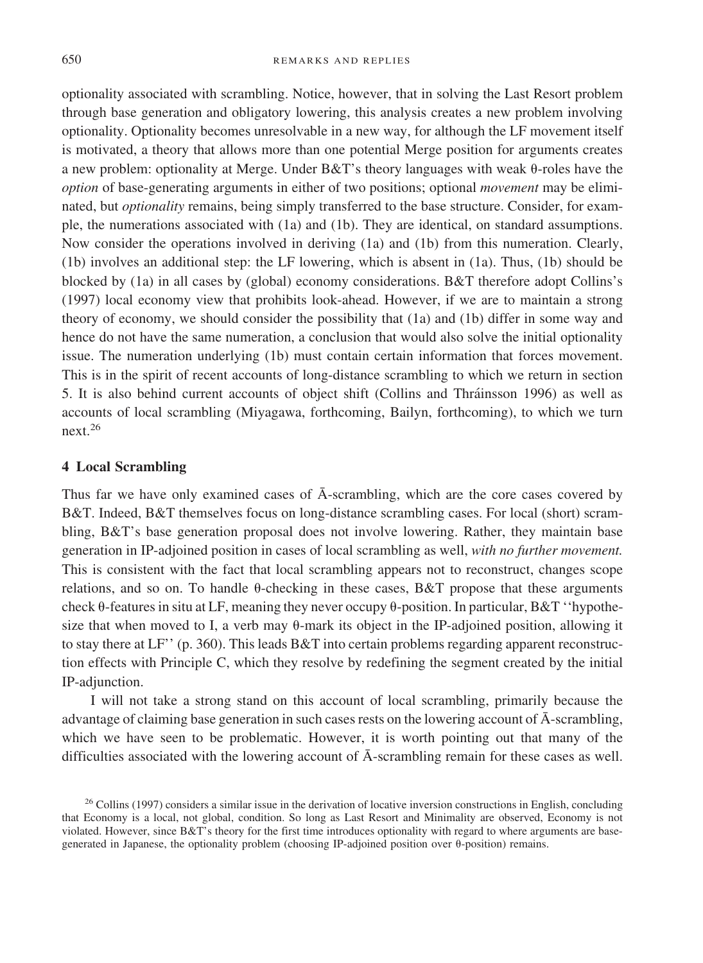optionality associated with scrambling. Notice, however, that in solving the Last Resort problem through base generation and obligatory lowering, this analysis creates a new problem involving optionality. Optionality becomes unresolvable in a new way, for although the LF movement itself is motivated, a theory that allows more than one potential Merge position for arguments creates a new problem: optionality at Merge. Under  $B&T$ 's theory languages with weak  $\theta$ -roles have the *option* of base-generating arguments in either of two positions; optional *movement* may be eliminated, but *optionality* remains, being simply transferred to the base structure. Consider, for example, the numerations associated with (1a) and (1b). They are identical, on standard assumptions. Now consider the operations involved in deriving (1a) and (1b) from this numeration. Clearly, (1b) involves an additional step: the LF lowering, which is absent in (1a). Thus, (1b) should be blocked by (1a) in all cases by (global) economy considerations. B&T therefore adopt Collins's (1997) local economy view that prohibits look-ahead. However, if we are to maintain a strong theory of economy, we should consider the possibility that (1a) and (1b) differ in some way and hence do not have the same numeration, a conclusion that would also solve the initial optionality issue. The numeration underlying (1b) must contain certain information that forces movement. This is in the spirit of recent accounts of long-distance scrambling to which we return in section 5. It is also behind current accounts of object shift (Collins and Thráinsson 1996) as well as accounts of local scrambling (Miyagawa, forthcoming, Bailyn, forthcoming), to which we turn next.<sup>26</sup>

#### **4 Local Scrambling**

Thus far we have only examined cases of  $\overline{A}$ -scrambling, which are the core cases covered by B&T. Indeed, B&T themselves focus on long-distance scrambling cases. For local (short) scrambling, B&T's base generation proposal does not involve lowering. Rather, they maintain base generation in IP-adjoined position in cases of local scrambling as well, *with no further movement*. This is consistent with the fact that local scrambling appears not to reconstruct, changes scope relations, and so on. To handle  $\theta$ -checking in these cases, B&T propose that these arguments check  $\theta$ -features in situ at LF, meaning they never occupy  $\theta$ -position. In particular, B&T ''hypothesize that when moved to I, a verb may  $\theta$ -mark its object in the IP-adjoined position, allowing it to stay there at LF'' (p. 360). This leads B&T into certain problems regarding apparent reconstruction effects with Principle C, which they resolve by redefining the segment created by the initial IP-adjunction.

I will not take a strong stand on this account of local scrambling, primarily because the advantage of claiming base generation in such cases rests on the lowering account of  $\bar{A}$ -scrambling, which we have seen to be problematic. However, it is worth pointing out that many of the difficulties associated with the lowering account of  $\overline{A}$ -scrambling remain for these cases as well.

 $26$  Collins (1997) considers a similar issue in the derivation of locative inversion constructions in English, concluding that Economy is a local, not global, condition. So long as Last Resort and Minimality are observed, Economy is not violated. However, since B&T's theory for the first time introduces optionality with regard to where arguments are basegenerated in Japanese, the optionality problem (choosing IP-adjoined position over  $\theta$ -position) remains.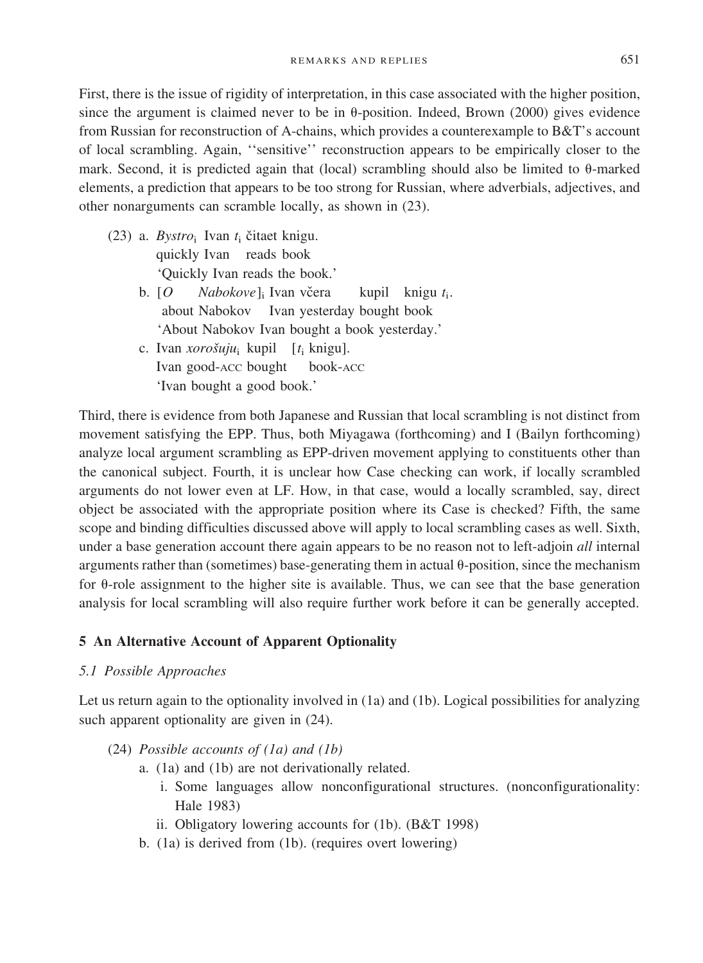First, there is the issue of rigidity of interpretation, in this case associated with the higher position, since the argument is claimed never to be in  $\theta$ -position. Indeed, Brown (2000) gives evidence from Russian for reconstruction of A-chains, which provides a counterexample to B&T's account of local scrambling. Again, "sensitive" reconstruction appears to be empirically closer to the mark. Second, it is predicted again that (local) scrambling should also be limited to  $\theta$ -marked elements, a prediction that appears to be too strong for Russian, where adverbials, adjectives, and other nonarguments can scramble locally, as shown in (23).

- (23) a. *Bystro*<sub>i</sub> Ivan  $t_i$  čitaet knigu. quickly Ivan reads book 'Quickly Ivan reads the book.'
	- b. [O *Nabokove*]; Ivan včera kupil knigu t<sub>i</sub>. about Nabokov Ivan yesterday bought book 'About Nabokov Ivan bought a book yesterday.'
	- c. Ivan *xorošuju*<sub>i</sub> kupil [*t*<sub>i</sub> knigu]. Ivan good-ACC bought book-ACC 'Ivan bought a good book.'

Third, there is evidence from both Japanese and Russian that local scrambling is not distinct from movement satisfying the EPP. Thus, both Miyagawa (forthcoming) and I (Bailyn forthcoming) analyze local argument scrambling as EPP-driven movement applying to constituents other than the canonical subject. Fourth, it is unclear how Case checking can work, iflocally scrambled arguments do not lower even at LF. How, in that case, would a locally scrambled, say, direct object be associated with the appropriate position where its Case is checked? Fifth, the same scope and binding difficulties discussed above will apply to local scrambling cases as well. Sixth, under a base generation account there again appears to be no reason not to left-adjoin *all* internal arguments rather than (sometimes) base-generating them in actual  $\theta$ -position, since the mechanism for  $\theta$ -role assignment to the higher site is available. Thus, we can see that the base generation analysis for local scrambling will also require further work before it can be generally accepted.

## **5 An Alternative Account of Apparent Optionality**

*5.1 Possible Approaches*

Let us return again to the optionality involved in (1a) and (1b). Logical possibilities for analyzing such apparent optionality are given in  $(24)$ .

- (24) *Possible accounts of (1a) and (1b)*
	- a. (1a) and (1b) are not derivationally related.
		- i. Some languages allow nonconfigurational structures. (nonconfigurationality: Hale 1983)
		- ii. Obligatory lowering accounts for (1b). (B&T 1998)
	- b. (1a) is derived from (1b). (requires overt lowering)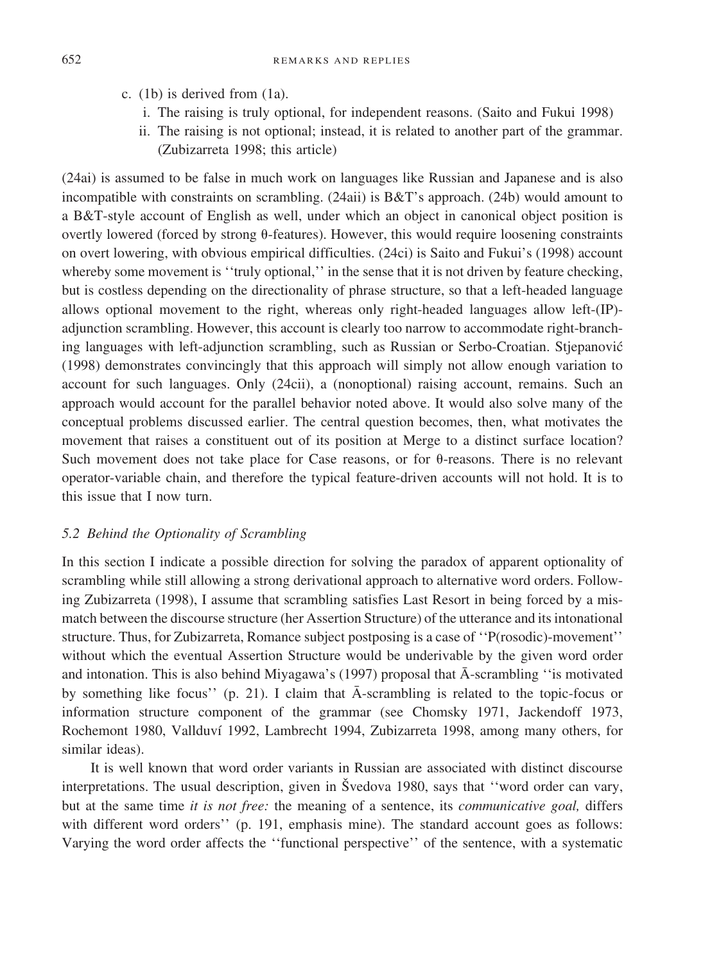- c. (1b) is derived from (1a).
	- i. The raising is truly optional, for independent reasons. (Saito and Fukui 1998)
	- ii. The raising is not optional; instead, it is related to another part of the grammar. (Zubizarreta 1998; this article)

(24ai) is assumed to be false in much work on languages like Russian and Japanese and is also incompatible with constraints on scrambling.  $(24ai)$  is  $B&T$ 's approach.  $(24b)$  would amount to a B&T-style account of English as well, under which an object in canonical object position is overtly lowered (forced by strong  $\theta$ -features). However, this would require loosening constraints on overt lowering, with obvious empirical difficulties. (24ci) is Saito and Fukui's (1998) account whereby some movement is "truly optional," in the sense that it is not driven by feature checking, but is costless depending on the directionality of phrase structure, so that a left-headed language allows optional movement to the right, whereas only right-headed languages allow left-(IP) adjunction scrambling. However, this account is clearly too narrow to accommodate right-branching languages with left-adjunction scrambling, such as Russian or Serbo-Croatian. Stjepanović (1998) demonstrates convincingly that this approach will simply not allow enough variation to account for such languages. Only (24cii), a (nonoptional) raising account, remains. Such an approach would account for the parallel behavior noted above. It would also solve many of the conceptual problems discussed earlier. The central question becomes, then, what motivates the movement that raises a constituent out of its position at Merge to a distinct surface location? Such movement does not take place for Case reasons, or for  $\theta$ -reasons. There is no relevant operator-variable chain, and therefore the typical feature-driven accounts will not hold. It is to this issue that I now turn.

#### *5.2 Behind the Optionality of Scrambling*

In this section I indicate a possible direction for solving the paradox of apparent optionality of scrambling while still allowing a strong derivational approach to alternative word orders. Following Zubizarreta (1998), I assume that scrambling satisfies Last Resort in being forced by a mismatch between the discourse structure (her Assertion Structure) of the utterance and its intonational structure. Thus, for Zubizarreta, Romance subject postposing is a case of ''P(rosodic)-movement'' without which the eventual Assertion Structure would be underivable by the given word order and intonation. This is also behind Miyagawa's (1997) proposal that  $\bar{A}$ -scrambling "is motivated by something like focus'' (p. 21). I claim that  $\bar{A}$ -scrambling is related to the topic-focus or information structure component of the grammar (see Chomsky 1971, Jackendoff 1973, Rochemont 1980, Vallduví 1992, Lambrecht 1994, Zubizarreta 1998, among many others, for similar ideas).

It is well known that word order variants in Russian are associated with distinct discourse interpretations. The usual description, given in Syedova 1980, says that "word order can vary, but at the same time *it is not free:* the meaning of a sentence, its *communicative goal*, differs with different word orders'' (p. 191, emphasis mine). The standard account goes as follows: Varying the word order affects the ''functional perspective'' of the sentence, with a systematic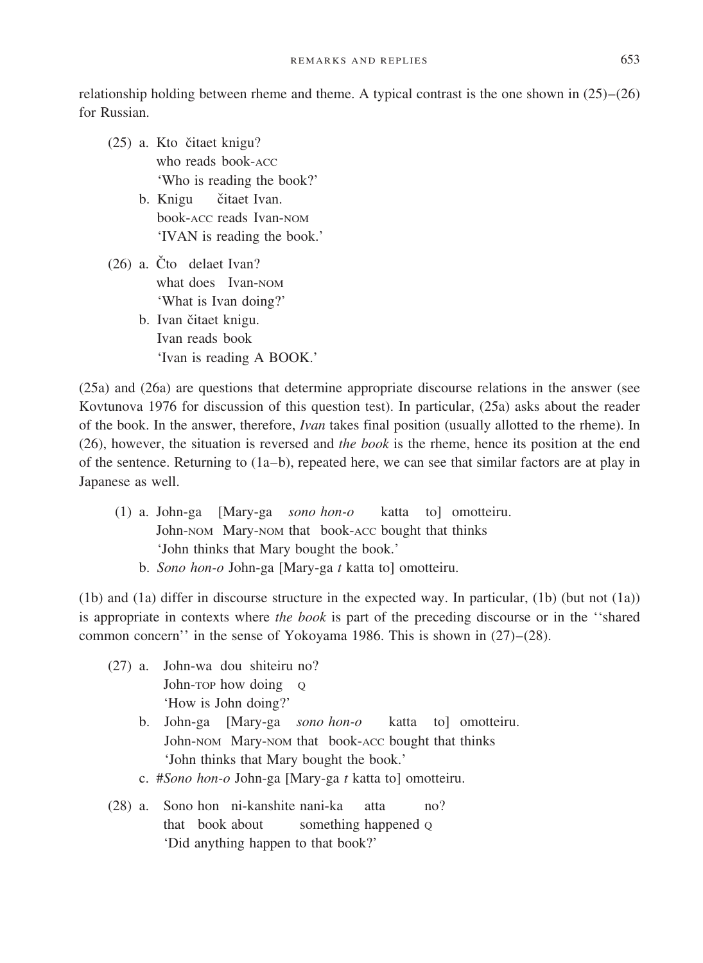relationship holding between rheme and theme. A typical contrast is the one shown in  $(25)-(26)$ for Russian.

- (25) a. Kto čitaet knigu? who reads book-ACC 'Who is reading the book?'
	- b. Knigu čitaet Ivan. book-ACC reads Ivan-NOM 'IVAN is reading the book.'
- $(26)$  a. Čto delaet Ivan? what does Ivan-NOM 'What is Ivan doing?'
	- b. Ivan čitaet knigu. Ivan reads book 'Ivan is reading A BOOK.'

(25a) and (26a) are questions that determine appropriate discourse relations in the answer (see Kovtunova 1976 for discussion of this question test). In particular, (25a) asks about the reader of the book. In the answer, therefore, *Ivan* takes final position (usually allotted to the rheme). In (26), however, the situation is reversed and *the book* is the rheme, hence its position at the end of the sentence. Returning to  $(1a-b)$ , repeated here, we can see that similar factors are at play in Japanese as well.

- (1) a. John-ga [Mary-ga *sono hon-o* katta to] omotteiru. John-NOM Mary-NOM that book-ACC bought that thinks 'John thinks that Mary bought the book.'
	- b. *Sono hon-o* John-ga [Mary-ga *t* katta to] omotteiru.

(1b) and (1a) differ in discourse structure in the expected way. In particular, (1b) (but not (1a)) is appropriate in contexts where *the book* is part of the preceding discourse or in the "shared" common concern'' in the sense of Yokoyama 1986. This is shown in  $(27)–(28)$ .

- (27) a. John-wa dou shiteiru no? John-TOP how doing Q 'How is John doing?'
	- b. John-ga [Mary-ga *sono hon-o* katta to] omotteiru. John-NOM Mary-NOM that book-ACC bought that thinks 'John thinks that Mary bought the book.'
	- c. #*Sono hon-o* John-ga [Mary-ga *t* katta to] omotteiru.
- (28) a. Sono hon ni-kanshite nani-ka atta no? that book about something happened o 'Did anything happen to that book?'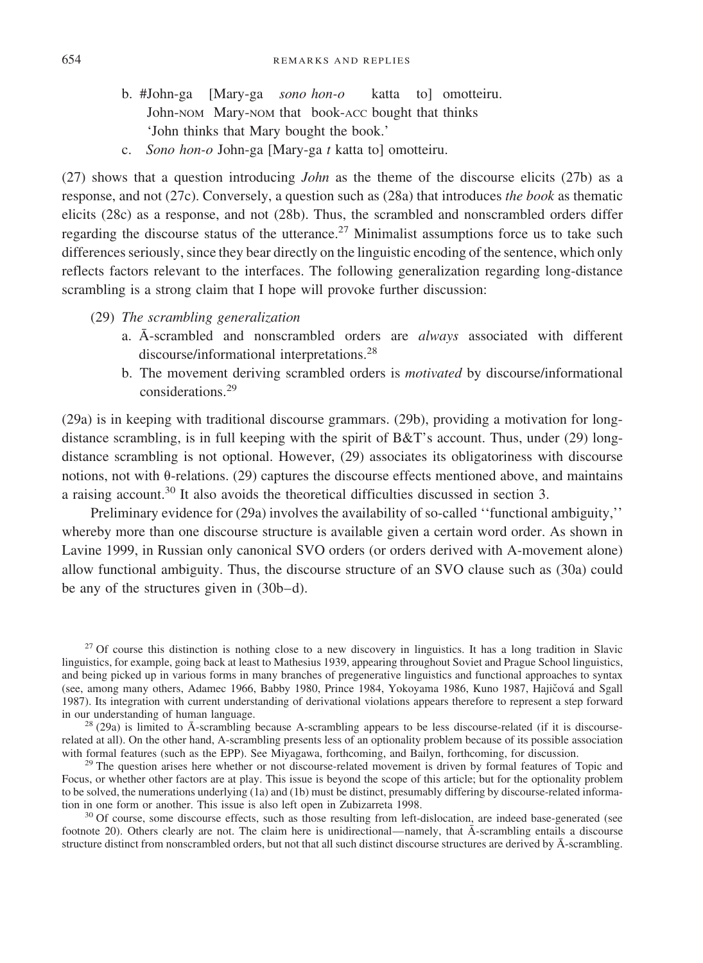- b. #John-ga [Mary-ga *sono hon-o* katta to] omotteiru. John-NOM Mary-NOM that book-ACC bought that thinks 'John thinks that Mary bought the book.'
- c. *Sono hon-o* John-ga [Mary-ga *t* katta to] omotteiru.

 $(27)$  shows that a question introducing *John* as the theme of the discourse elicits  $(27b)$  as a response, and not (27c). Conversely, a question such as (28a) that introduces *the book* as thematic elicits (28c) as a response, and not (28b). Thus, the scrambled and nonscrambled orders differ regarding the discourse status of the utterance.<sup>27</sup> Minimalist assumptions force us to take such differences seriously, since they bear directly on the linguistic encoding of the sentence, which only reflects factors relevant to the interfaces. The following generalization regarding long-distance scrambling is a strong claim that I hope will provoke further discussion:

- (29) *The scrambling generalization*
	- a. A¯ -scrambled and nonscrambled orders are *always* associated with different discourse/informational interpretations.<sup>28</sup>
	- b. The movement deriving scrambled orders is *motivated* by discourse/informational considerations.<sup>29</sup>

(29a) is in keeping with traditional discourse grammars. (29b), providing a motivation for longdistance scrambling, is in full keeping with the spirit of  $B&T$ 's account. Thus, under (29) longdistance scrambling is not optional. However, (29) associates its obligatoriness with discourse notions, not with  $\theta$ -relations. (29) captures the discourse effects mentioned above, and maintains a raising account.<sup>30</sup> It also avoids the theoretical difficulties discussed in section 3.

Preliminary evidence for (29a) involves the availability of so-called ''functional ambiguity,'' whereby more than one discourse structure is available given a certain word order. As shown in Lavine 1999, in Russian only canonical SVO orders (or orders derived with A-movement alone) allow functional ambiguity. Thus, the discourse structure of an SVO clause such as (30a) could be any of the structures given in  $(30b-d)$ .

<sup>27</sup> Of course this distinction is nothing close to a new discovery in linguistics. It has a long tradition in Slavic linguistics, for example, going back at least to Mathesius 1939, appearing throughout Soviet and Prague School linguistics, and being picked up in various forms in many branches of pregenerative linguistics and functional approaches to syntax (see, among many others, Adamec 1966, Babby 1980, Prince 1984, Yokoyama 1986, Kuno 1987, Hajičová and Sgall 1987). Its integration with current understanding of derivational violations appears therefore to represent a step forward

 $^{28}$  (29a) is limited to  $\bar{A}$ -scrambling because A-scrambling appears to be less discourse-related (if it is discourserelated at all). On the other hand, A-scrambling presents less of an optionality problem because of its possible association with formal features (such as the EPP). See Miyagawa, forthcoming, and Bailyn, forthcoming, for d

 $29$  The question arises here whether or not discourse-related movement is driven by formal features of Topic and Focus, or whether other factors are at play. This issue is beyond the scope of this article; but for the optionality problem to be solved, the numerations underlying (1a) and (1b) must be distinct, presumably differing by discourse-related information in one form or another. This issue is also left open in Zubizarreta 1998.<br> $30$  Of course, some discourse effects, such as those resulting from left-dislocation, are indeed base-generated (see

footnote 20). Others clearly are not. The claim here is unidirectional—namely, that  $\bar{A}$ -scrambling entails a discourse structure distinct from nonscrambled orders, but not that all such distinct discourse structures are derived by  $\bar{A}$ -scrambling.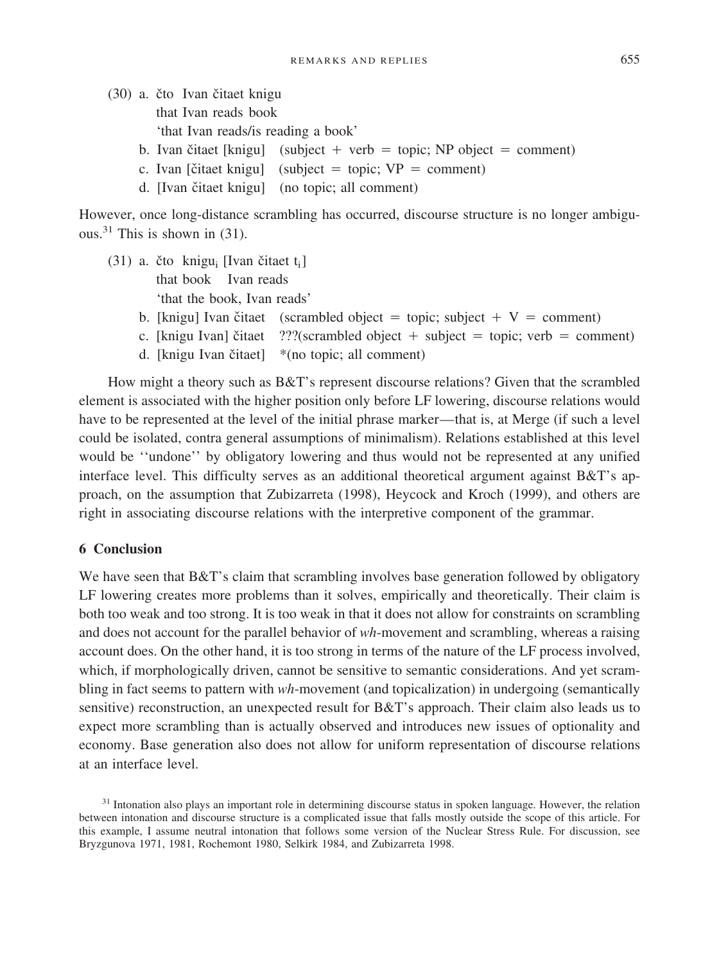|  | (30) a. čto Ivan čitaet knigu       |                                                                      |  |  |  |
|--|-------------------------------------|----------------------------------------------------------------------|--|--|--|
|  | that Ivan reads book                |                                                                      |  |  |  |
|  | 'that Ivan reads/is reading a book' |                                                                      |  |  |  |
|  |                                     | b. Ivan čitaet [knigu] (subject + verb = topic; NP object = comment) |  |  |  |
|  |                                     | c. Ivan [čitaet knigu] (subject = topic; $VP =$ comment)             |  |  |  |
|  |                                     | d. [Ivan čitaet knigu] (no topic; all comment)                       |  |  |  |

However, once long-distance scrambling has occurred, discourse structure is no longer ambiguous.<sup>31</sup> This is shown in  $(31)$ .

- (31) a. čto knigu<sub>i</sub> [Ivan čitaet  $t_i$ ] that book Ivan reads 'that the book, Ivan reads'
	- b. [knigu] Ivan čitaet (scrambled object = topic; subject  $+ V =$  comment)
	- c. [knigu Ivan] čitaet  $\frac{??}{?}$ (scrambled object + subject = topic; verb = comment)
	- d. [knigu Ivan čitaet]  $*(no topic; all comment)$

How might a theory such as B&T's represent discourse relations? Given that the scrambled element is associated with the higher position only before LF lowering, discourse relations would have to be represented at the level of the initial phrase marker—that is, at Merge (if such a level could be isolated, contra general assumptions of minimalism). Relations established at this level would be ''undone'' by obligatory lowering and thus would not be represented at any unified interface level. This difficulty serves as an additional theoretical argument against B&T's approach, on the assumption that Zubizarreta (1998), Heycock and Kroch (1999), and others are right in associating discourse relations with the interpretive component of the grammar.

#### **6 Conclusion**

We have seen that B&T's claim that scrambling involves base generation followed by obligatory LF lowering creates more problems than it solves, empirically and theoretically. Their claim is both too weak and too strong. It is too weak in that it does not allow for constraints on scrambling and does not account for the parallel behavior of *wh*-movement and scrambling, whereas a raising account does. On the other hand, it is too strong in terms of the nature of the LF process involved, which, if morphologically driven, cannot be sensitive to semantic considerations. And yet scrambling in fact seems to pattern with *wh*-movement (and topicalization) in undergoing (semantically sensitive) reconstruction, an unexpected result for B&T's approach. Their claim also leads us to expect more scrambling than is actually observed and introduces new issues of optionality and economy. Base generation also does not allow for uniform representation of discourse relations at an interface level.

<sup>&</sup>lt;sup>31</sup> Intonation also plays an important role in determining discourse status in spoken language. However, the relation between intonation and discourse structure is a complicated issue that falls mostly outside the scope of this article. For this example, I assume neutral intonation that follows some version of the Nuclear Stress Rule. For discussion, see Bryzgunova 1971, 1981, Rochemont 1980, Selkirk 1984, and Zubizarreta 1998.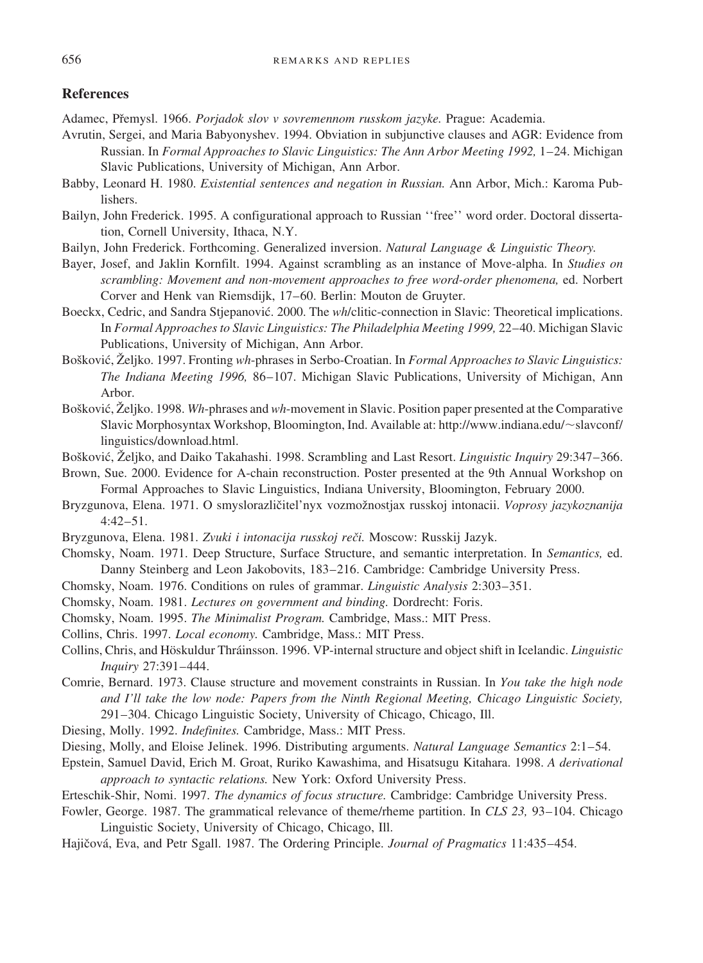## **References**

Adamec, Přemysl. 1966. Porjadok slov v sovremennom russkom jazyke. Prague: Academia.

- Avrutin, Sergei, and Maria Babyonyshev. 1994. Obviation in subjunctive clauses and AGR: Evidence from Russian. In *Formal Approaches to Slavic Linguistics: The Ann Arbor Meeting 1992,* 1–24. Michigan Slavic Publications, University of Michigan, Ann Arbor.
- Babby, Leonard H. 1980. *Existential sentences and negation in Russian.* Ann Arbor, Mich.: Karoma Publishers.
- Bailyn, John Frederick. 1995. A configurational approach to Russian ''free'' word order. Doctoral dissertation, Cornell University, Ithaca, N.Y.
- Bailyn, John Frederick. Forthcoming. Generalized inversion. *Natural Language & Linguistic Theory.*
- Bayer, Josef, and Jaklin Kornfilt. 1994. Against scrambling as an instance of Move-alpha. In *Studies on scrambling: Movement and non-movement approaches to free word-order phenomena,* ed. Norbert Corver and Henk van Riemsdijk, 17–60. Berlin: Mouton de Gruyter.
- Boeckx, Cedric, and Sandra Stjepanović. 2000. The *wh*/clitic-connection in Slavic: Theoretical implications. In *Formal Approaches to Slavic Linguistics: The Philadelphia Meeting 1999,* 22–40. Michigan Slavic Publications, University of Michigan, Ann Arbor.
- Bošković, Željko. 1997. Fronting *wh*-phrases in Serbo-Croatian. In *Formal Approaches to Slavic Linguistics: The Indiana Meeting 1996, 86-107. Michigan Slavic Publications, University of Michigan, Ann* Arbor.
- Bošković, Željko. 1998. *Wh*-phrases and *wh*-movement in Slavic. Position paper presented at the Comparative Slavic Morphosyntax Workshop, Bloomington, Ind. Available at: http://www.indiana.edu/~slavconf/ linguistics/download.html.
- Bošković, Željko, and Daiko Takahashi. 1998. Scrambling and Last Resort. *Linguistic Inquiry* 29:347–366.
- Brown, Sue. 2000. Evidence for A-chain reconstruction. Poster presented at the 9th Annual Workshop on Formal Approaches to Slavic Linguistics, Indiana University, Bloomington, February 2000.
- Bryzgunova, Elena. 1971. O smyslorazličitel'nyx vozmožnostjax russkoj intonacii. *Voprosy jazykoznanija* 4:42–51.
- Bryzgunova, Elena. 1981. Zvuki i intonacija russkoj reči. Moscow: Russkij Jazyk.
- Chomsky, Noam. 1971. Deep Structure, Surface Structure, and semantic interpretation. In *Semantics,* ed. Danny Steinberg and Leon Jakobovits, 183–216. Cambridge: Cambridge University Press.
- Chomsky, Noam. 1976. Conditions on rules ofgrammar. *Linguistic Analysis* 2:303–351.
- Chomsky, Noam. 1981. *Lectures on government and binding.* Dordrecht: Foris.
- Chomsky, Noam. 1995. *The Minimalist Program.* Cambridge, Mass.: MIT Press.
- Collins, Chris. 1997. *Local economy.* Cambridge, Mass.: MIT Press.
- Collins, Chris, and Ho¨skuldur Thra´insson. 1996. VP-internal structure and object shift in Icelandic. *Linguistic Inquiry* 27:391–444.
- Comrie, Bernard. 1973. Clause structure and movement constraints in Russian. In *You take the high node and I'll take the low node: Papers from the Ninth Regional Meeting, Chicago Linguistic Society,* 291–304. Chicago Linguistic Society, University of Chicago, Chicago, Ill.
- Diesing, Molly. 1992. *Indefinites.* Cambridge, Mass.: MIT Press.
- Diesing, Molly, and Eloise Jelinek. 1996. Distributing arguments. *Natural Language Semantics* 2:1–54.
- Epstein, Samuel David, Erich M. Groat, Ruriko Kawashima, and Hisatsugu Kitahara. 1998. *A derivational approach to syntactic relations.* New York: Oxford University Press.
- Erteschik-Shir, Nomi. 1997. *The dynamics of focus structure.* Cambridge: Cambridge University Press.
- Fowler, George. 1987. The grammatical relevance of theme/rheme partition. In *CLS* 23, 93-104. Chicago Linguistic Society, University of Chicago, Chicago, Ill.
- Hajičová, Eva, and Petr Sgall. 1987. The Ordering Principle. *Journal of Pragmatics* 11:435–454.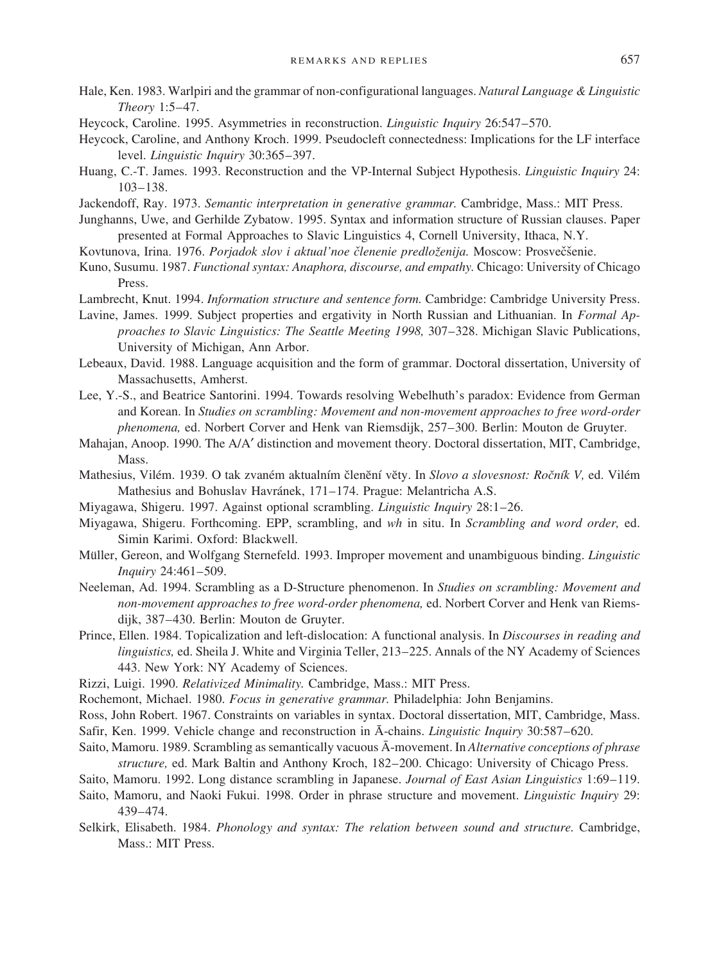- Hale, Ken. 1983. Warlpiri and the grammar ofnon-configurational languages. *Natural Language & Linguistic Theory* 1:5–47.
- Heycock, Caroline. 1995. Asymmetries in reconstruction. *Linguistic Inquiry* 26:547–570.
- Heycock, Caroline, and Anthony Kroch. 1999. Pseudocleft connectedness: Implications for the LF interface level. *Linguistic Inquiry* 30:365–397.
- Huang, C.-T. James. 1993. Reconstruction and the VP-Internal Subject Hypothesis. *Linguistic Inquiry* 24: 103–138.
- Jackendoff, Ray. 1973. *Semantic interpretation in generative grammar.* Cambridge, Mass.: MIT Press.
- Junghanns, Uwe, and Gerhilde Zybatow. 1995. Syntax and information structure of Russian clauses. Paper presented at Formal Approaches to Slavic Linguistics 4, Cornell University, Ithaca, N.Y.
- Kovtunova, Irina. 1976. Porjadok slov i aktual'noe členenie predloženija. Moscow: Prosvečšenie.
- Kuno, Susumu. 1987. *Functional syntax: Anaphora, discourse, and empathy.* Chicago: University ofChicago Press.
- Lambrecht, Knut. 1994. *Information structure and sentence form.* Cambridge: Cambridge University Press.
- Lavine, James. 1999. Subject properties and ergativity in North Russian and Lithuanian. In *Formal Approaches to Slavic Linguistics: The Seattle Meeting 1998,* 307–328. Michigan Slavic Publications, University of Michigan, Ann Arbor.
- Lebeaux, David. 1988. Language acquisition and the form of grammar. Doctoral dissertation, University of Massachusetts, Amherst.
- Lee, Y.-S., and Beatrice Santorini. 1994. Towards resolving Webelhuth's paradox: Evidence from German and Korean. In *Studies on scrambling: Movement and non-movement approaches to free word-order phenomena,* ed. Norbert Corver and Henk van Riemsdijk, 257–300. Berlin: Mouton de Gruyter.
- Mahajan, Anoop. 1990. The A/A′ distinction and movement theory. Doctoral dissertation, MIT, Cambridge, Mass.
- Mathesius, Vilém. 1939. O tak zvaném aktualním členění věty. In Slovo a slovesnost: Ročník V, ed. Vilém Mathesius and Bohuslav Havránek, 171–174. Prague: Melantricha A.S.
- Miyagawa, Shigeru. 1997. Against optional scrambling. *Linguistic Inquiry* 28:1–26.
- Miyagawa, Shigeru. Forthcoming. EPP, scrambling, and *wh* in situ. In *Scrambling and word order,* ed. Simin Karimi. Oxford: Blackwell.
- Müller, Gereon, and Wolfgang Sternefeld. 1993. Improper movement and unambiguous binding. *Linguistic Inquiry* 24:461–509.
- Neeleman, Ad. 1994. Scrambling as a D-Structure phenomenon. In *Studies on scrambling: Movement and non-movement approaches to free word-order phenomena,* ed. Norbert Corver and Henk van Riemsdijk, 387–430. Berlin: Mouton de Gruyter.
- Prince, Ellen. 1984. Topicalization and left-dislocation: A functional analysis. In *Discourses in reading and linguistics*, ed. Sheila J. White and Virginia Teller, 213–225. Annals of the NY Academy of Sciences 443. New York: NY Academy of Sciences.
- Rizzi, Luigi. 1990. *Relativized Minimality.* Cambridge, Mass.: MIT Press.
- Rochemont, Michael. 1980. *Focus in generative grammar.* Philadelphia: John Benjamins.
- Ross, John Robert. 1967. Constraints on variables in syntax. Doctoral dissertation, MIT, Cambridge, Mass.
- Safir, Ken. 1999. Vehicle change and reconstruction in A¯ -chains. *Linguistic Inquiry* 30:587–620.
- Saito, Mamoru. 1989. Scrambling as semantically vacuous  $\bar{A}$ -movement. In *Alternative conceptions of phrase structure*, ed. Mark Baltin and Anthony Kroch, 182-200. Chicago: University of Chicago Press.
- Saito, Mamoru. 1992. Long distance scrambling in Japanese. *Journal of East Asian Linguistics* 1:69–119.
- Saito, Mamoru, and Naoki Fukui. 1998. Order in phrase structure and movement. *Linguistic Inquiry* 29: 439–474.
- Selkirk, Elisabeth. 1984. *Phonology and syntax: The relation between sound and structure.* Cambridge, Mass.: MIT Press.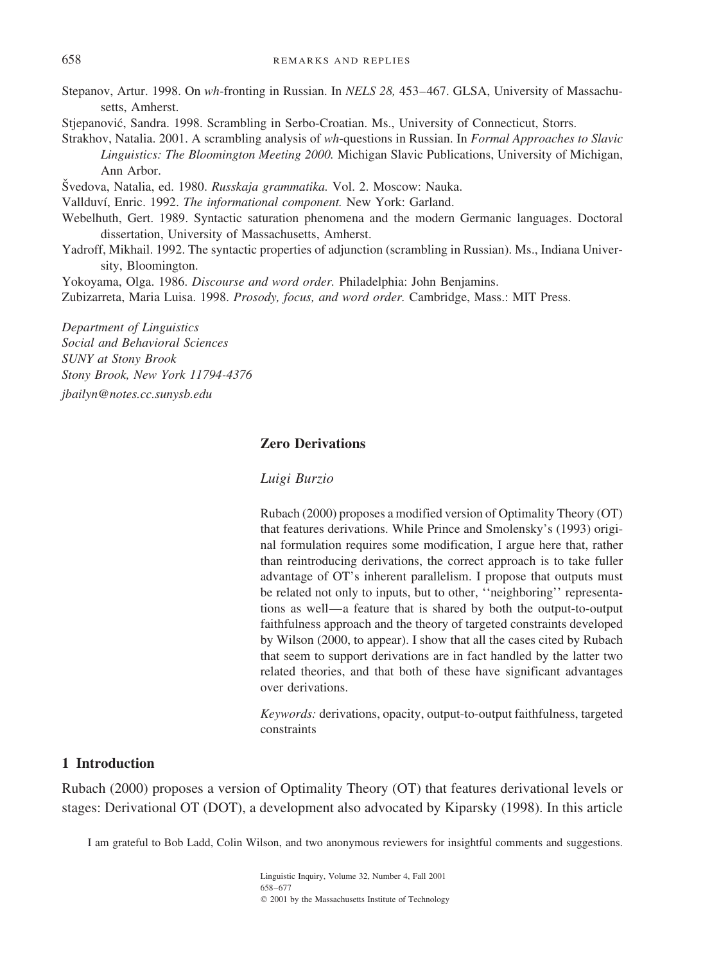Stepanov, Artur. 1998. On wh-fronting in Russian. In *NELS 28*, 453-467. GLSA, University of Massachusetts, Amherst.

Stjepanović, Sandra. 1998. Scrambling in Serbo-Croatian. Ms., University of Connecticut, Storrs.

Strakhov, Natalia. 2001. A scrambling analysis of *wh*-questions in Russian. In *Formal Approaches to Slavic* Linguistics: The Bloomington Meeting 2000. Michigan Slavic Publications, University of Michigan, Ann Arbor.

Švedova, Natalia, ed. 1980. *Russkaja grammatika*. Vol. 2. Moscow: Nauka.

Vallduví, Enric. 1992. *The informational component*. New York: Garland.

- Webelhuth, Gert. 1989. Syntactic saturation phenomena and the modern Germanic languages. Doctoral dissertation, University of Massachusetts, Amherst.
- Yadroff, Mikhail. 1992. The syntactic properties of adjunction (scrambling in Russian). Ms., Indiana University, Bloomington.

Yokoyama, Olga. 1986. *Discourse and word order.* Philadelphia: John Benjamins.

Zubizarreta, Maria Luisa. 1998. *Prosody, focus, and word order.* Cambridge, Mass.: MIT Press.

*Department of Linguistics Social and Behavioral Sciences SUNY at Stony Brook Stony Brook, New York 11794-4376*

*jbailyn@notes.cc.sunysb.edu*

## **Zero Derivations**

#### *Luigi Burzio*

Rubach (2000) proposes a modified version of Optimality Theory (OT) that features derivations. While Prince and Smolensky's (1993) original formulation requires some modification, I argue here that, rather than reintroducing derivations, the correct approach is to take fuller advantage of OT's inherent parallelism. I propose that outputs must be related not only to inputs, but to other, ''neighboring'' representations as well—a feature that is shared by both the output-to-output faithfulness approach and the theory of targeted constraints developed by Wilson (2000, to appear). I show that all the cases cited by Rubach that seem to support derivations are in fact handled by the latter two related theories, and that both of these have significant advantages over derivations.

*Keywords:* derivations, opacity, output-to-output faithfulness, targeted constraints

#### **1 Introduction**

Rubach (2000) proposes a version of Optimality Theory (OT) that features derivational levels or stages: Derivational OT (DOT), a development also advocated by Kiparsky (1998). In this article

I am grateful to Bob Ladd, Colin Wilson, and two anonymous reviewers for insightful comments and suggestions.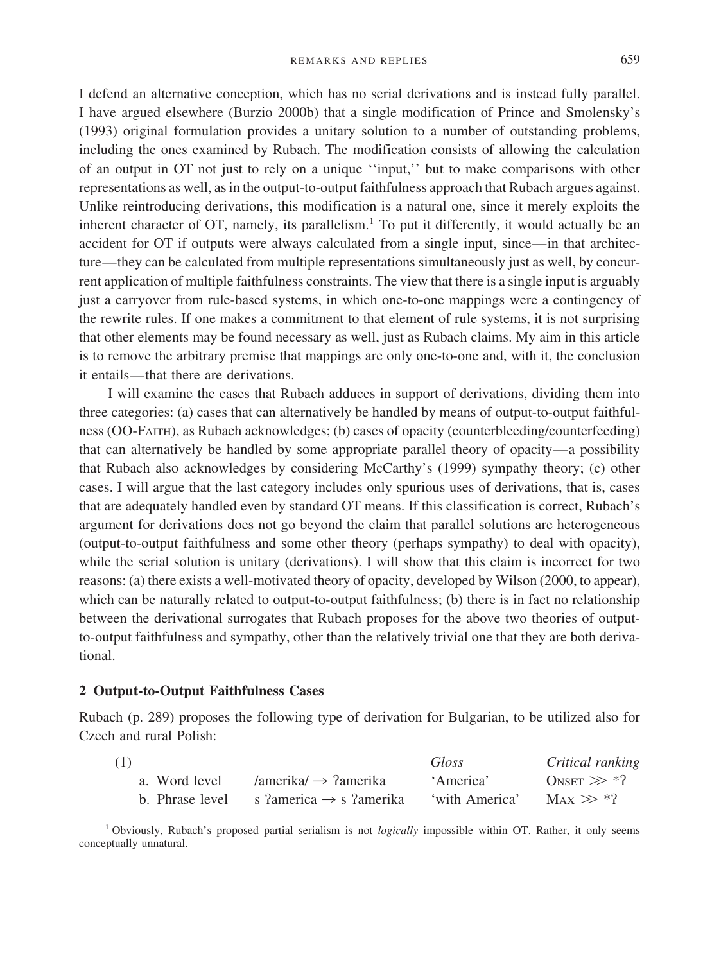I defend an alternative conception, which has no serial derivations and is instead fully parallel. I have argued elsewhere (Burzio 2000b) that a single modification of Prince and Smolensky's (1993) original formulation provides a unitary solution to a number of outstanding problems, including the ones examined by Rubach. The modification consists of allowing the calculation ofan output in OT not just to rely on a unique ''input,'' but to make comparisons with other representations as well, as in the output-to-output faithfulness approach that Rubach argues against. Unlike reintroducing derivations, this modification is a natural one, since it merely exploits the inherent character of  $OT$ , namely, its parallelism.<sup>1</sup> To put it differently, it would actually be an accident for OT if outputs were always calculated from a single input, since—in that architecture—they can be calculated from multiple representations simultaneously just as well, by concurrent application of multiple faithfulness constraints. The view that there is a single input is arguably just a carryover from rule-based systems, in which one-to-one mappings were a contingency of the rewrite rules. If one makes a commitment to that element of rule systems, it is not surprising that other elements may be found necessary as well, just as Rubach claims. My aim in this article is to remove the arbitrary premise that mappings are only one-to-one and, with it, the conclusion it entails—that there are derivations.

I will examine the cases that Rubach adduces in support of derivations, dividing them into three categories: (a) cases that can alternatively be handled by means of output-to-output faithfulness (OO-FAITH), as Rubach acknowledges; (b) cases of opacity (counterbleeding/counterfeeding) that can alternatively be handled by some appropriate parallel theory of opacity—a possibility that Rubach also acknowledges by considering McCarthy's (1999) sympathy theory; (c) other cases. I will argue that the last category includes only spurious uses of derivations, that is, cases that are adequately handled even by standard OT means. Ifthis classification is correct, Rubach's argument for derivations does not go beyond the claim that parallel solutions are heterogeneous (output-to-output faithfulness and some other theory (perhaps sympathy) to deal with opacity), while the serial solution is unitary (derivations). I will show that this claim is incorrect for two reasons: (a) there exists a well-motivated theory of opacity, developed by Wilson (2000, to appear), which can be naturally related to output-to-output faithfulness; (b) there is in fact no relationship between the derivational surrogates that Rubach proposes for the above two theories of outputto-output faithfulness and sympathy, other than the relatively trivial one that they are both derivational.

## **2 Output-to-Output Faithfulness Cases**

Rubach (p. 289) proposes the following type of derivation for Bulgarian, to be utilized also for Czech and rural Polish:

| (1)           |                                                           | Gloss          | Critical ranking             |
|---------------|-----------------------------------------------------------|----------------|------------------------------|
| a. Word level | /amerika/ $\rightarrow$ ?amerika                          | 'America'      | ONSET $\gg$ *?               |
|               | b. Phrase level s $2$ america $\rightarrow$ s $2$ amerika | 'with America' | $\text{Max} \gg \frac{1}{2}$ |

<sup>1</sup> Obviously, Rubach's proposed partial serialism is not *logically* impossible within OT. Rather, it only seems conceptually unnatural.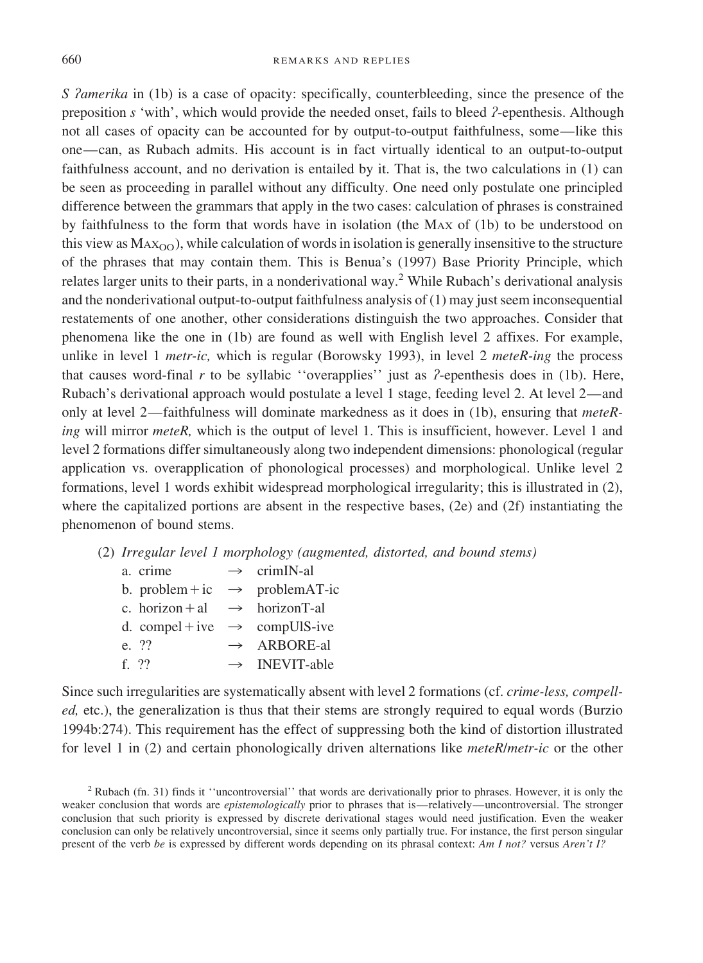*S Zamerika* in (1b) is a case of opacity: specifically, counterbleeding, since the presence of the preposition *s* 'with', which would provide the needed onset, fails to bleed *?*-epenthesis. Although not all cases of opacity can be accounted for by output-to-output faithfulness, some—like this one—can, as Rubach admits. His account is in fact virtually identical to an output-to-output faithfulness account, and no derivation is entailed by it. That is, the two calculations in (1) can be seen as proceeding in parallel without any difficulty. One need only postulate one principled difference between the grammars that apply in the two cases: calculation of phrases is constrained by faithfulness to the form that words have in isolation (the MAX of (1b) to be understood on this view as  $MAX_{OO}$ , while calculation of words in isolation is generally insensitive to the structure of the phrases that may contain them. This is Benua's (1997) Base Priority Principle, which relates larger units to their parts, in a nonderivational way.<sup>2</sup> While Rubach's derivational analysis and the nonderivational output-to-output faithfulness analysis of (1) may just seem inconsequential restatements of one another, other considerations distinguish the two approaches. Consider that phenomena like the one in (1b) are found as well with English level 2 affixes. For example, unlike in level 1 *metr-ic,* which is regular (Borowsky 1993), in level 2 *meteR-ing* the process that causes word-final *r* to be syllabic ''overapplies'' just as *≈*-epenthesis does in (1b). Here, Rubach's derivational approach would postulate a level 1 stage, feeding level 2. At level 2—and only at level 2—faithfulness will dominate markedness as it does in (1b), ensuring that *meteRing* will mirror *meteR,* which is the output of level 1. This is insufficient, however. Level 1 and level 2 formations differ simultaneously along two independent dimensions: phonological (regular application vs. overapplication of phonological processes) and morphological. Unlike level 2 formations, level 1 words exhibit widespread morphological irregularity; this is illustrated in (2), where the capitalized portions are absent in the respective bases, (2e) and (2f) instantiating the phenomenon of bound stems.

(2) *Irregular level 1 morphology (augmented, distorted, and bound stems)*

| a. crime                                   | $\rightarrow$ crimIN-al                     |
|--------------------------------------------|---------------------------------------------|
|                                            | b. problem + ic $\rightarrow$ problem AT-ic |
| c. horizon + al $\rightarrow$ horizon T-al |                                             |
| d. compel + ive $\rightarrow$ compUIS-ive  |                                             |
| e. ??                                      | $\rightarrow$ ARBORE-al                     |
| f. $22$                                    | $\rightarrow$ INEVIT-able                   |

Since such irregularities are systematically absent with level 2 formations (cf. *crime-less, compelled,* etc.), the generalization is thus that their stems are strongly required to equal words (Burzio 1994b:274). This requirement has the effect of suppressing both the kind of distortion illustrated for level 1 in (2) and certain phonologically driven alternations like *meteR*/*metr-ic* or the other

<sup>2</sup> Rubach (fn. 31) finds it ''uncontroversial'' that words are derivationally prior to phrases. However, it is only the weaker conclusion that words are *epistemologically* prior to phrases that is—relatively—uncontroversial. The stronger conclusion that such priority is expressed by discrete derivational stages would need justification. Even the weaker conclusion can only be relatively uncontroversial, since it seems only partially true. For instance, the first person singular present of the verb *be* is expressed by different words depending on its phrasal context: *Am I not?* versus *Aren't I?*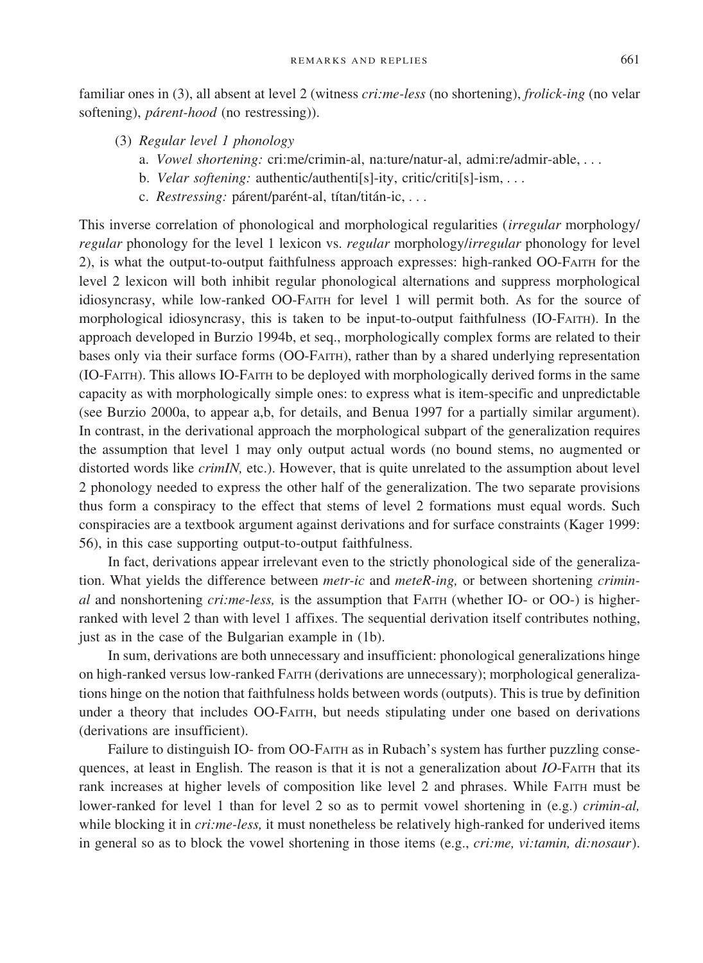familiar ones in (3), all absent at level 2 (witness *cri:me-less* (no shortening), *frolick-ing* (no velar softening), *párent-hood* (no restressing)).

- (3) *Regular level 1 phonology*
	- a. *Vowel shortening:* cri:me/crimin-al, na:ture/natur-al, admi:re/admir-able,...
	- b. *Velar softening:* authentic/authenti[s]-ity, critic/criti[s]-ism,...
	- c. *Restressing:* párent/parént-al, títan/titán-ic,...

This inverse correlation of phonological and morphological regularities (*irregular* morphology/ *regular* phonology for the level 1 lexicon vs. *regular* morphology/*irregular* phonology for level 2), is what the output-to-output faithfulness approach expresses: high-ranked OO-FAITH for the level 2 lexicon will both inhibit regular phonological alternations and suppress morphological idiosyncrasy, while low-ranked OO-FAITH for level 1 will permit both. As for the source of morphological idiosyncrasy, this is taken to be input-to-output faithfulness (IO-FAITH). In the approach developed in Burzio 1994b, et seq., morphologically complex forms are related to their bases only via their surface forms (OO-FAITH), rather than by a shared underlying representation (IO-FAITH). This allows IO-FAITH to be deployed with morphologically derived forms in the same capacity as with morphologically simple ones: to express what is item-specific and unpredictable (see Burzio 2000a, to appear a,b, for details, and Benua 1997 for a partially similar argument). In contrast, in the derivational approach the morphological subpart of the generalization requires the assumption that level 1 may only output actual words (no bound stems, no augmented or distorted words like *crimIN,* etc.). However, that is quite unrelated to the assumption about level 2 phonology needed to express the other half of the generalization. The two separate provisions thus form a conspiracy to the effect that stems of level 2 formations must equal words. Such conspiracies are a textbook argument against derivations and for surface constraints (Kager 1999: 56), in this case supporting output-to-output faithfulness.

In fact, derivations appear irrelevant even to the strictly phonological side of the generalization. What yields the difference between *metr-ic* and *meteR-ing,* or between shortening *criminal* and nonshortening *cri:me-less,* is the assumption that FAITH (whether IO- or OO-) is higherranked with level 2 than with level 1 affixes. The sequential derivation itself contributes nothing, just as in the case of the Bulgarian example in (1b).

In sum, derivations are both unnecessary and insufficient: phonological generalizations hinge on high-ranked versus low-ranked FAITH (derivations are unnecessary); morphological generalizations hinge on the notion that faithfulness holds between words (outputs). This is true by definition under a theory that includes OO-FAITH, but needs stipulating under one based on derivations (derivations are insufficient).

Failure to distinguish IO- from OO-FAITH as in Rubach's system has further puzzling consequences, at least in English. The reason is that it is not a generalization about *IO*-FAITH that its rank increases at higher levels of composition like level 2 and phrases. While FAITH must be lower-ranked for level 1 than for level 2 so as to permit vowel shortening in (e.g.) *crimin-al,* while blocking it in *cri:me-less,* it must nonetheless be relatively high-ranked for underived items in general so as to block the vowel shortening in those items (e.g., *cri:me, vi:tamin, di:nosaur*).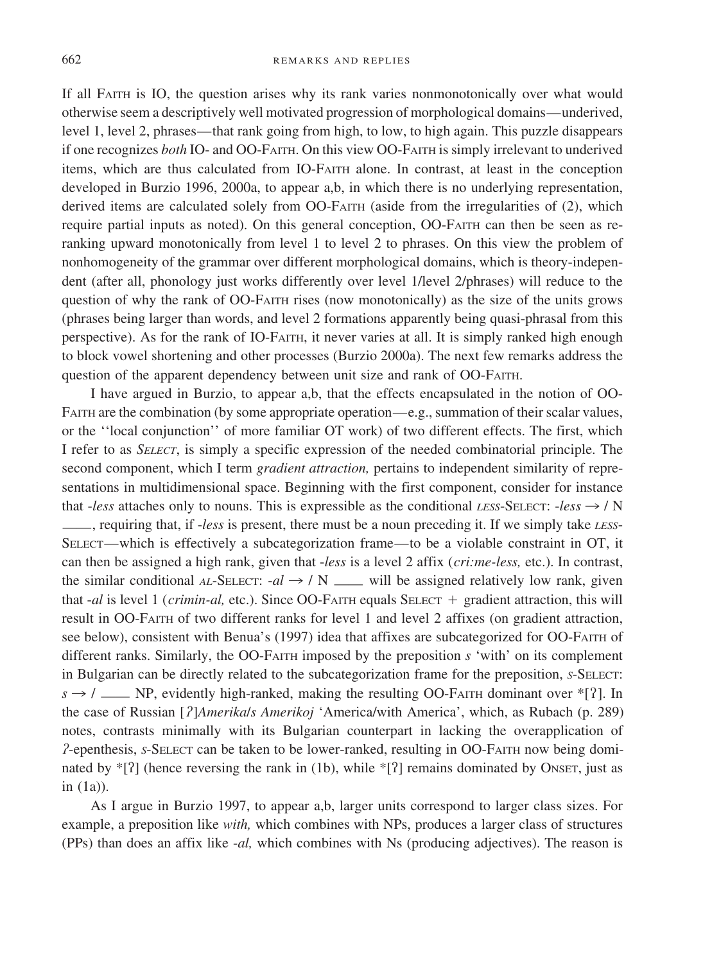If all FAITH is IO, the question arises why its rank varies nonmonotonically over what would otherwise seem a descriptively well motivated progression of morphological domains—underived, level 1, level 2, phrases—that rank going from high, to low, to high again. This puzzle disappears ifone recognizes *both* IO- and OO-FAITH. On this view OO-FAITH is simply irrelevant to underived items, which are thus calculated from IO-FAITH alone. In contrast, at least in the conception developed in Burzio 1996, 2000a, to appear a,b, in which there is no underlying representation, derived items are calculated solely from OO-FAITH (aside from the irregularities of (2), which require partial inputs as noted). On this general conception, OO-FAITH can then be seen as reranking upward monotonically from level 1 to level 2 to phrases. On this view the problem of nonhomogeneity of the grammar over different morphological domains, which is theory-independent (after all, phonology just works differently over level 1/level 2/phrases) will reduce to the question of why the rank of OO-FAITH rises (now monotonically) as the size of the units grows (phrases being larger than words, and level 2 formations apparently being quasi-phrasal from this perspective). As for the rank of IO-FAITH, it never varies at all. It is simply ranked high enough to block vowel shortening and other processes (Burzio 2000a). The next few remarks address the question of the apparent dependency between unit size and rank of OO-FAITH.

I have argued in Burzio, to appear a,b, that the effects encapsulated in the notion of OO-FAITH are the combination (by some appropriate operation—e.g., summation of their scalar values, or the ''local conjunction'' of more familiar OT work) of two different effects. The first, which I refer to as *SELECT*, is simply a specific expression of the needed combinatorial principle. The second component, which I term *gradient attraction*, pertains to independent similarity of representations in multidimensional space. Beginning with the first component, consider for instance that *-less* attaches only to nouns. This is expressible as the conditional *LESS*-SELECT: *-less*  $\rightarrow$  / N ——, requiring that, if-*less* is present, there must be a noun preceding it. Ifwe simply take *LESS*-SELECT—which is effectively a subcategorization frame—to be a violable constraint in OT, it can then be assigned a high rank, given that -*less* is a level 2 affix (*cri:me-less,* etc.). In contrast, the similar conditional *AL*-SELECT:  $-d \rightarrow / N$  —— will be assigned relatively low rank, given that -*al* is level 1 (*crimin-al,* etc.). Since OO-FAITH equals SELECT - gradient attraction, this will result in OO-FAITH of two different ranks for level 1 and level 2 affixes (on gradient attraction, see below), consistent with Benua's (1997) idea that affixes are subcategorized for OO-FAITH of different ranks. Similarly, the OO-FAITH imposed by the preposition *s* 'with' on its complement in Bulgarian can be directly related to the subcategorization frame for the preposition, *S*-SELECT:  $s \rightarrow$  / —— NP, evidently high-ranked, making the resulting OO-FAITH dominant over \*[?]. In the case of Russian [*?*]*Amerikals Amerikoj* 'America/with America', which, as Rubach (p. 289) notes, contrasts minimally with its Bulgarian counterpart in lacking the overapplication of *≈*-epenthesis, *<sup>S</sup>*-SELECT can be taken to be lower-ranked, resulting in OO-FAITH now being dominated by  $\{S\}$  (hence reversing the rank in (1b), while  $\{S\}$  remains dominated by ONSET, just as in (1a)).

As I argue in Burzio 1997, to appear a,b, larger units correspond to larger class sizes. For example, a preposition like *with*, which combines with NPs, produces a larger class of structures (PPs) than does an affix like -*al,* which combines with Ns (producing adjectives). The reason is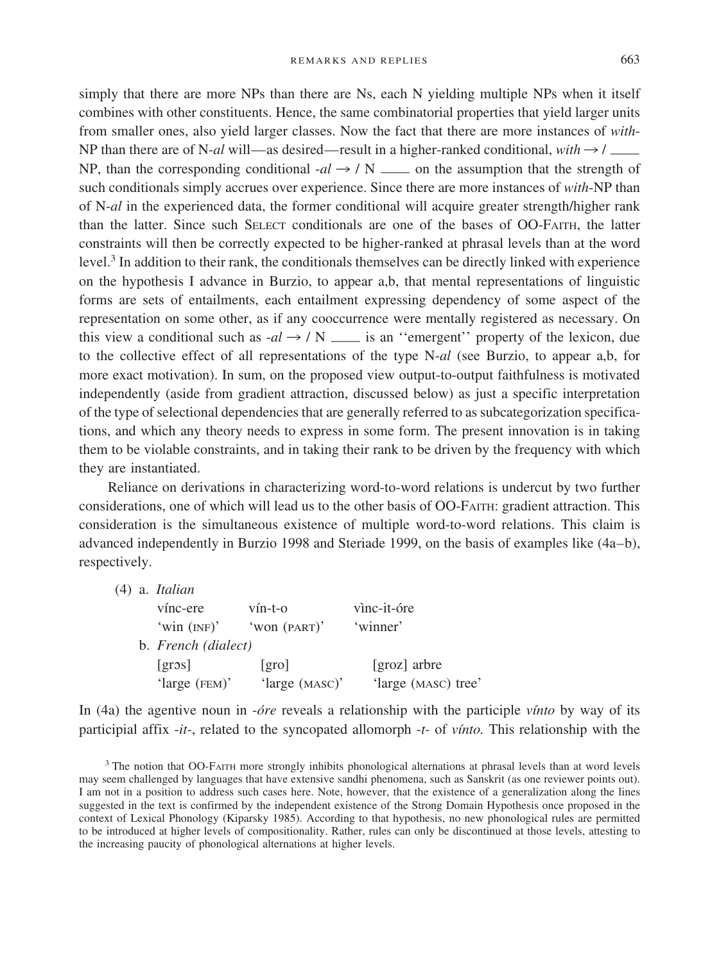simply that there are more NPs than there are Ns, each N yielding multiple NPs when it itself combines with other constituents. Hence, the same combinatorial properties that yield larger units from smaller ones, also yield larger classes. Now the fact that there are more instances of *with*-NP than there are of N-*al* will—as desired—result in a higher-ranked conditional, *with*  $\rightarrow$  /  $\qquad$ NP, than the corresponding conditional  $-d \rightarrow / N \rightarrow \infty$  on the assumption that the strength of such conditionals simply accrues over experience. Since there are more instances of *with*-NP than ofN-*al* in the experienced data, the former conditional will acquire greater strength/higher rank than the latter. Since such SELECT conditionals are one of the bases of OO-FAITH, the latter constraints will then be correctly expected to be higher-ranked at phrasal levels than at the word level. $3$  In addition to their rank, the conditionals themselves can be directly linked with experience on the hypothesis I advance in Burzio, to appear a,b, that mental representations oflinguistic forms are sets of entailments, each entailment expressing dependency of some aspect of the representation on some other, as if any cooccurrence were mentally registered as necessary. On this view a conditional such as  $-al \rightarrow / N$   $\qquad$  is an "emergent" property of the lexicon, due to the collective effect of all representations of the type N-*al* (see Burzio, to appear a,b, for more exact motivation). In sum, on the proposed view output-to-output faithfulness is motivated independently (aside from gradient attraction, discussed below) as just a specific interpretation of the type of selectional dependencies that are generally referred to as subcategorization specifications, and which any theory needs to express in some form. The present innovation is in taking them to be violable constraints, and in taking their rank to be driven by the frequency with which they are instantiated.

Reliance on derivations in characterizing word-to-word relations is undercut by two further considerations, one of which will lead us to the other basis of OO-FAITH: gradient attraction. This consideration is the simultaneous existence of multiple word-to-word relations. This claim is advanced independently in Burzio 1998 and Steriade 1999, on the basis ofexamples like (4a–b), respectively.

(4) a. *Italian*

| vínc-ere            | $vín-t-o$      | vìnc-it-óre         |
|---------------------|----------------|---------------------|
| 'win $(NF)$ '       | 'won (PART)'   | 'winner'            |
| b. French (dialect) |                |                     |
| $[\text{gross}]$    | [gro]          | [groz] arbre        |
| 'large $(FEM)$ '    | 'large (MASC)' | 'large (MASC) tree' |

In (4a) the agentive noun in -*ore* reveals a relationship with the participle *vinto* by way of its participial affix -*it*-, related to the syncopated allomorph -*t-* of *vı´nto.* This relationship with the

<sup>&</sup>lt;sup>3</sup> The notion that OO-FAITH more strongly inhibits phonological alternations at phrasal levels than at word levels may seem challenged by languages that have extensive sandhi phenomena, such as Sanskrit (as one reviewer points out). I am not in a position to address such cases here. Note, however, that the existence ofa generalization along the lines suggested in the text is confirmed by the independent existence of the Strong Domain Hypothesis once proposed in the context of Lexical Phonology (Kiparsky 1985). According to that hypothesis, no new phonological rules are permitted to be introduced at higher levels of compositionality. Rather, rules can only be discontinued at those levels, attesting to the increasing paucity of phonological alternations at higher levels.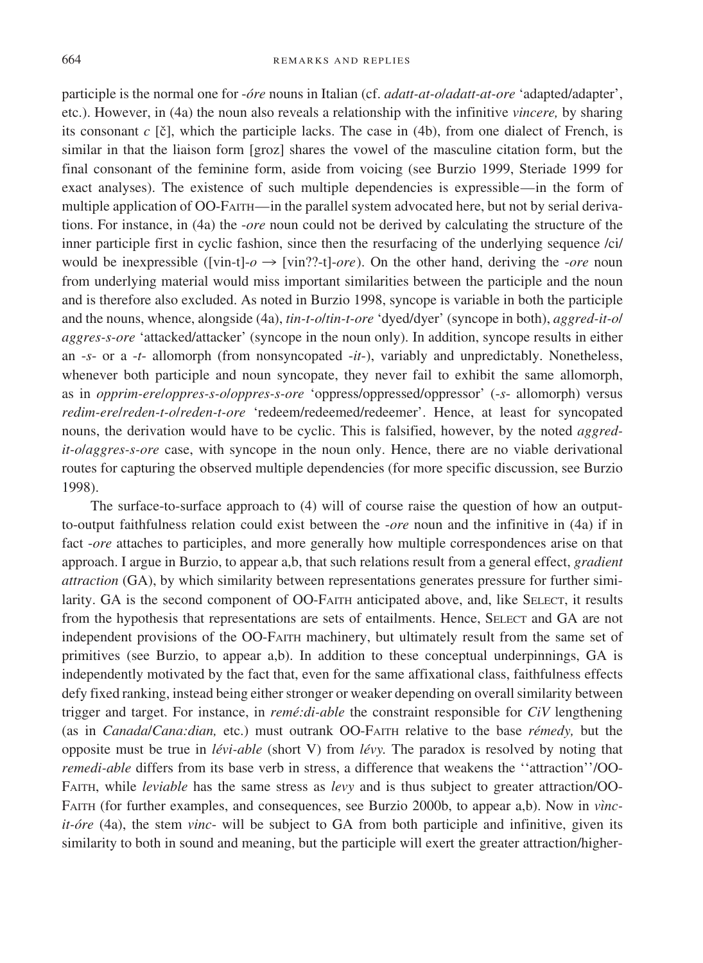#### 664 REMARKS AND REPLIES

participle is the normal one for -*o´re* nouns in Italian (cf. *adatt-at-o*/*adatt-at-ore* 'adapted/adapter', etc.). However, in (4a) the noun also reveals a relationship with the infinitive *vincere,* by sharing its consonant  $c$  [ $\check{c}$ ], which the participle lacks. The case in (4b), from one dialect of French, is similar in that the liaison form [groz] shares the vowel of the masculine citation form, but the final consonant of the feminine form, aside from voicing (see Burzio 1999, Steriade 1999 for exact analyses). The existence of such multiple dependencies is expressible—in the form of multiple application of OO-FAITH—in the parallel system advocated here, but not by serial derivations. For instance, in (4a) the -*ore* noun could not be derived by calculating the structure ofthe inner participle first in cyclic fashion, since then the resurfacing of the underlying sequence /ci/ would be inexpressible ([vin-t]- $o \rightarrow$  [vin??-t]-*ore*). On the other hand, deriving the -*ore* noun from underlying material would miss important similarities between the participle and the noun and is therefore also excluded. As noted in Burzio 1998, syncope is variable in both the participle and the nouns, whence, alongside (4a), *tin-t-o*/*tin-t-ore* 'dyed/dyer' (syncope in both), *aggred-it-o*/ *aggres-s-ore* 'attacked/attacker' (syncope in the noun only). In addition, syncope results in either an -*s*- or a -*t*- allomorph (from nonsyncopated -*it*-), variably and unpredictably. Nonetheless, whenever both participle and noun syncopate, they never fail to exhibit the same allomorph, as in *opprim-ere*/*oppres-s-o*/*oppres-s-ore* 'oppress/oppressed/oppressor' (-*s*- allomorph) versus *redim-ere*/*reden-t-o*/*reden-t-ore* 'redeem/redeemed/redeemer'. Hence, at least for syncopated nouns, the derivation would have to be cyclic. This is falsified, however, by the noted *aggredit-o*/*aggres-s-ore* case, with syncope in the noun only. Hence, there are no viable derivational routes for capturing the observed multiple dependencies (for more specific discussion, see Burzio 1998).

The surface-to-surface approach to (4) will of course raise the question of how an outputto-output faithfulness relation could exist between the -*ore* noun and the infinitive in (4a) if in fact -*ore* attaches to participles, and more generally how multiple correspondences arise on that approach. I argue in Burzio, to appear a,b, that such relations result from a general effect, *gradient attraction* (GA), by which similarity between representations generates pressure for further similarity. GA is the second component of OO-FAITH anticipated above, and, like SELECT, it results from the hypothesis that representations are sets of entailments. Hence, SELECT and GA are not independent provisions of the OO-FAITH machinery, but ultimately result from the same set of primitives (see Burzio, to appear a,b). In addition to these conceptual underpinnings, GA is independently motivated by the fact that, even for the same affixational class, faithfulness effects defy fixed ranking, instead being either stronger or weaker depending on overall similarity between trigger and target. For instance, in *reme´:di-able* the constraint responsible for *CiV* lengthening (as in *Canada*/*Cana:dian,* etc.) must outrank OO-FAITH relative to the base *re´medy,* but the opposite must be true in *le´vi-able* (short V) from *le´vy.* The paradox is resolved by noting that *remedi-able* differs from its base verb in stress, a difference that weakens the ''attraction''/OO-FAITH, while *leviable* has the same stress as *levy* and is thus subject to greater attraction/OO-FAITH (for further examples, and consequences, see Burzio 2000b, to appear a,b). Now in *vincit-o´re* (4a), the stem *vinc*- will be subject to GA from both participle and infinitive, given its similarity to both in sound and meaning, but the participle will exert the greater attraction/higher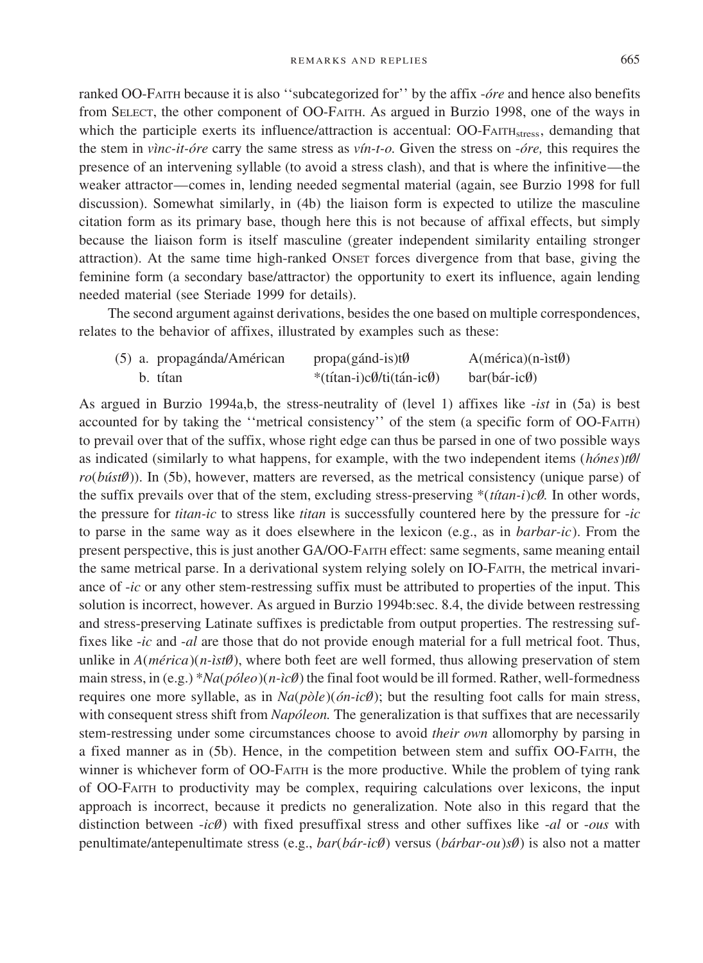ranked OO-FAITH because it is also ''subcategorized for'' by the affix -*o´re* and hence also benefits from SELECT, the other component of OO-FAITH. As argued in Burzio 1998, one of the ways in which the participle exerts its influence/attraction is accentual: OO-FAITH<sub>stress</sub>, demanding that the stem in *vı`nc-it-o´re* carry the same stress as *vı´n-t-o.* Given the stress on -*o´re,* this requires the presence ofan intervening syllable (to avoid a stress clash), and that is where the infinitive—the weaker attractor—comes in, lending needed segmental material (again, see Burzio 1998 for full discussion). Somewhat similarly, in (4b) the liaison form is expected to utilize the masculine citation form as its primary base, though here this is not because of affixal effects, but simply because the liaison form is itself masculine (greater independent similarity entailing stronger attraction). At the same time high-ranked ONSET forces divergence from that base, giving the feminine form (a secondary base/attractor) the opportunity to exert its influence, again lending needed material (see Steriade 1999 for details).

The second argument against derivations, besides the one based on multiple correspondences, relates to the behavior of affixes, illustrated by examples such as these:

|  | (5) a. propagánda/Américan | $propa(gánd-is)t\emptyset$ | $A(m\acute{e}rica)(n-ist\emptyset)$ |
|--|----------------------------|----------------------------|-------------------------------------|
|  | b. títan                   | *(títan-i)cØ/ti(tán-icØ)   | $bar(b$ ár-ic $\emptyset$           |

As argued in Burzio 1994a,b, the stress-neutrality of (level 1) affixes like -*ist* in (5a) is best accounted for by taking the "metrical consistency" of the stem (a specific form of OO-FAITH) to prevail over that of the suffix, whose right edge can thus be parsed in one of two possible ways as indicated (similarly to what happens, for example, with the two independent items (*hones*)*t0*/ *ro*(*búst0*)). In (5b), however, matters are reversed, as the metrical consistency (unique parse) of the suffix prevails over that of the stem, excluding stress-preserving \*(*titan-i*)*c0.* In other words, the pressure for *titan-ic* to stress like *titan* is successfully countered here by the pressure for -*ic* to parse in the same way as it does elsewhere in the lexicon (e.g., as in *barbar-ic*). From the present perspective, this is just another GA/OO-FAITH effect: same segments, same meaning entail the same metrical parse. In a derivational system relying solely on IO-FAITH, the metrical invariance of-*ic* or any other stem-restressing suffix must be attributed to properties of the input. This solution is incorrect, however. As argued in Burzio 1994b:sec. 8.4, the divide between restressing and stress-preserving Latinate suffixes is predictable from output properties. The restressing suffixes like -*ic* and -*al* are those that do not provide enough material for a full metrical foot. Thus, unlike in  $A(m\acute{e}rica)(n\acute{e}st\theta)$ , where both feet are well formed, thus allowing preservation of stem main stress, in (e.g.) \**Na*(*póleo*)(*n-ic0*) the final foot would be ill formed. Rather, well-formedness requires one more syllable, as in  $Na(p\delta e)(\delta n \cdot i\epsilon \theta)$ ; but the resulting foot calls for main stress, with consequent stress shift from *Napóleon*. The generalization is that suffixes that are necessarily stem-restressing under some circumstances choose to avoid *their own* allomorphy by parsing in a fixed manner as in (5b). Hence, in the competition between stem and suffix OO-FAITH, the winner is whichever form of OO-FAITH is the more productive. While the problem of tying rank ofOO-FAITH to productivity may be complex, requiring calculations over lexicons, the input approach is incorrect, because it predicts no generalization. Note also in this regard that the distinction between -*ic0*⁄ ) with fixed presuffixal stress and other suffixes like -*al* or -*ous* with penultimate/antepenultimate stress (e.g., *bar*(*ba´r-ic0*⁄ ) versus (*ba´rbar-ou*)*s0*⁄ ) is also not a matter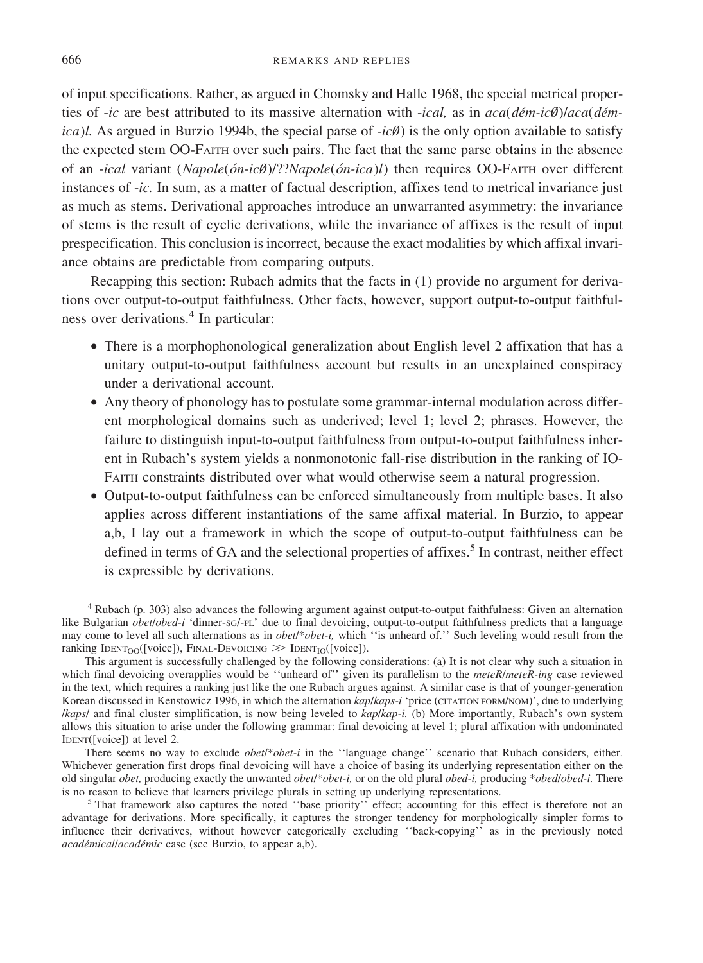ofinput specifications. Rather, as argued in Chomsky and Halle 1968, the special metrical properties of *-ic* are best attributed to its massive alternation with *-ical*, as in  $aca(dém-ic@)/aca(dém$ *ica*)*l.* As argued in Burzio 1994b, the special parse of  $-i c \theta$  is the only option available to satisfy the expected stem OO-FAITH over such pairs. The fact that the same parse obtains in the absence ofan -*ical* variant (*Napole*(*o´n-ic0*⁄ )/??*Napole*(*o´n-ica*)*l*) then requires OO-FAITH over different instances of-*ic.* In sum, as a matter of factual description, affixes tend to metrical invariance just as much as stems. Derivational approaches introduce an unwarranted asymmetry: the invariance of stems is the result of cyclic derivations, while the invariance of affixes is the result of input prespecification. This conclusion is incorrect, because the exact modalities by which affixal invariance obtains are predictable from comparing outputs.

Recapping this section: Rubach admits that the facts in (1) provide no argument for derivations over output-to-output faithfulness. Other facts, however, support output-to-output faithfulness over derivations.<sup>4</sup> In particular:

- There is a morphophonological generalization about English level 2 affixation that has a unitary output-to-output faithfulness account but results in an unexplained conspiracy under a derivational account.
- Any theory of phonology has to postulate some grammar-internal modulation across different morphological domains such as underived; level 1; level 2; phrases. However, the failure to distinguish input-to-output faithfulness from output-to-output faithfulness inherent in Rubach's system yields a nonmonotonic fall-rise distribution in the ranking of IO-FAITH constraints distributed over what would otherwise seem a natural progression.
- Output-to-output faithfulness can be enforced simultaneously from multiple bases. It also applies across different instantiations of the same affixal material. In Burzio, to appear a,b, I lay out a framework in which the scope of output-to-output faithfulness can be defined in terms of GA and the selectional properties of affixes.<sup>5</sup> In contrast, neither effect is expressible by derivations.

<sup>4</sup> Rubach (p. 303) also advances the following argument against output-to-output faithfulness: Given an alternation like Bulgarian *obet*/*obed-i* 'dinner-SG/-PL' due to final devoicing, output-to-output faithfulness predicts that a language may come to level all such alternations as in *obet*/\**obet-i,* which ''is unheard of.'' Such leveling would result from the ranking  $IDENT_0$ <sub>O</sub>([voice]), FINAL-DEVOICING  $\gg$  IDENT<sub>IO</sub>([voice]).

This argument is successfully challenged by the following considerations: (a) It is not clear why such a situation in which final devoicing overapplies would be ''unheard of'' given its parallelism to the *meteR*/*meteR-ing* case reviewed in the text, which requires a ranking just like the one Rubach argues against. A similar case is that of younger-generation Korean discussed in Kenstowicz 1996, in which the alternation *kap*/*kaps-i* 'price (CITATION FORM/NOM)', due to underlying /*kaps*/ and final cluster simplification, is now being leveled to *kap*/*kap-i.* (b) More importantly, Rubach's own system allows this situation to arise under the following grammar: final devoicing at level 1; plural affixation with undominated IDENT([voice]) at level 2.

There seems no way to exclude *obet*/\**obet-i* in the ''language change'' scenario that Rubach considers, either. Whichever generation first drops final devoicing will have a choice of basing its underlying representation either on the old singular *obet,* producing exactly the unwanted *obet*/\**obet-i,* or on the old plural *obed-i,* producing \**obed*/*obed-i.* There

<sup>5</sup> That framework also captures the noted ''base priority'' effect; accounting for this effect is therefore not an advantage for derivations. More specifically, it captures the stronger tendency for morphologically simpler forms to influence their derivatives, without however categorically excluding ''back-copying'' as in the previously noted *académical/académic* case (see Burzio, to appear a,b).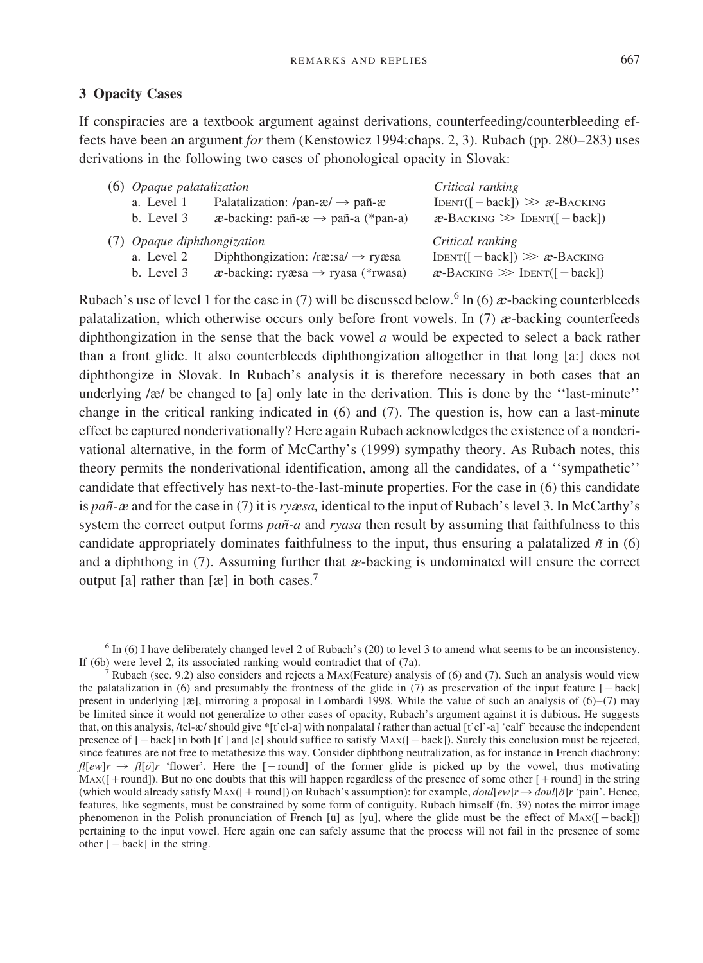## **3 Opacity Cases**

If conspiracies are a textbook argument against derivations, counterfeeding/counterbleeding effects have been an argument *for* them (Kenstowicz 1994:chaps. 2, 3). Rubach (pp. 280–283) uses derivations in the following two cases of phonological opacity in Slovak:

| $(6)$ <i>Opaque palatalization</i> |                                                              | Critical ranking                  |
|------------------------------------|--------------------------------------------------------------|-----------------------------------|
| a. Level 1                         | Palatalization: /pan- $\alpha$ / $\rightarrow$ pañ- $\alpha$ | $IDENT([-back]) \gg x-BACKING$    |
| b. Level 3                         | $x$ -backing: pañ- $x \rightarrow$ pañ-a (*pan-a)            | $x$ -BACKING $\gg$ IDENT([-back]) |
| (7) Opaque diphthongization        |                                                              | Critical ranking                  |
| a. Level 2                         | Diphthongization: $/rx$ :sa $\rightarrow$ ry $x$ sa          | $IDENT([-back]) \gg x-BACKING$    |
| b. Level 3                         | $x$ -backing: ry $x$ sa $\rightarrow$ ryasa (*rwasa)         | $x$ -Backing $\gg$ IDENT([-back]) |

Rubach's use of level 1 for the case in (7) will be discussed below.<sup>6</sup> In (6)  $\alpha$ -backing counterbleeds palatalization, which otherwise occurs only before front vowels. In (7)  $\alpha$ -backing counterfeeds diphthongization in the sense that the back vowel *a* would be expected to select a back rather than a front glide. It also counterbleeds diphthongization altogether in that long [a:] does not diphthongize in Slovak. In Rubach's analysis it is therefore necessary in both cases that an underlying  $\alpha$  be changed to [a] only late in the derivation. This is done by the "last-minute" change in the critical ranking indicated in (6) and (7). The question is, how can a last-minute effect be captured nonderivationally? Here again Rubach acknowledges the existence of a nonderivational alternative, in the form of McCarthy's (1999) sympathy theory. As Rubach notes, this theory permits the nonderivational identification, among all the candidates, of a ''sympathetic'' candidate that effectively has next-to-the-last-minute properties. For the case in (6) this candidate is *pañ-*a and for the case in (7) it is *ryasa*, identical to the input of Rubach's level 3. In McCarthy's system the correct output forms *pañ-a* and *ryasa* then result by assuming that faithfulness to this candidate appropriately dominates faithfulness to the input, thus ensuring a palatalized  $\tilde{n}$  in (6) and a diphthong in  $(7)$ . Assuming further that  $\alpha$ -backing is undominated will ensure the correct output [a] rather than  $[\mathcal{R}]$  in both cases.<sup>7</sup>

<sup>6</sup> In (6) I have deliberately changed level 2 of Rubach's (20) to level 3 to amend what seems to be an inconsistency. If (6b) were level 2, its associated ranking would contradict that of (7a).

Rubach (sec. 9.2) also considers and rejects a MAX(Feature) analysis of (6) and (7). Such an analysis would view the palatalization in (6) and presumably the frontness of the glide in  $(7)$  as preservation of the input feature  $[-\text{back}]$ present in underlying  $[\mathbf{\hat{x}}]$ , mirroring a proposal in Lombardi 1998. While the value of such an analysis of  $(6)-(7)$  may be limited since it would not generalize to other cases of opacity, Rubach's argument against it is dubious. He suggests that, on this analysis, /tel- $\alpha$ / should give \*[t'el-a] with nonpalatal *l* rather than actual [t'el'-a] 'calf' because the independent presence of  $[-\text{back}]$  in both  $[t']$  and  $[e]$  should suffice to satisfy  $\text{Max}([-\text{back}])$ . Surely this conclusion must be rejected, since features are not free to metathesize this way. Consider diphthong neutralization, as for instance in French diachrony: *fl*[ $e w$ ]*r*  $\rightarrow$  *fl*[ $\partial$ ]*r* 'flower'. Here the [+round] of the former glide is picked up by the vowel, thus motivating  $Max([ + round])$ . But no one doubts that this will happen regardless of the presence of some other  $[ + round]$  in the string (which would already satisfy  $Max([+round])$  on Rubach's assumption): for example,  $doul[ew]r \rightarrow doul[ö]r$  'pain'. Hence, features, like segments, must be constrained by some form of contiguity. Rubach himself (fn. 39) notes the mirror image phenomenon in the Polish pronunciation of French [ŭ] as [yu], where the glide must be the effect of  $Max([-back])$ pertaining to the input vowel. Here again one can safely assume that the process will not fail in the presence of some other  $[-back]$  in the string.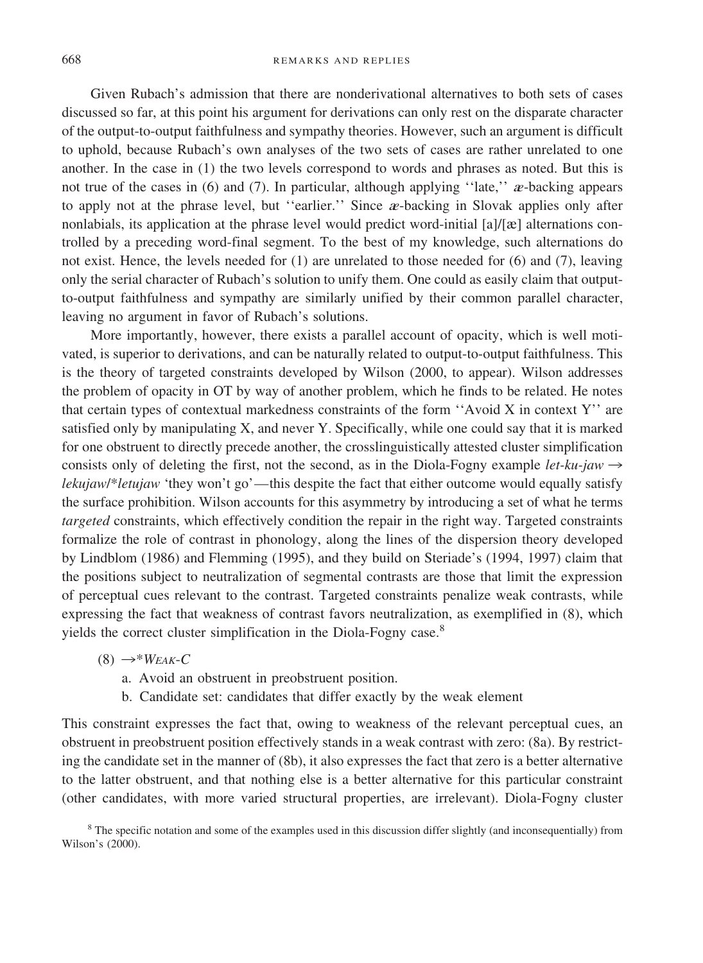Given Rubach's admission that there are nonderivational alternatives to both sets of cases discussed so far, at this point his argument for derivations can only rest on the disparate character of the output-to-output faithfulness and sympathy theories. However, such an argument is difficult to uphold, because Rubach's own analyses of the two sets of cases are rather unrelated to one another. In the case in (1) the two levels correspond to words and phrases as noted. But this is not true of the cases in (6) and (7). In particular, although applying "late," *a*-backing appears to apply not at the phrase level, but "earlier." Since  $\alpha$ -backing in Slovak applies only after nonlabials, its application at the phrase level would predict word-initial  $\left[\frac{a}{\ell}\right]$  alternations controlled by a preceding word-final segment. To the best of my knowledge, such alternations do not exist. Hence, the levels needed for (1) are unrelated to those needed for (6) and (7), leaving only the serial character ofRubach's solution to unify them. One could as easily claim that outputto-output faithfulness and sympathy are similarly unified by their common parallel character, leaving no argument in favor of Rubach's solutions.

More importantly, however, there exists a parallel account of opacity, which is well motivated, is superior to derivations, and can be naturally related to output-to-output faithfulness. This is the theory of targeted constraints developed by Wilson (2000, to appear). Wilson addresses the problem of opacity in OT by way of another problem, which he finds to be related. He notes that certain types of contextual markedness constraints of the form "Avoid X in context Y" are satisfied only by manipulating X, and never Y. Specifically, while one could say that it is marked for one obstruent to directly precede another, the crosslinguistically attested cluster simplification consists only of deleting the first, not the second, as in the Diola-Fogny example *let-ku-jaw*  $\rightarrow$ *lekujaw*/\**letujaw* 'they won't go'—this despite the fact that either outcome would equally satisfy the surface prohibition. Wilson accounts for this asymmetry by introducing a set of what he terms *targeted* constraints, which effectively condition the repair in the right way. Targeted constraints formalize the role of contrast in phonology, along the lines of the dispersion theory developed by Lindblom (1986) and Flemming (1995), and they build on Steriade's (1994, 1997) claim that the positions subject to neutralization of segmental contrasts are those that limit the expression of perceptual cues relevant to the contrast. Targeted constraints penalize weak contrasts, while expressing the fact that weakness of contrast favors neutralization, as exemplified in (8), which yields the correct cluster simplification in the Diola-Fogny case.<sup>8</sup>

- $(8) \rightarrow^*W_{FAK}$ -C
	- a. Avoid an obstruent in preobstruent position.
	- b. Candidate set: candidates that differ exactly by the weak element

This constraint expresses the fact that, owing to weakness of the relevant perceptual cues, an obstruent in preobstruent position effectively stands in a weak contrast with zero: (8a). By restricting the candidate set in the manner of(8b), it also expresses the fact that zero is a better alternative to the latter obstruent, and that nothing else is a better alternative for this particular constraint (other candidates, with more varied structural properties, are irrelevant). Diola-Fogny cluster

<sup>8</sup> The specific notation and some of the examples used in this discussion differ slightly (and inconsequentially) from Wilson's (2000).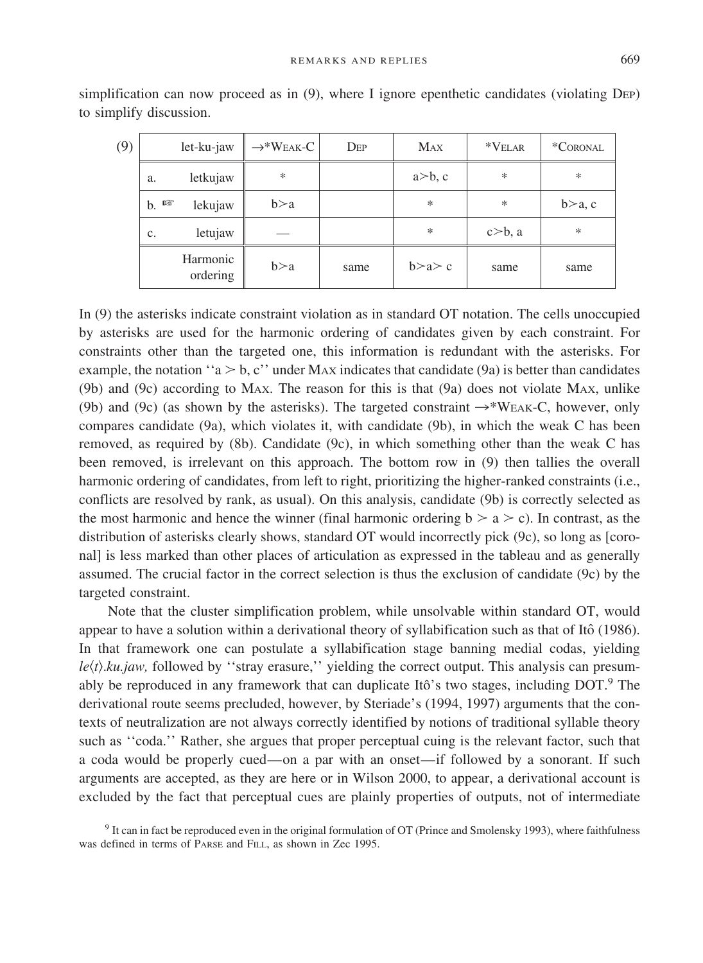| (9) | $let - ku - jaw$     | $\rightarrow^* W$ eak-C | $\rm{Dep}$ | <b>MAX</b>     | $*VELAR$       | *CORONAL |
|-----|----------------------|-------------------------|------------|----------------|----------------|----------|
|     | letkujaw<br>a.       | $\ast$                  |            | $a \geq b$ , c | *              | ∗        |
|     | 晬<br>lekujaw<br>b.   | b>a                     |            | $\ast$         | *              | b>a, c   |
|     | letujaw<br>c.        |                         |            | $\ast$         | $c \geq b$ , a | $\ast$   |
|     | Harmonic<br>ordering | b>a                     | same       | b > a > c      | same           | same     |

simplification can now proceed as in (9), where I ignore epenthetic candidates (violating DEP) to simplify discussion.

In (9) the asterisks indicate constraint violation as in standard OT notation. The cells unoccupied by asterisks are used for the harmonic ordering of candidates given by each constraint. For constraints other than the targeted one, this information is redundant with the asterisks. For example, the notation "a  $>$  b, c" under MAX indicates that candidate (9a) is better than candidates (9b) and (9c) according to MAX. The reason for this is that (9a) does not violate MAX, unlike (9b) and (9c) (as shown by the asterisks). The targeted constraint  $\rightarrow$ \*WEAK-C, however, only compares candidate (9a), which violates it, with candidate (9b), in which the weak C has been removed, as required by (8b). Candidate (9c), in which something other than the weak C has been removed, is irrelevant on this approach. The bottom row in (9) then tallies the overall harmonic ordering of candidates, from left to right, prioritizing the higher-ranked constraints (i.e., conflicts are resolved by rank, as usual). On this analysis, candidate (9b) is correctly selected as the most harmonic and hence the winner (final harmonic ordering  $b > a > c$ ). In contrast, as the distribution of asterisks clearly shows, standard OT would incorrectly pick (9c), so long as [coronal] is less marked than other places of articulation as expressed in the tableau and as generally assumed. The crucial factor in the correct selection is thus the exclusion of candidate (9c) by the targeted constraint.

Note that the cluster simplification problem, while unsolvable within standard OT, would appear to have a solution within a derivational theory of syllabification such as that of Itô (1986). In that framework one can postulate a syllabification stage banning medial codas, yielding *le*(*t*).*ku.jaw*, followed by "stray erasure," yielding the correct output. This analysis can presumably be reproduced in any framework that can duplicate Itô's two stages, including  $DOT$ . The derivational route seems precluded, however, by Steriade's (1994, 1997) arguments that the contexts of neutralization are not always correctly identified by notions of traditional syllable theory such as ''coda.'' Rather, she argues that proper perceptual cuing is the relevant factor, such that a coda would be properly cued—on a par with an onset—if followed by a sonorant. If such arguments are accepted, as they are here or in Wilson 2000, to appear, a derivational account is excluded by the fact that perceptual cues are plainly properties of outputs, not of intermediate

<sup>9</sup> It can in fact be reproduced even in the original formulation of OT (Prince and Smolensky 1993), where faithfulness was defined in terms of PARSE and FILL, as shown in Zec 1995.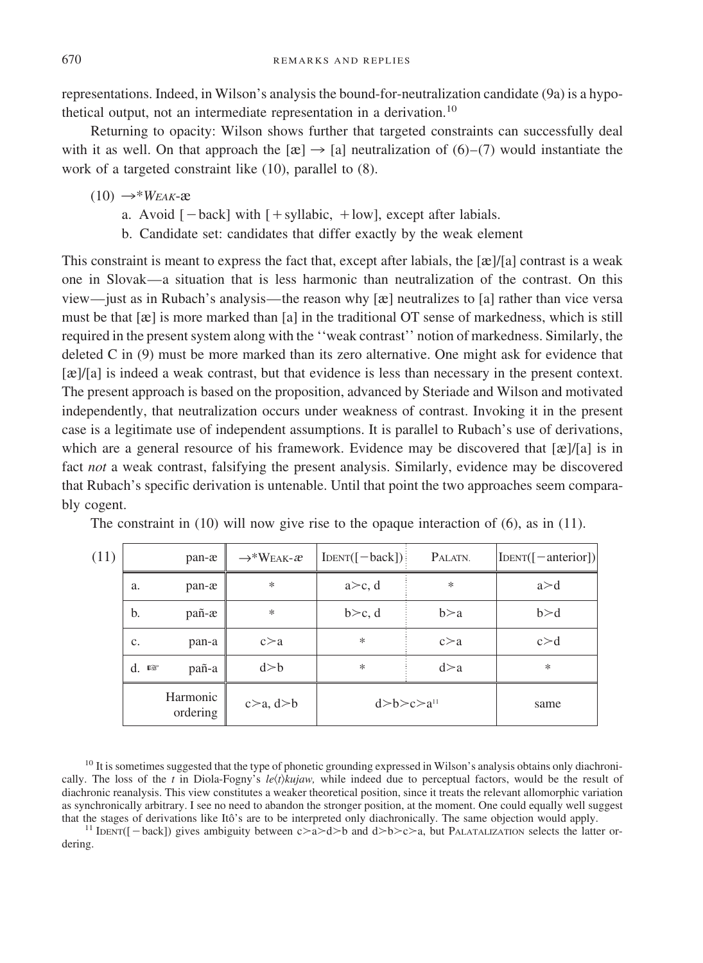representations. Indeed, in Wilson's analysis the bound-for-neutralization candidate (9a) is a hypothetical output, not an intermediate representation in a derivation.<sup>10</sup>

Returning to opacity: Wilson shows further that targeted constraints can successfully deal with it as well. On that approach the  $[\mathfrak{E}] \to [\mathfrak{a}]$  neutralization of  $(6)-(7)$  would instantiate the work of a targeted constraint like  $(10)$ , parallel to  $(8)$ .

 $(10) \rightarrow^* W_{EAK}$ -æ

- a. Avoid  $[-\text{back}]$  with  $[+\text{syllabic}, +\text{low}]$ , except after labials.
- b. Candidate set: candidates that differ exactly by the weak element

This constraint is meant to express the fact that, except after labials, the  $[\mathcal{R}]/[\mathcal{A}]$  contrast is a weak one in Slovak—a situation that is less harmonic than neutralization ofthe contrast. On this view—just as in Rubach's analysis—the reason why [æ] neutralizes to [a] rather than vice versa must be that  $[\mathbf{\hat{z}}]$  is more marked than  $[\mathbf{\hat{a}}]$  in the traditional OT sense of markedness, which is still required in the present system along with the ''weak contrast'' notion ofmarkedness. Similarly, the deleted C in (9) must be more marked than its zero alternative. One might ask for evidence that  $[\mathfrak{g}]/[\mathfrak{a}]$  is indeed a weak contrast, but that evidence is less than necessary in the present context. The present approach is based on the proposition, advanced by Steriade and Wilson and motivated independently, that neutralization occurs under weakness of contrast. Invoking it in the present case is a legitimate use of independent assumptions. It is parallel to Rubach's use of derivations, which are a general resource of his framework. Evidence may be discovered that  $[\mathcal{R}]/[\mathcal{A}]$  is in fact *not* a weak contrast, falsifying the present analysis. Similarly, evidence may be discovered that Rubach's specific derivation is untenable. Until that point the two approaches seem comparably cogent.

| (11) |                      | pan-æ | $\rightarrow^*{\rm W}$ eak-æ | $IDENT([-back])$      | PALATN.   | $[IDENT([ - anterior])]$ |
|------|----------------------|-------|------------------------------|-----------------------|-----------|--------------------------|
|      | a.                   | pan-æ | $\ast$                       | $a > c$ , d           | $\ast$    | a > d                    |
|      | b.                   | pañ-æ | $\ast$                       | b>c, d                | b>a       | b > d                    |
|      | c.                   | pan-a | $c \ge a$                    | ∗                     | $c \ge a$ | c > d                    |
|      | $d.$ $R^*$           | pañ-a | $d$ $> b$                    | ∗                     | d > a     | $\ast$                   |
|      | Harmonic<br>ordering |       | c > a, d > b                 | d>b>c>a <sup>11</sup> |           | same                     |

The constraint in  $(10)$  will now give rise to the opaque interaction of  $(6)$ , as in  $(11)$ .

 $10$  It is sometimes suggested that the type of phonetic grounding expressed in Wilson's analysis obtains only diachronically. The loss of the  $t$  in Diola-Fogny's  $le(t)$ *kujaw*, while indeed due to perceptual factors, would be the result of diachronic reanalysis. This view constitutes a weaker theoretical position, since it treats the relevant allomorphic variation as synchronically arbitrary. I see no need to abandon the stronger position, at the moment. One could equally well suggest that the stages of derivations like Itô's are to be interpreted only diachronically. The same objec

<sup>11</sup> IDENT([-back]) gives ambiguity between  $c > a > d > b$  and  $d > b > c > a$ , but PALATALIZATION selects the latter ordering.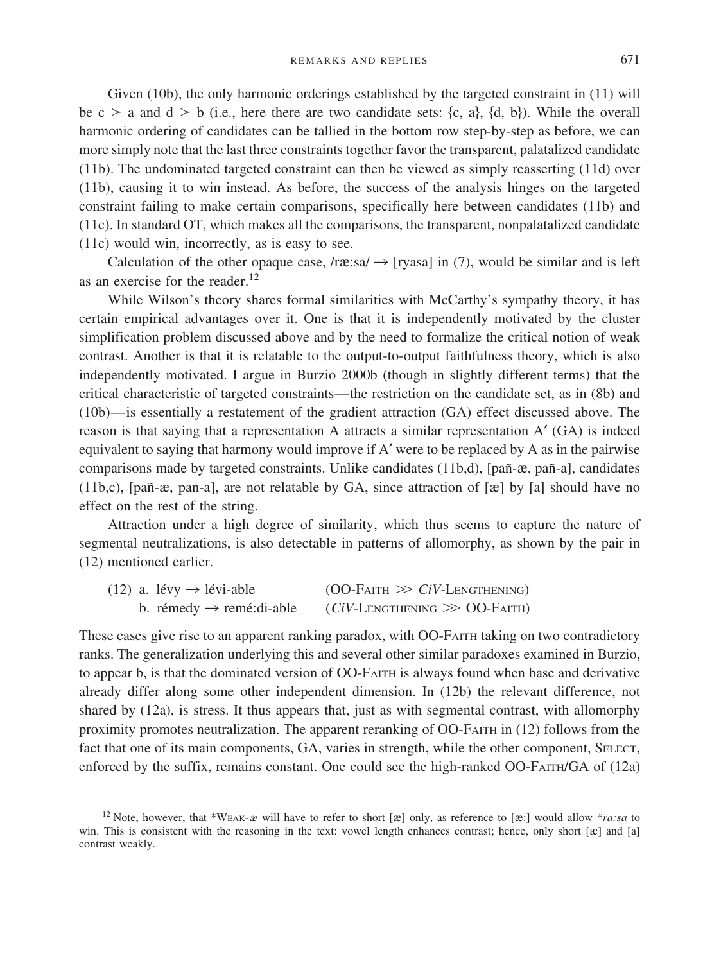Given (10b), the only harmonic orderings established by the targeted constraint in (11) will be c > a and d > b (i.e., here there are two candidate sets: {c, a}, {d, b}). While the overall harmonic ordering of candidates can be tallied in the bottom row step-by-step as before, we can more simply note that the last three constraints together favor the transparent, palatalized candidate (11b). The undominated targeted constraint can then be viewed as simply reasserting (11d) over (11b), causing it to win instead. As before, the success of the analysis hinges on the targeted constraint failing to make certain comparisons, specifically here between candidates (11b) and (11c). In standard OT, which makes all the comparisons, the transparent, nonpalatalized candidate (11c) would win, incorrectly, as is easy to see.

Calculation of the other opaque case, /r $x:sa \rightarrow$  [ryasa] in (7), would be similar and is left as an exercise for the reader.<sup>12</sup>

While Wilson's theory shares formal similarities with McCarthy's sympathy theory, it has certain empirical advantages over it. One is that it is independently motivated by the cluster simplification problem discussed above and by the need to formalize the critical notion of weak contrast. Another is that it is relatable to the output-to-output faithfulness theory, which is also independently motivated. I argue in Burzio 2000b (though in slightly different terms) that the critical characteristic of targeted constraints—the restriction on the candidate set, as in (8b) and (10b)—is essentially a restatement of the gradient attraction (GA) effect discussed above. The reason is that saying that a representation A attracts a similar representation A′ (GA) is indeed equivalent to saying that harmony would improve ifA′ were to be replaced by A as in the pairwise comparisons made by targeted constraints. Unlike candidates  $(11b,d)$ , [pañ-æ, pañ-a], candidates (11b,c), [pañ-æ, pan-a], are not relatable by GA, since attraction of  $[\infty]$  by [a] should have no effect on the rest of the string.

Attraction under a high degree of similarity, which thus seems to capture the nature of segmental neutralizations, is also detectable in patterns of allomorphy, as shown by the pair in (12) mentioned earlier.

|  | $(12)$ a. lévy $\rightarrow$ lévi-able | $(OO-FAITH \gg CiV-LENGTHENING)$               |
|--|----------------------------------------|------------------------------------------------|
|  | b. rémedy $\rightarrow$ remé:di-able   | $(CiV\text{-}Lengthening \gg OO\text{-}Faith)$ |

These cases give rise to an apparent ranking paradox, with OO-FAITH taking on two contradictory ranks. The generalization underlying this and several other similar paradoxes examined in Burzio, to appear b, is that the dominated version of OO-FAITH is always found when base and derivative already differ along some other independent dimension. In (12b) the relevant difference, not shared by (12a), is stress. It thus appears that, just as with segmental contrast, with allomorphy proximity promotes neutralization. The apparent reranking of OO-FAITH in (12) follows from the fact that one of its main components, GA, varies in strength, while the other component, SELECT, enforced by the suffix, remains constant. One could see the high-ranked OO-FAITH/GA of (12a)

<sup>&</sup>lt;sup>12</sup> Note, however, that \*WEAK-a will have to refer to short [ $\infty$ ] only, as reference to [ $\infty$ :] would allow \**ra:sa* to win. This is consistent with the reasoning in the text: vowel length enhances contrast; hence, only short [æ] and [a] contrast weakly.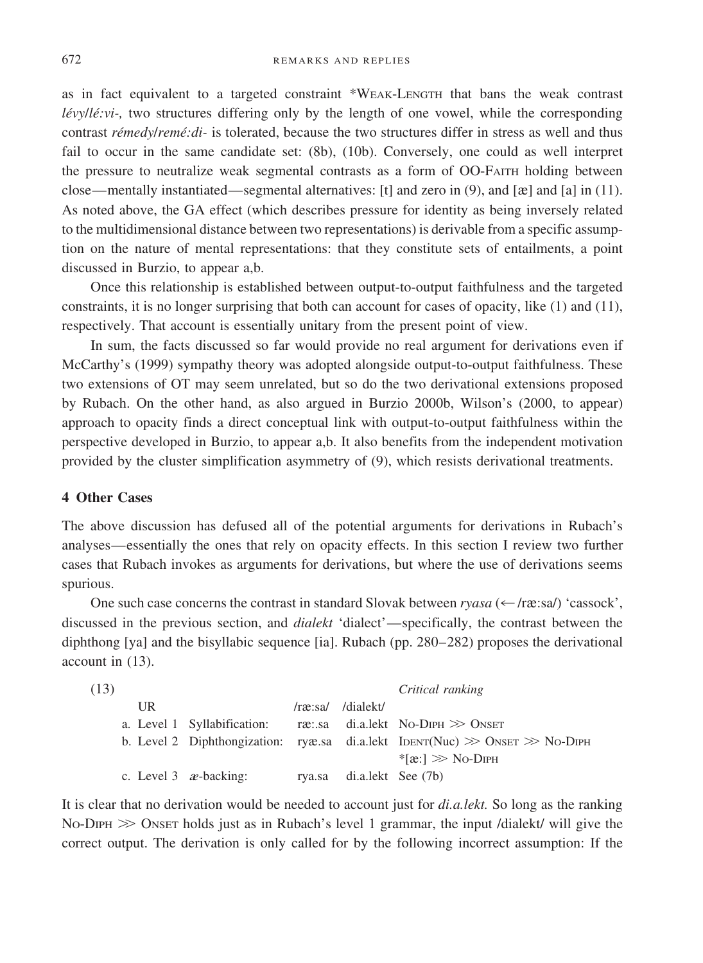672 REMARKS AND REPLIES

as in fact equivalent to a targeted constraint \*WEAK-LENGTH that bans the weak contrast *lévy/lé:vi-*, two structures differing only by the length of one vowel, while the corresponding contrast *rémedy/remé:di-* is tolerated, because the two structures differ in stress as well and thus fail to occur in the same candidate set: (8b), (10b). Conversely, one could as well interpret the pressure to neutralize weak segmental contrasts as a form of OO-FAITH holding between close—mentally instantiated—segmental alternatives: [t] and zero in  $(9)$ , and [ $\alpha$ ] and [a] in (11). As noted above, the GA effect (which describes pressure for identity as being inversely related to the multidimensional distance between two representations) is derivable from a specific assumption on the nature of mental representations: that they constitute sets of entailments, a point discussed in Burzio, to appear a,b.

Once this relationship is established between output-to-output faithfulness and the targeted constraints, it is no longer surprising that both can account for cases of opacity, like (1) and (11), respectively. That account is essentially unitary from the present point of view.

In sum, the facts discussed so far would provide no real argument for derivations even if McCarthy's (1999) sympathy theory was adopted alongside output-to-output faithfulness. These two extensions ofOT may seem unrelated, but so do the two derivational extensions proposed by Rubach. On the other hand, as also argued in Burzio 2000b, Wilson's (2000, to appear) approach to opacity finds a direct conceptual link with output-to-output faithfulness within the perspective developed in Burzio, to appear a,b. It also benefits from the independent motivation provided by the cluster simplification asymmetry of (9), which resists derivational treatments.

#### **4 Other Cases**

The above discussion has defused all of the potential arguments for derivations in Rubach's analyses—essentially the ones that rely on opacity effects. In this section I review two further cases that Rubach invokes as arguments for derivations, but where the use of derivations seems spurious.

One such case concerns the contrast in standard Slovak between *ryasa* ( $\leftarrow$  /r $\alpha$ :sa/) 'cassock', discussed in the previous section, and *dialekt* 'dialect'—specifically, the contrast between the diphthong [ya] and the bisyllabic sequence [ia]. Rubach (pp. 280–282) proposes the derivational account in (13).

| (13) |    |                                 |                           | Critical ranking                                                                   |
|------|----|---------------------------------|---------------------------|------------------------------------------------------------------------------------|
|      | UR |                                 | /ræ:sa/ /dialekt/         |                                                                                    |
|      |    | a. Level 1 Syllabification:     |                           | ræ∴sa di.a.lekt No-Dıpн ≫ Onseт                                                    |
|      |    |                                 |                           | b. Level 2 Diphthongization: ryæ.sa di.a.lekt IDENT(Nuc) $\gg$ ONSET $\gg$ No-DIPH |
|      |    |                                 |                           | $\text{*}$ [æ:] $\gg$ No-Diph                                                      |
|      |    | c. Level $3$ <i>a</i> -backing: | rya.sa di.a.lekt See (7b) |                                                                                    |

It is clear that no derivation would be needed to account just for *di.a.lekt.* So long as the ranking No-DIPH  $\gg$  ONSET holds just as in Rubach's level 1 grammar, the input /dialekt/ will give the correct output. The derivation is only called for by the following incorrect assumption: If the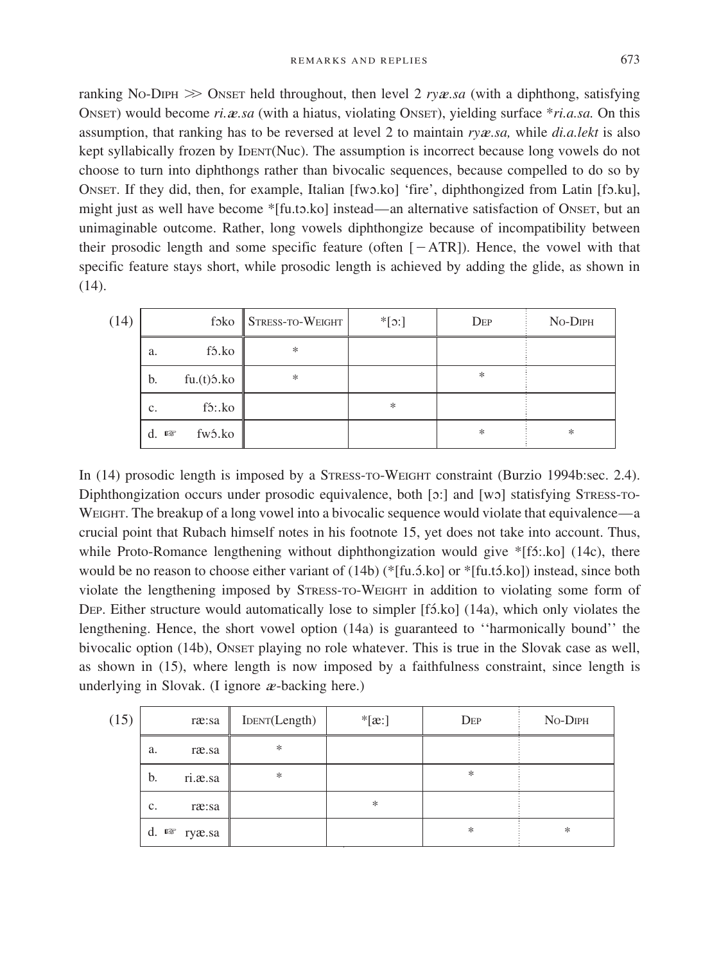ranking No-DIPH  $\gg$  ONSET held throughout, then level 2 *rya*e.sa (with a diphthong, satisfying ONSET) would become *ri.*a*e.sa* (with a hiatus, violating ONSET), yielding surface \**ri.a.sa.* On this assumption, that ranking has to be reversed at level 2 to maintain *ry*a*e.sa,* while *di.a.lekt* is also kept syllabically frozen by IDENT(Nuc). The assumption is incorrect because long vowels do not choose to turn into diphthongs rather than bivocalic sequences, because compelled to do so by ONSET. If they did, then, for example, Italian [fwo.ko] 'fire', diphthongized from Latin [fo.ku], might just as well have become \*[fu.to.ko] instead—an alternative satisfaction of ONSET, but an unimaginable outcome. Rather, long vowels diphthongize because ofincompatibility between their prosodic length and some specific feature (often  $[-ATR]$ ). Hence, the vowel with that specific feature stays short, while prosodic length is achieved by adding the glide, as shown in (14).

| (14) |                    |                     | $f$ 3ko $\parallel$ Stress-to-Weight | $*[\infty]$ | $\rm{Dep}$ | No-DIPH |
|------|--------------------|---------------------|--------------------------------------|-------------|------------|---------|
|      | a.                 | fó.ko               | $*$                                  |             |            |         |
|      | b.                 | fu.(t)5.ko          | *                                    |             | *          |         |
|      | $\mathbf{c}$ .     | f <sub>5</sub> : ko |                                      | *           |            |         |
|      | d.<br>$\mathbb{R}$ | fw5.ko              |                                      |             | *          | *       |

In (14) prosodic length is imposed by a STRESS-TO-WEIGHT constraint (Burzio 1994b:sec. 2.4). Diphthongization occurs under prosodic equivalence, both  $[\infty]$  and  $[w\infty]$  statisfying STRESS-TO-WEIGHT. The breakup of a long vowel into a bivocalic sequence would violate that equivalence—a crucial point that Rubach himself notes in his footnote 15, yet does not take into account. Thus, while Proto-Romance lengthening without diphthongization would give  $*[15::k0]$  (14c), there would be no reason to choose either variant of  $(14b)$  (\*[fu.5.ko] or \*[fu.t5.ko]) instead, since both violate the lengthening imposed by STRESS-TO-WEIGHT in addition to violating some form of DEP. Either structure would automatically lose to simpler [f5.ko] (14a), which only violates the lengthening. Hence, the short vowel option (14a) is guaranteed to ''harmonically bound'' the bivocalic option (14b), ONSET playing no role whatever. This is true in the Slovak case as well, as shown in (15), where length is now imposed by a faithfulness constraint, since length is underlying in Slovak. (I ignore <sup>a</sup>*e*-backing here.)

| (15) |                   | ræ:sa   | IDENT(Length) | $*[\mathbf{\alpha}$ :] | $\rm{Dep}$ | No-DIPH |
|------|-------------------|---------|---------------|------------------------|------------|---------|
|      | a.                | ræ.sa   | $\ast$        |                        |            |         |
|      | b.                | ri.æ.sa | $\ast$        |                        | $\ast$     |         |
|      | c.                | ræ:sa   |               | $\ast$                 |            |         |
|      | $d.$ $\mathbb{R}$ | ryæ.sa  |               |                        | $\ast$     | *       |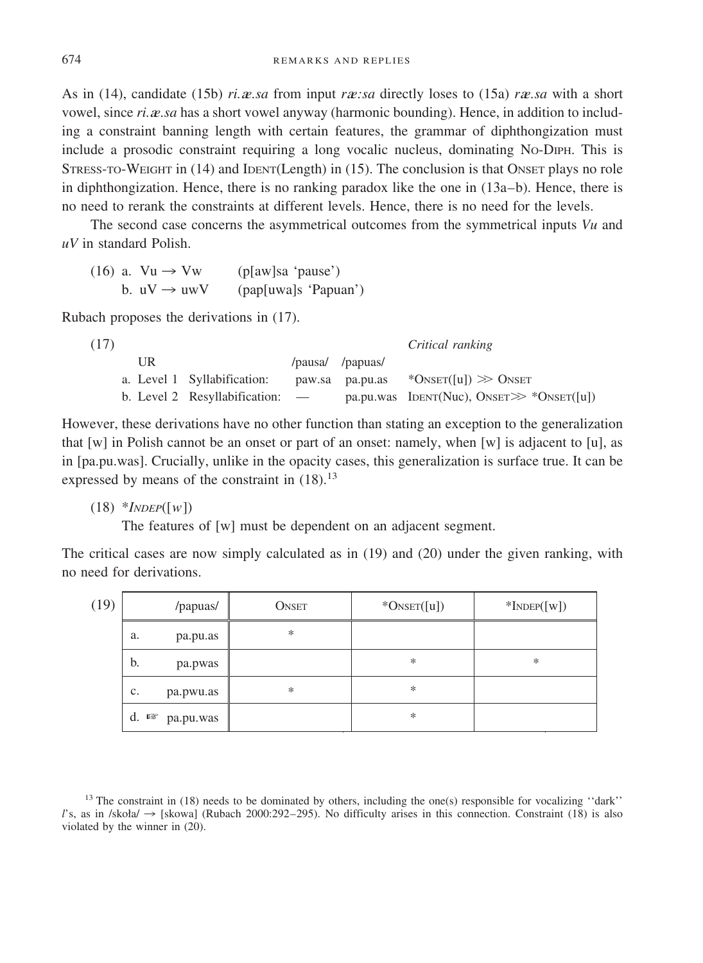As in (14), candidate (15b) *ri.*a*e.sa* from input *r*a*e:sa* directly loses to (15a) *r*a*e.sa* with a short vowel, since *ri.a.sa* has a short vowel anyway (harmonic bounding). Hence, in addition to including a constraint banning length with certain features, the grammar of diphthongization must include a prosodic constraint requiring a long vocalic nucleus, dominating NO-DIPH. This is STRESS-TO-WEIGHT in (14) and IDENT(Length) in (15). The conclusion is that ONSET plays no role in diphthongization. Hence, there is no ranking paradox like the one in (13a–b). Hence, there is no need to rerank the constraints at different levels. Hence, there is no need for the levels.

The second case concerns the asymmetrical outcomes from the symmetrical inputs *Vu* and *uV* in standard Polish.

|  | $(16)$ a. $Vu \rightarrow Vw$ | (p[aw]sa' pause')    |  |
|--|-------------------------------|----------------------|--|
|  | b. $uV \rightarrow uwV$       | (pap[uwa]s 'Papuan') |  |

Rubach proposes the derivations in (17).

| (17) |    |                                 |                  | Critical ranking                              |
|------|----|---------------------------------|------------------|-----------------------------------------------|
|      | UR |                                 | /pausa/ /papuas/ |                                               |
|      |    | a. Level 1 Syllabification:     | paw.sa pa.pu.as  | *ONSET([u]) $\gg$ Onset                       |
|      |    | b. Level 2 Resyllabification: — |                  | pa.pu.was IDENT(Nuc), ONSET $\gg$ *ONSET([u]) |

However, these derivations have no other function than stating an exception to the generalization that  $[w]$  in Polish cannot be an onset or part of an onset: namely, when  $[w]$  is adjacent to [u], as in [pa.pu.was]. Crucially, unlike in the opacity cases, this generalization is surface true. It can be expressed by means of the constraint in  $(18).^{13}$ 

(18) \**INDEP*([*w*])

The features of [w] must be dependent on an adjacent segment.

The critical cases are now simply calculated as in (19) and (20) under the given ranking, with no need for derivations.

| (19) | /papuas/                                    | <b>ONSET</b> | $*O$ NSET([u]) | $*$ INDEP([W]) |
|------|---------------------------------------------|--------------|----------------|----------------|
|      | a.<br>pa.pu.as                              | *            |                |                |
|      | b.<br>pa.pwas                               |              | *              | $\ast$         |
|      | c.<br>pa.pwu.as                             | $\ast$       | *              |                |
|      | d.<br>$\mathbb{F}\mathfrak{F}$<br>pa.pu.was |              | *              |                |

<sup>13</sup> The constraint in (18) needs to be dominated by others, including the one(s) responsible for vocalizing "dark" l's, as in /skoła/  $\rightarrow$  [skowa] (Rubach 2000:292–295). No difficulty arises in this connection. Constraint (18) is also violated by the winner in (20).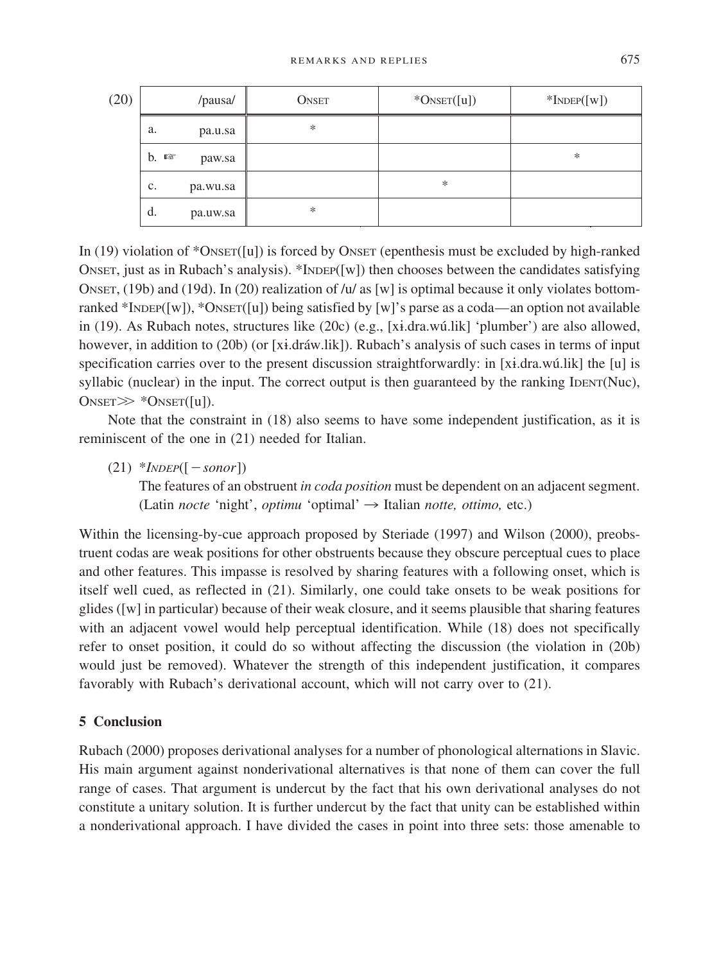| (20) | /pausa/                 | <b>ONSET</b> | $*O$ NSET $([u])$ | $*$ INDEP([W]) |
|------|-------------------------|--------------|-------------------|----------------|
|      | a.<br>pa.u.sa           | $\ast$       |                   |                |
|      | $b.$ $\infty$<br>paw.sa |              |                   | $\ast$         |
|      | c.<br>pa.wu.sa          |              | ∗                 |                |
|      | d.<br>pa.uw.sa          | *            |                   |                |

In  $(19)$  violation of \*ONSET $([u])$  is forced by ONSET (epenthesis must be excluded by high-ranked ONSET, just as in Rubach's analysis). \*INDEP( $[w]$ ) then chooses between the candidates satisfying ONSET,  $(19b)$  and  $(19d)$ . In  $(20)$  realization of /u/ as [w] is optimal because it only violates bottomranked \*INDEP([w]), \*ONSET([u]) being satisfied by [w]'s parse as a coda—an option not available in (19). As Rubach notes, structures like (20c) (e.g., [xé.dra.wu´.lik] 'plumber') are also allowed, however, in addition to (20b) (or [xi.dráw.lik]). Rubach's analysis of such cases in terms of input specification carries over to the present discussion straightforwardly: in [xi.dra.wú.lik] the [u] is syllabic (nuclear) in the input. The correct output is then guaranteed by the ranking IDENT(Nuc),  $\text{O} \triangle \text{NSET} \gg \text{NSET}([u]).$ 

Note that the constraint in (18) also seems to have some independent justification, as it is reminiscent of the one in (21) needed for Italian.

 $(21)$  *\*INDEP*( $[-sonor]$ )

The features of an obstruent *in coda position* must be dependent on an adjacent segment. (Latin *nocte* 'night', *optimu* 'optimal'  $\rightarrow$  Italian *notte*, *ottimo*, etc.)

Within the licensing-by-cue approach proposed by Steriade (1997) and Wilson (2000), preobstruent codas are weak positions for other obstruents because they obscure perceptual cues to place and other features. This impasse is resolved by sharing features with a following onset, which is itself well cued, as reflected in (21). Similarly, one could take onsets to be weak positions for glides ([w] in particular) because oftheir weak closure, and it seems plausible that sharing features with an adjacent vowel would help perceptual identification. While (18) does not specifically refer to onset position, it could do so without affecting the discussion (the violation in (20b) would just be removed). Whatever the strength of this independent justification, it compares favorably with Rubach's derivational account, which will not carry over to (21).

## **5 Conclusion**

Rubach (2000) proposes derivational analyses for a number of phonological alternations in Slavic. His main argument against nonderivational alternatives is that none of them can cover the full range of cases. That argument is undercut by the fact that his own derivational analyses do not constitute a unitary solution. It is further undercut by the fact that unity can be established within a nonderivational approach. I have divided the cases in point into three sets: those amenable to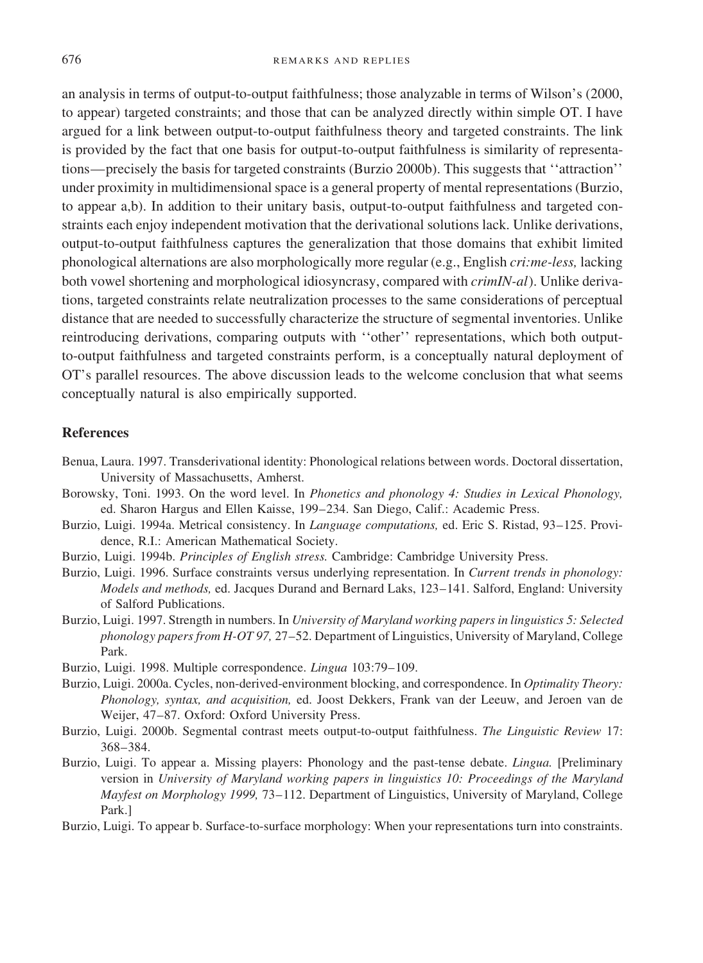an analysis in terms of output-to-output faithfulness; those analyzable in terms of Wilson's (2000, to appear) targeted constraints; and those that can be analyzed directly within simple OT. I have argued for a link between output-to-output faithfulness theory and targeted constraints. The link is provided by the fact that one basis for output-to-output faithfulness is similarity of representations—precisely the basis for targeted constraints (Burzio 2000b). This suggests that ''attraction'' under proximity in multidimensional space is a general property of mental representations (Burzio, to appear a,b). In addition to their unitary basis, output-to-output faithfulness and targeted constraints each enjoy independent motivation that the derivational solutions lack. Unlike derivations, output-to-output faithfulness captures the generalization that those domains that exhibit limited phonological alternations are also morphologically more regular (e.g., English *cri:me-less,* lacking both vowel shortening and morphological idiosyncrasy, compared with *crimIN-al*). Unlike derivations, targeted constraints relate neutralization processes to the same considerations of perceptual distance that are needed to successfully characterize the structure of segmental inventories. Unlike reintroducing derivations, comparing outputs with ''other'' representations, which both outputto-output faithfulness and targeted constraints perform, is a conceptually natural deployment of OT's parallel resources. The above discussion leads to the welcome conclusion that what seems conceptually natural is also empirically supported.

#### **References**

- Benua, Laura. 1997. Transderivational identity: Phonological relations between words. Doctoral dissertation, University of Massachusetts, Amherst.
- Borowsky, Toni. 1993. On the word level. In *Phonetics and phonology 4: Studies in Lexical Phonology,* ed. Sharon Hargus and Ellen Kaisse, 199–234. San Diego, Calif.: Academic Press.
- Burzio, Luigi. 1994a. Metrical consistency. In *Language computations,* ed. Eric S. Ristad, 93–125. Providence, R.I.: American Mathematical Society.
- Burzio, Luigi. 1994b. *Principles of English stress.* Cambridge: Cambridge University Press.
- Burzio, Luigi. 1996. Surface constraints versus underlying representation. In *Current trends in phonology: Models and methods,* ed. Jacques Durand and Bernard Laks, 123–141. Salford, England: University of Salford Publications.
- Burzio, Luigi. 1997. Strength in numbers. In *University of Maryland working papers in linguistics 5: Selected phonology papers from H-OT 97, 27–52. Department of Linguistics, University of Maryland, College* Park.
- Burzio, Luigi. 1998. Multiple correspondence. *Lingua* 103:79–109.
- Burzio, Luigi. 2000a. Cycles, non-derived-environment blocking, and correspondence. In *Optimality Theory: Phonology, syntax, and acquisition,* ed. Joost Dekkers, Frank van der Leeuw, and Jeroen van de Weijer, 47–87. Oxford: Oxford University Press.
- Burzio, Luigi. 2000b. Segmental contrast meets output-to-output faithfulness. *The Linguistic Review* 17: 368–384.
- Burzio, Luigi. To appear a. Missing players: Phonology and the past-tense debate. *Lingua.* [Preliminary version in *University of Maryland working papers in linguistics 10: Proceedings of the Maryland Mayfest on Morphology 1999, 73-112.* Department of Linguistics, University of Maryland, College Park.]
- Burzio, Luigi. To appear b. Surface-to-surface morphology: When your representations turn into constraints.